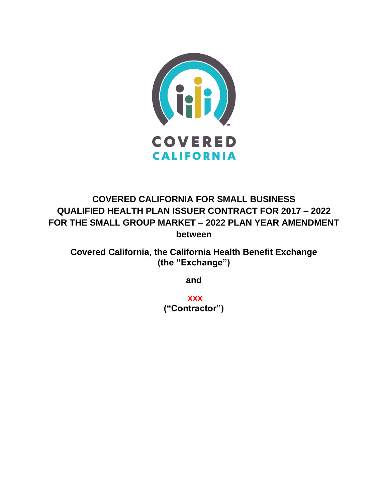

# **COVERED CALIFORNIA FOR SMALL BUSINESS QUALIFIED HEALTH PLAN ISSUER CONTRACT FOR 2017 – 2022 FOR THE SMALL GROUP MARKET – 2022 PLAN YEAR AMENDMENT between**

**Covered California, the California Health Benefit Exchange (the "Exchange")**

**and**

**xxx ("Contractor")**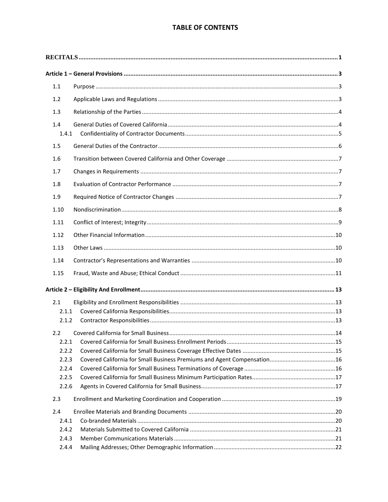# **TABLE OF CONTENTS**

| $1.1\,$      |  |  |
|--------------|--|--|
| 1.2          |  |  |
| 1.3          |  |  |
| 1.4<br>1.4.1 |  |  |
| 1.5          |  |  |
| 1.6          |  |  |
| 1.7          |  |  |
| 1.8          |  |  |
| 1.9          |  |  |
| 1.10         |  |  |
| 1.11         |  |  |
| 1.12         |  |  |
|              |  |  |
| 1.13         |  |  |
| 1.14         |  |  |
| 1.15         |  |  |
|              |  |  |
| 2.1          |  |  |
| 2.1.1        |  |  |
| 2.1.2        |  |  |
| 2.2          |  |  |
| 2.2.1        |  |  |
| 2.2.2        |  |  |
| 2.2.3        |  |  |
| 2.2.4        |  |  |
| 2.2.5        |  |  |
| 2.2.6        |  |  |
| 2.3          |  |  |
| 2.4          |  |  |
| 2.4.1        |  |  |
| 2.4.2        |  |  |
| 2.4.3        |  |  |
| 2.4.4        |  |  |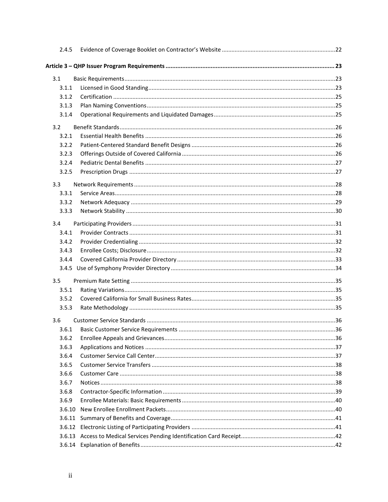| 2.4.5  |  |
|--------|--|
|        |  |
| 3.1    |  |
| 3.1.1  |  |
| 3.1.2  |  |
| 3.1.3  |  |
| 3.1.4  |  |
| 3.2    |  |
| 3.2.1  |  |
| 3.2.2  |  |
| 3.2.3  |  |
| 3.2.4  |  |
| 3.2.5  |  |
| 3.3    |  |
| 3.3.1  |  |
| 3.3.2  |  |
| 3.3.3  |  |
| 3.4    |  |
| 3.4.1  |  |
| 3.4.2  |  |
| 3.4.3  |  |
| 3.4.4  |  |
|        |  |
| 3.5    |  |
| 3.5.1  |  |
| 3.5.2  |  |
| 3.5.3  |  |
| 3.6    |  |
| 3.6.1  |  |
| 3.6.2  |  |
| 3.6.3  |  |
| 3.6.4  |  |
| 3.6.5  |  |
| 3.6.6  |  |
| 3.6.7  |  |
| 3.6.8  |  |
| 3.6.9  |  |
| 3.6.10 |  |
| 3.6.11 |  |
|        |  |
|        |  |
|        |  |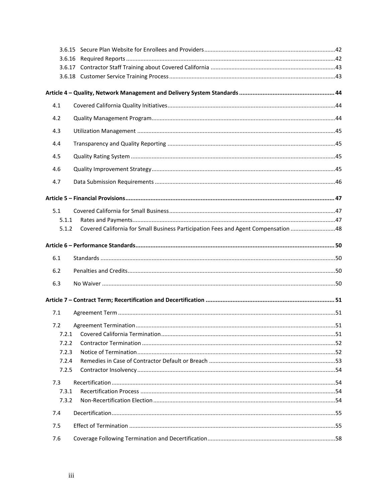| 4.1   |  |
|-------|--|
| 4.2   |  |
| 4.3   |  |
| 4.4   |  |
| 4.5   |  |
| 4.6   |  |
| 4.7   |  |
|       |  |
| 5.1   |  |
| 5.1.1 |  |
| 5.1.2 |  |
|       |  |
| 6.1   |  |
| 6.2   |  |
| 6.3   |  |
|       |  |
| 7.1   |  |
| 7.2   |  |
| 7.2.1 |  |
| 7.2.2 |  |
| 7.2.3 |  |
| 7.2.4 |  |
| 7.2.5 |  |
| 7.3   |  |
| 7.3.1 |  |
| 7.3.2 |  |
| 7.4   |  |
| 7.5   |  |
| 7.6   |  |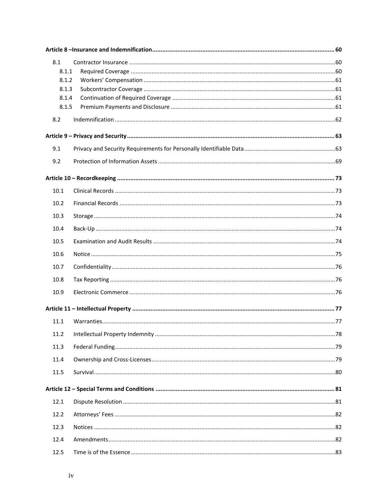| 8.1   |  |  |
|-------|--|--|
| 8.1.1 |  |  |
| 8.1.2 |  |  |
| 8.1.3 |  |  |
| 8.1.4 |  |  |
| 8.1.5 |  |  |
| 8.2   |  |  |
|       |  |  |
| 9.1   |  |  |
| 9.2   |  |  |
|       |  |  |
| 10.1  |  |  |
| 10.2  |  |  |
| 10.3  |  |  |
| 10.4  |  |  |
| 10.5  |  |  |
| 10.6  |  |  |
| 10.7  |  |  |
| 10.8  |  |  |
| 10.9  |  |  |
|       |  |  |
| 11.1  |  |  |
| 11.2  |  |  |
| 11.3  |  |  |
| 11.4  |  |  |
| 11.5  |  |  |
|       |  |  |
| 12.1  |  |  |
| 12.2  |  |  |
| 12.3  |  |  |
| 12.4  |  |  |
| 12.5  |  |  |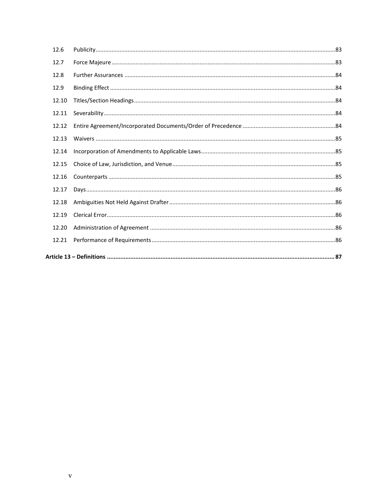| 12.6  |  |
|-------|--|
| 12.7  |  |
| 12.8  |  |
| 12.9  |  |
| 12.10 |  |
| 12.11 |  |
| 12.12 |  |
| 12.13 |  |
| 12.14 |  |
| 12.15 |  |
| 12.16 |  |
| 12.17 |  |
| 12.18 |  |
| 12.19 |  |
| 12.20 |  |
| 12.21 |  |
|       |  |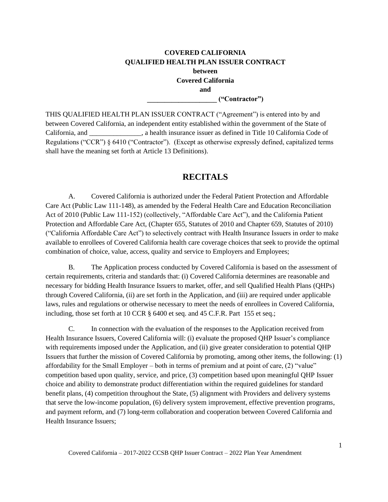# **COVERED CALIFORNIA QUALIFIED HEALTH PLAN ISSUER CONTRACT between Covered California and \_\_\_\_\_\_\_\_\_\_\_\_\_\_\_\_\_\_\_\_ ("Contractor")**

THIS QUALIFIED HEALTH PLAN ISSUER CONTRACT ("Agreement") is entered into by and between Covered California, an independent entity established within the government of the State of California, and \_\_\_\_\_\_\_\_\_\_\_\_\_\_\_, a health insurance issuer as defined in Title 10 California Code of Regulations ("CCR") § 6410 ("Contractor"). (Except as otherwise expressly defined, capitalized terms shall have the meaning set forth at Article 13 Definitions).

# **RECITALS**

<span id="page-6-0"></span>A. Covered California is authorized under the Federal Patient Protection and Affordable Care Act (Public Law 111-148), as amended by the Federal Health Care and Education Reconciliation Act of 2010 (Public Law 111-152) (collectively, "Affordable Care Act"), and the California Patient Protection and Affordable Care Act, (Chapter 655, Statutes of 2010 and Chapter 659, Statutes of 2010) ("California Affordable Care Act") to selectively contract with Health Insurance Issuers in order to make available to enrollees of Covered California health care coverage choices that seek to provide the optimal combination of choice, value, access, quality and service to Employers and Employees;

B. The Application process conducted by Covered California is based on the assessment of certain requirements, criteria and standards that: (i) Covered California determines are reasonable and necessary for bidding Health Insurance Issuers to market, offer, and sell Qualified Health Plans (QHPs) through Covered California, (ii) are set forth in the Application, and (iii) are required under applicable laws, rules and regulations or otherwise necessary to meet the needs of enrollees in Covered California, including, those set forth at 10 CCR § 6400 et seq. and 45 C.F.R. Part 155 et seq.;

C. In connection with the evaluation of the responses to the Application received from Health Insurance Issuers, Covered California will: (i) evaluate the proposed QHP Issuer's compliance with requirements imposed under the Application, and (ii) give greater consideration to potential QHP Issuers that further the mission of Covered California by promoting, among other items, the following: (1) affordability for the Small Employer – both in terms of premium and at point of care, (2) "value" competition based upon quality, service, and price, (3) competition based upon meaningful QHP Issuer choice and ability to demonstrate product differentiation within the required guidelines for standard benefit plans, (4) competition throughout the State, (5) alignment with Providers and delivery systems that serve the low-income population, (6) delivery system improvement, effective prevention programs, and payment reform, and (7) long-term collaboration and cooperation between Covered California and Health Insurance Issuers;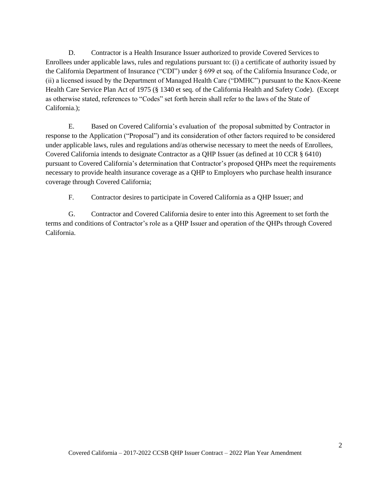D. Contractor is a Health Insurance Issuer authorized to provide Covered Services to Enrollees under applicable laws, rules and regulations pursuant to: (i) a certificate of authority issued by the California Department of Insurance ("CDI") under § 699 et seq. of the California Insurance Code, or (ii) a licensed issued by the Department of Managed Health Care ("DMHC") pursuant to the Knox-Keene Health Care Service Plan Act of 1975 (§ 1340 et seq. of the California Health and Safety Code). (Except as otherwise stated, references to "Codes" set forth herein shall refer to the laws of the State of California.);

E. Based on Covered California's evaluation of the proposal submitted by Contractor in response to the Application ("Proposal") and its consideration of other factors required to be considered under applicable laws, rules and regulations and/as otherwise necessary to meet the needs of Enrollees, Covered California intends to designate Contractor as a QHP Issuer (as defined at 10 CCR § 6410) pursuant to Covered California's determination that Contractor's proposed QHPs meet the requirements necessary to provide health insurance coverage as a QHP to Employers who purchase health insurance coverage through Covered California;

F. Contractor desires to participate in Covered California as a QHP Issuer; and

G. Contractor and Covered California desire to enter into this Agreement to set forth the terms and conditions of Contractor's role as a QHP Issuer and operation of the QHPs through Covered California.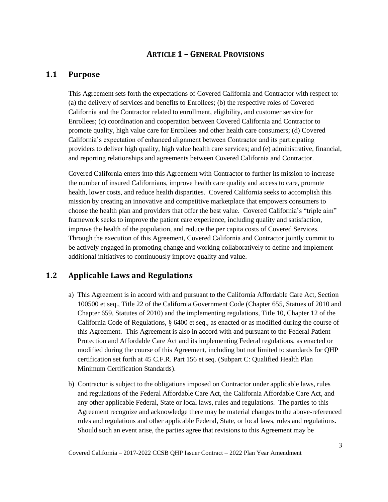# **ARTICLE 1 – GENERAL PROVISIONS**

# <span id="page-8-1"></span><span id="page-8-0"></span>**1.1 Purpose**

This Agreement sets forth the expectations of Covered California and Contractor with respect to: (a) the delivery of services and benefits to Enrollees; (b) the respective roles of Covered California and the Contractor related to enrollment, eligibility, and customer service for Enrollees; (c) coordination and cooperation between Covered California and Contractor to promote quality, high value care for Enrollees and other health care consumers; (d) Covered California's expectation of enhanced alignment between Contractor and its participating providers to deliver high quality, high value health care services; and (e) administrative, financial, and reporting relationships and agreements between Covered California and Contractor.

Covered California enters into this Agreement with Contractor to further its mission to increase the number of insured Californians, improve health care quality and access to care, promote health, lower costs, and reduce health disparities. Covered California seeks to accomplish this mission by creating an innovative and competitive marketplace that empowers consumers to choose the health plan and providers that offer the best value. Covered California's "triple aim" framework seeks to improve the patient care experience, including quality and satisfaction, improve the health of the population, and reduce the per capita costs of Covered Services. Through the execution of this Agreement, Covered California and Contractor jointly commit to be actively engaged in promoting change and working collaboratively to define and implement additional initiatives to continuously improve quality and value.

# <span id="page-8-2"></span>**1.2 Applicable Laws and Regulations**

- a) This Agreement is in accord with and pursuant to the California Affordable Care Act, Section 100500 et seq., Title 22 of the California Government Code (Chapter 655, Statues of 2010 and Chapter 659, Statutes of 2010) and the implementing regulations, Title 10, Chapter 12 of the California Code of Regulations, § 6400 et seq., as enacted or as modified during the course of this Agreement. This Agreement is also in accord with and pursuant to the Federal Patient Protection and Affordable Care Act and its implementing Federal regulations, as enacted or modified during the course of this Agreement, including but not limited to standards for QHP certification set forth at 45 C.F.R. Part 156 et seq. (Subpart C: Qualified Health Plan Minimum Certification Standards).
- b) Contractor is subject to the obligations imposed on Contractor under applicable laws, rules and regulations of the Federal Affordable Care Act, the California Affordable Care Act, and any other applicable Federal, State or local laws, rules and regulations. The parties to this Agreement recognize and acknowledge there may be material changes to the above-referenced rules and regulations and other applicable Federal, State, or local laws, rules and regulations. Should such an event arise, the parties agree that revisions to this Agreement may be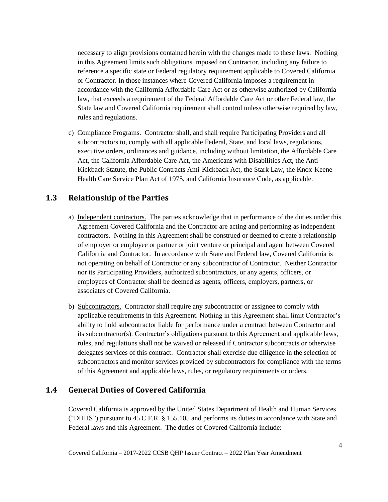necessary to align provisions contained herein with the changes made to these laws. Nothing in this Agreement limits such obligations imposed on Contractor, including any failure to reference a specific state or Federal regulatory requirement applicable to Covered California or Contractor. In those instances where Covered California imposes a requirement in accordance with the California Affordable Care Act or as otherwise authorized by California law, that exceeds a requirement of the Federal Affordable Care Act or other Federal law, the State law and Covered California requirement shall control unless otherwise required by law, rules and regulations.

c) Compliance Programs. Contractor shall, and shall require Participating Providers and all subcontractors to, comply with all applicable Federal, State, and local laws, regulations, executive orders, ordinances and guidance, including without limitation, the Affordable Care Act, the California Affordable Care Act, the Americans with Disabilities Act, the Anti-Kickback Statute, the Public Contracts Anti-Kickback Act, the Stark Law, the Knox-Keene Health Care Service Plan Act of 1975, and California Insurance Code, as applicable.

# <span id="page-9-0"></span>**1.3 Relationship of the Parties**

- a) Independent contractors. The parties acknowledge that in performance of the duties under this Agreement Covered California and the Contractor are acting and performing as independent contractors. Nothing in this Agreement shall be construed or deemed to create a relationship of employer or employee or partner or joint venture or principal and agent between Covered California and Contractor. In accordance with State and Federal law, Covered California is not operating on behalf of Contractor or any subcontractor of Contractor. Neither Contractor nor its Participating Providers, authorized subcontractors, or any agents, officers, or employees of Contractor shall be deemed as agents, officers, employers, partners, or associates of Covered California.
- b) Subcontractors. Contractor shall require any subcontractor or assignee to comply with applicable requirements in this Agreement. Nothing in this Agreement shall limit Contractor's ability to hold subcontractor liable for performance under a contract between Contractor and its subcontractor(s). Contractor's obligations pursuant to this Agreement and applicable laws, rules, and regulations shall not be waived or released if Contractor subcontracts or otherwise delegates services of this contract. Contractor shall exercise due diligence in the selection of subcontractors and monitor services provided by subcontractors for compliance with the terms of this Agreement and applicable laws, rules, or regulatory requirements or orders.

# <span id="page-9-1"></span>**1.4 General Duties of Covered California**

Covered California is approved by the United States Department of Health and Human Services ("DHHS") pursuant to 45 C.F.R. § 155.105 and performs its duties in accordance with State and Federal laws and this Agreement. The duties of Covered California include: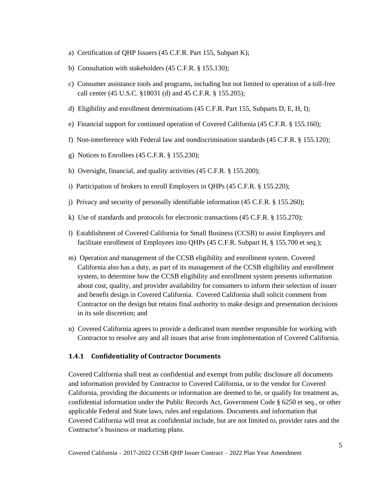- a) Certification of QHP Issuers (45 C.F.R. Part 155, Subpart K);
- b) Consultation with stakeholders (45 C.F.R. § 155.130);
- c) Consumer assistance tools and programs, including but not limited to operation of a toll-free call center (45 U.S.C. §18031 (d) and 45 C.F.R. § 155.205);
- d) Eligibility and enrollment determinations (45 C.F.R. Part 155, Subparts D, E, H, I);
- e) Financial support for continued operation of Covered California (45 C.F.R. § 155.160);
- f) Non-interference with Federal law and nondiscrimination standards (45 C.F.R. § 155.120);
- g) Notices to Enrollees (45 C.F.R. § 155.230);
- h) Oversight, financial, and quality activities (45 C.F.R. § 155.200);
- i) Participation of brokers to enroll Employers in QHPs (45 C.F.R. § 155.220);
- j) Privacy and security of personally identifiable information (45 C.F.R. § 155.260);
- k) Use of standards and protocols for electronic transactions (45 C.F.R. § 155.270);
- l) Establishment of Covered California for Small Business (CCSB) to assist Employers and facilitate enrollment of Employees into QHPs (45 C.F.R. Subpart H, § 155.700 et seq.);
- m) Operation and management of the CCSB eligibility and enrollment system. Covered California also has a duty, as part of its management of the CCSB eligibility and enrollment system, to determine how the CCSB eligibility and enrollment system presents information about cost, quality, and provider availability for consumers to inform their selection of issuer and benefit design in Covered California. Covered California shall solicit comment from Contractor on the design but retains final authority to make design and presentation decisions in its sole discretion; and
- n) Covered California agrees to provide a dedicated team member responsible for working with Contractor to resolve any and all issues that arise from implementation of Covered California.

#### <span id="page-10-0"></span>**1.4.1 Confidentiality of Contractor Documents**

Covered California shall treat as confidential and exempt from public disclosure all documents and information provided by Contractor to Covered California, or to the vendor for Covered California, providing the documents or information are deemed to be, or qualify for treatment as, confidential information under the Public Records Act, Government Code § 6250 et seq., or other applicable Federal and State laws, rules and regulations. Documents and information that Covered California will treat as confidential include, but are not limited to, provider rates and the Contractor's business or marketing plans.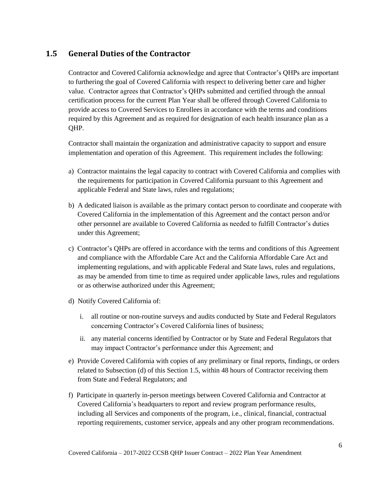# <span id="page-11-0"></span>**1.5 General Duties of the Contractor**

Contractor and Covered California acknowledge and agree that Contractor's QHPs are important to furthering the goal of Covered California with respect to delivering better care and higher value. Contractor agrees that Contractor's QHPs submitted and certified through the annual certification process for the current Plan Year shall be offered through Covered California to provide access to Covered Services to Enrollees in accordance with the terms and conditions required by this Agreement and as required for designation of each health insurance plan as a QHP.

Contractor shall maintain the organization and administrative capacity to support and ensure implementation and operation of this Agreement. This requirement includes the following:

- a) Contractor maintains the legal capacity to contract with Covered California and complies with the requirements for participation in Covered California pursuant to this Agreement and applicable Federal and State laws, rules and regulations;
- b) A dedicated liaison is available as the primary contact person to coordinate and cooperate with Covered California in the implementation of this Agreement and the contact person and/or other personnel are available to Covered California as needed to fulfill Contractor's duties under this Agreement;
- c) Contractor's QHPs are offered in accordance with the terms and conditions of this Agreement and compliance with the Affordable Care Act and the California Affordable Care Act and implementing regulations, and with applicable Federal and State laws, rules and regulations, as may be amended from time to time as required under applicable laws, rules and regulations or as otherwise authorized under this Agreement;
- d) Notify Covered California of:
	- i. all routine or non-routine surveys and audits conducted by State and Federal Regulators concerning Contractor's Covered California lines of business;
	- ii. any material concerns identified by Contractor or by State and Federal Regulators that may impact Contractor's performance under this Agreement; and
- e) Provide Covered California with copies of any preliminary or final reports, findings, or orders related to Subsection (d) of this Section 1.5, within 48 hours of Contractor receiving them from State and Federal Regulators; and
- f) Participate in quarterly in-person meetings between Covered California and Contractor at Covered California's headquarters to report and review program performance results, including all Services and components of the program, i.e., clinical, financial, contractual reporting requirements, customer service, appeals and any other program recommendations.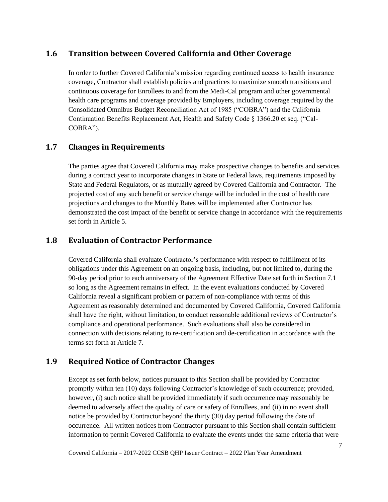# <span id="page-12-0"></span>**1.6 Transition between Covered California and Other Coverage**

In order to further Covered California's mission regarding continued access to health insurance coverage, Contractor shall establish policies and practices to maximize smooth transitions and continuous coverage for Enrollees to and from the Medi-Cal program and other governmental health care programs and coverage provided by Employers, including coverage required by the Consolidated Omnibus Budget Reconciliation Act of 1985 ("COBRA") and the California Continuation Benefits Replacement Act, Health and Safety Code § 1366.20 et seq. ("Cal-COBRA").

# <span id="page-12-1"></span>**1.7 Changes in Requirements**

The parties agree that Covered California may make prospective changes to benefits and services during a contract year to incorporate changes in State or Federal laws, requirements imposed by State and Federal Regulators, or as mutually agreed by Covered California and Contractor. The projected cost of any such benefit or service change will be included in the cost of health care projections and changes to the Monthly Rates will be implemented after Contractor has demonstrated the cost impact of the benefit or service change in accordance with the requirements set forth in Article 5.

# <span id="page-12-2"></span>**1.8 Evaluation of Contractor Performance**

Covered California shall evaluate Contractor's performance with respect to fulfillment of its obligations under this Agreement on an ongoing basis, including, but not limited to, during the 90-day period prior to each anniversary of the Agreement Effective Date set forth in Section 7.1 so long as the Agreement remains in effect. In the event evaluations conducted by Covered California reveal a significant problem or pattern of non-compliance with terms of this Agreement as reasonably determined and documented by Covered California, Covered California shall have the right, without limitation, to conduct reasonable additional reviews of Contractor's compliance and operational performance. Such evaluations shall also be considered in connection with decisions relating to re-certification and de-certification in accordance with the terms set forth at Article 7.

# <span id="page-12-3"></span>**1.9 Required Notice of Contractor Changes**

Except as set forth below, notices pursuant to this Section shall be provided by Contractor promptly within ten (10) days following Contractor's knowledge of such occurrence; provided, however, (i) such notice shall be provided immediately if such occurrence may reasonably be deemed to adversely affect the quality of care or safety of Enrollees, and (ii) in no event shall notice be provided by Contractor beyond the thirty (30) day period following the date of occurrence. All written notices from Contractor pursuant to this Section shall contain sufficient information to permit Covered California to evaluate the events under the same criteria that were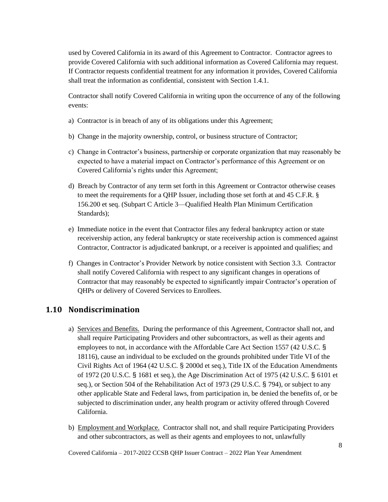used by Covered California in its award of this Agreement to Contractor. Contractor agrees to provide Covered California with such additional information as Covered California may request. If Contractor requests confidential treatment for any information it provides, Covered California shall treat the information as confidential, consistent with Section 1.4.1.

Contractor shall notify Covered California in writing upon the occurrence of any of the following events:

- a) Contractor is in breach of any of its obligations under this Agreement;
- b) Change in the majority ownership, control, or business structure of Contractor;
- c) Change in Contractor's business, partnership or corporate organization that may reasonably be expected to have a material impact on Contractor's performance of this Agreement or on Covered California's rights under this Agreement;
- d) Breach by Contractor of any term set forth in this Agreement or Contractor otherwise ceases to meet the requirements for a QHP Issuer, including those set forth at and 45 C.F.R. § 156.200 et seq. (Subpart C Article 3—Qualified Health Plan Minimum Certification Standards);
- e) Immediate notice in the event that Contractor files any federal bankruptcy action or state receivership action, any federal bankruptcy or state receivership action is commenced against Contractor, Contractor is adjudicated bankrupt, or a receiver is appointed and qualifies; and
- f) Changes in Contractor's Provider Network by notice consistent with Section 3.3. Contractor shall notify Covered California with respect to any significant changes in operations of Contractor that may reasonably be expected to significantly impair Contractor's operation of QHPs or delivery of Covered Services to Enrollees.

### <span id="page-13-0"></span>**1.10 Nondiscrimination**

- a) Services and Benefits. During the performance of this Agreement, Contractor shall not, and shall require Participating Providers and other subcontractors, as well as their agents and employees to not, in accordance with the Affordable Care Act Section 1557 (42 U.S.C. § 18116), cause an individual to be excluded on the grounds prohibited under Title VI of the Civil Rights Act of 1964 (42 U.S.C. § 2000d et seq.), Title IX of the Education Amendments of 1972 (20 U.S.C. § 1681 et seq.), the Age Discrimination Act of 1975 (42 U.S.C. § 6101 et seq.), or Section 504 of the Rehabilitation Act of 1973 (29 U.S.C. § 794), or subject to any other applicable State and Federal laws, from participation in, be denied the benefits of, or be subjected to discrimination under, any health program or activity offered through Covered California.
- b) Employment and Workplace. Contractor shall not, and shall require Participating Providers and other subcontractors, as well as their agents and employees to not, unlawfully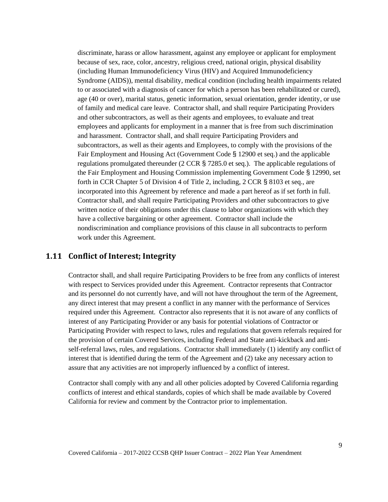discriminate, harass or allow harassment, against any employee or applicant for employment because of sex, race, color, ancestry, religious creed, national origin, physical disability (including Human Immunodeficiency Virus (HIV) and Acquired Immunodeficiency Syndrome (AIDS)), mental disability, medical condition (including health impairments related to or associated with a diagnosis of cancer for which a person has been rehabilitated or cured), age (40 or over), marital status, genetic information, sexual orientation, gender identity, or use of family and medical care leave. Contractor shall, and shall require Participating Providers and other subcontractors, as well as their agents and employees, to evaluate and treat employees and applicants for employment in a manner that is free from such discrimination and harassment. Contractor shall, and shall require Participating Providers and subcontractors, as well as their agents and Employees, to comply with the provisions of the Fair Employment and Housing Act (Government Code § 12900 et seq.) and the applicable regulations promulgated thereunder (2 CCR § 7285.0 et seq.). The applicable regulations of the Fair Employment and Housing Commission implementing Government Code § 12990, set forth in CCR Chapter 5 of Division 4 of Title 2, including, 2 CCR § 8103 et seq., are incorporated into this Agreement by reference and made a part hereof as if set forth in full. Contractor shall, and shall require Participating Providers and other subcontractors to give written notice of their obligations under this clause to labor organizations with which they have a collective bargaining or other agreement. Contractor shall include the nondiscrimination and compliance provisions of this clause in all subcontracts to perform work under this Agreement.

### <span id="page-14-0"></span>**1.11 Conflict of Interest; Integrity**

Contractor shall, and shall require Participating Providers to be free from any conflicts of interest with respect to Services provided under this Agreement. Contractor represents that Contractor and its personnel do not currently have, and will not have throughout the term of the Agreement, any direct interest that may present a conflict in any manner with the performance of Services required under this Agreement. Contractor also represents that it is not aware of any conflicts of interest of any Participating Provider or any basis for potential violations of Contractor or Participating Provider with respect to laws, rules and regulations that govern referrals required for the provision of certain Covered Services, including Federal and State anti-kickback and antiself-referral laws, rules, and regulations. Contractor shall immediately (1) identify any conflict of interest that is identified during the term of the Agreement and (2) take any necessary action to assure that any activities are not improperly influenced by a conflict of interest.

Contractor shall comply with any and all other policies adopted by Covered California regarding conflicts of interest and ethical standards, copies of which shall be made available by Covered California for review and comment by the Contractor prior to implementation.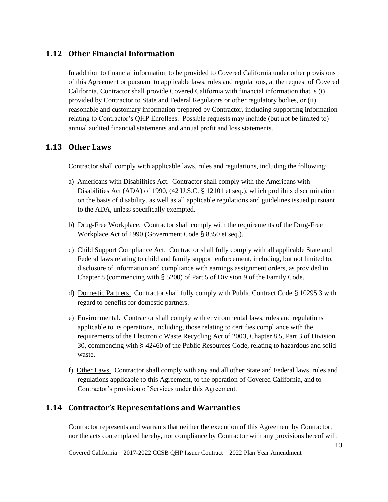# <span id="page-15-0"></span>**1.12 Other Financial Information**

In addition to financial information to be provided to Covered California under other provisions of this Agreement or pursuant to applicable laws, rules and regulations, at the request of Covered California, Contractor shall provide Covered California with financial information that is (i) provided by Contractor to State and Federal Regulators or other regulatory bodies, or (ii) reasonable and customary information prepared by Contractor, including supporting information relating to Contractor's QHP Enrollees. Possible requests may include (but not be limited to) annual audited financial statements and annual profit and loss statements.

### <span id="page-15-1"></span>**1.13 Other Laws**

Contractor shall comply with applicable laws, rules and regulations, including the following:

- a) Americans with Disabilities Act. Contractor shall comply with the Americans with Disabilities Act (ADA) of 1990, (42 U.S.C. § 12101 et seq.), which prohibits discrimination on the basis of disability, as well as all applicable regulations and guidelines issued pursuant to the ADA, unless specifically exempted.
- b) Drug-Free Workplace. Contractor shall comply with the requirements of the Drug-Free Workplace Act of 1990 (Government Code § 8350 et seq.).
- c) Child Support Compliance Act. Contractor shall fully comply with all applicable State and Federal laws relating to child and family support enforcement, including, but not limited to, disclosure of information and compliance with earnings assignment orders, as provided in Chapter 8 (commencing with § 5200) of Part 5 of Division 9 of the Family Code.
- d) Domestic Partners. Contractor shall fully comply with Public Contract Code § 10295.3 with regard to benefits for domestic partners.
- e) Environmental. Contractor shall comply with environmental laws, rules and regulations applicable to its operations, including, those relating to certifies compliance with the requirements of the Electronic Waste Recycling Act of 2003, Chapter 8.5, Part 3 of Division 30, commencing with § 42460 of the Public Resources Code, relating to hazardous and solid waste.
- f) Other Laws. Contractor shall comply with any and all other State and Federal laws, rules and regulations applicable to this Agreement, to the operation of Covered California, and to Contractor's provision of Services under this Agreement.

### <span id="page-15-2"></span>**1.14 Contractor's Representations and Warranties**

Contractor represents and warrants that neither the execution of this Agreement by Contractor, nor the acts contemplated hereby, nor compliance by Contractor with any provisions hereof will: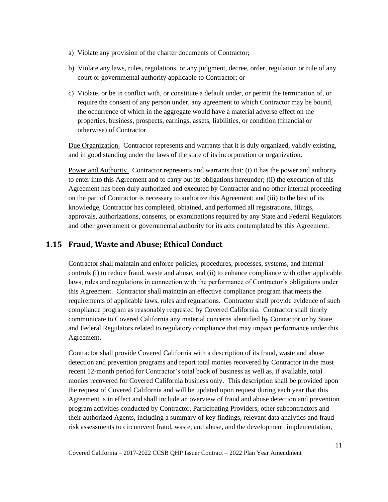- a) Violate any provision of the charter documents of Contractor;
- b) Violate any laws, rules, regulations, or any judgment, decree, order, regulation or rule of any court or governmental authority applicable to Contractor; or
- c) Violate, or be in conflict with, or constitute a default under, or permit the termination of, or require the consent of any person under, any agreement to which Contractor may be bound, the occurrence of which in the aggregate would have a material adverse effect on the properties, business, prospects, earnings, assets, liabilities, or condition (financial or otherwise) of Contractor.

Due Organization. Contractor represents and warrants that it is duly organized, validly existing, and in good standing under the laws of the state of its incorporation or organization.

Power and Authority. Contractor represents and warrants that: (i) it has the power and authority to enter into this Agreement and to carry out its obligations hereunder; (ii) the execution of this Agreement has been duly authorized and executed by Contractor and no other internal proceeding on the part of Contractor is necessary to authorize this Agreement; and (iii) to the best of its knowledge, Contractor has completed, obtained, and performed all registrations, filings, approvals, authorizations, consents, or examinations required by any State and Federal Regulators and other government or governmental authority for its acts contemplated by this Agreement.

# <span id="page-16-0"></span>**1.15 Fraud, Waste and Abuse; Ethical Conduct**

Contractor shall maintain and enforce policies, procedures, processes, systems, and internal controls (i) to reduce fraud, waste and abuse, and (ii) to enhance compliance with other applicable laws, rules and regulations in connection with the performance of Contractor's obligations under this Agreement. Contractor shall maintain an effective compliance program that meets the requirements of applicable laws, rules and regulations. Contractor shall provide evidence of such compliance program as reasonably requested by Covered California. Contractor shall timely communicate to Covered California any material concerns identified by Contractor or by State and Federal Regulators related to regulatory compliance that may impact performance under this Agreement.

Contractor shall provide Covered California with a description of its fraud, waste and abuse detection and prevention programs and report total monies recovered by Contractor in the most recent 12-month period for Contractor's total book of business as well as, if available, total monies recovered for Covered California business only. This description shall be provided upon the request of Covered California and will be updated upon request during each year that this Agreement is in effect and shall include an overview of fraud and abuse detection and prevention program activities conducted by Contractor, Participating Providers, other subcontractors and their authorized Agents, including a summary of key findings, relevant data analytics and fraud risk assessments to circumvent fraud, waste, and abuse, and the development, implementation,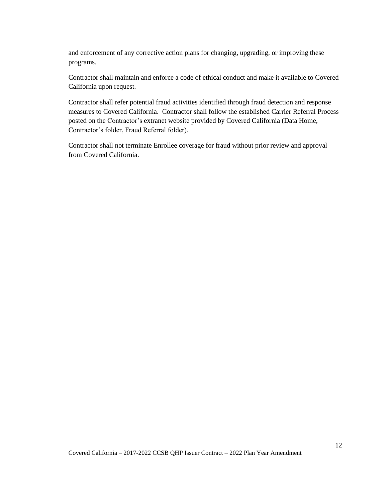and enforcement of any corrective action plans for changing, upgrading, or improving these programs.

Contractor shall maintain and enforce a code of ethical conduct and make it available to Covered California upon request.

Contractor shall refer potential fraud activities identified through fraud detection and response measures to Covered California. Contractor shall follow the established Carrier Referral Process posted on the Contractor's extranet website provided by Covered California (Data Home, Contractor's folder, Fraud Referral folder).

Contractor shall not terminate Enrollee coverage for fraud without prior review and approval from Covered California.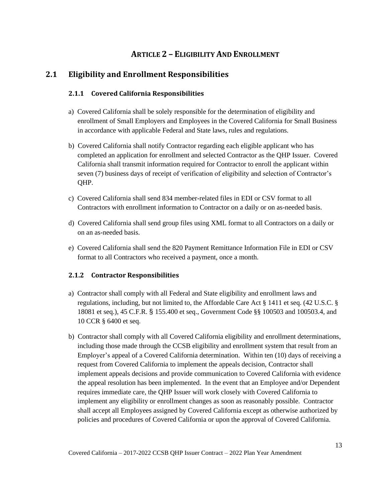# **ARTICLE 2 – ELIGIBILITY AND ENROLLMENT**

# <span id="page-18-2"></span><span id="page-18-1"></span><span id="page-18-0"></span>**2.1 Eligibility and Enrollment Responsibilities**

### **2.1.1 Covered California Responsibilities**

- a) Covered California shall be solely responsible for the determination of eligibility and enrollment of Small Employers and Employees in the Covered California for Small Business in accordance with applicable Federal and State laws, rules and regulations.
- b) Covered California shall notify Contractor regarding each eligible applicant who has completed an application for enrollment and selected Contractor as the QHP Issuer. Covered California shall transmit information required for Contractor to enroll the applicant within seven (7) business days of receipt of verification of eligibility and selection of Contractor's QHP.
- c) Covered California shall send 834 member-related files in EDI or CSV format to all Contractors with enrollment information to Contractor on a daily or on as-needed basis.
- d) Covered California shall send group files using XML format to all Contractors on a daily or on an as-needed basis.
- e) Covered California shall send the 820 Payment Remittance Information File in EDI or CSV format to all Contractors who received a payment, once a month.

### <span id="page-18-3"></span>**2.1.2 Contractor Responsibilities**

- a) Contractor shall comply with all Federal and State eligibility and enrollment laws and regulations, including, but not limited to, the Affordable Care Act § 1411 et seq. (42 U.S.C. § 18081 et seq.), 45 C.F.R. § 155.400 et seq., Government Code §§ 100503 and 100503.4, and 10 CCR § 6400 et seq.
- b) Contractor shall comply with all Covered California eligibility and enrollment determinations, including those made through the CCSB eligibility and enrollment system that result from an Employer's appeal of a Covered California determination. Within ten (10) days of receiving a request from Covered California to implement the appeals decision, Contractor shall implement appeals decisions and provide communication to Covered California with evidence the appeal resolution has been implemented. In the event that an Employee and/or Dependent requires immediate care, the QHP Issuer will work closely with Covered California to implement any eligibility or enrollment changes as soon as reasonably possible. Contractor shall accept all Employees assigned by Covered California except as otherwise authorized by policies and procedures of Covered California or upon the approval of Covered California.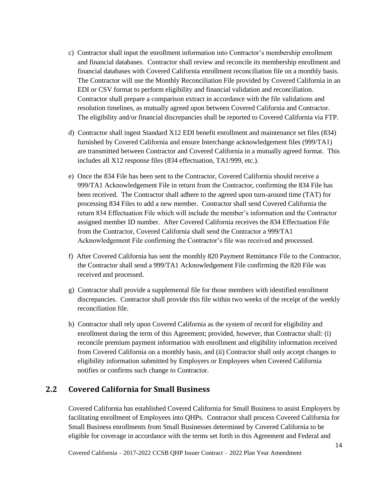- c) Contractor shall input the enrollment information into Contractor's membership enrollment and financial databases. Contractor shall review and reconcile its membership enrollment and financial databases with Covered California enrollment reconciliation file on a monthly basis. The Contractor will use the Monthly Reconciliation File provided by Covered California in an EDI or CSV format to perform eligibility and financial validation and reconciliation. Contractor shall prepare a comparison extract in accordance with the file validations and resolution timelines, as mutually agreed upon between Covered California and Contractor. The eligibility and/or financial discrepancies shall be reported to Covered California via FTP.
- d) Contractor shall ingest Standard X12 EDI benefit enrollment and maintenance set files (834) furnished by Covered California and ensure Interchange acknowledgement files (999/TA1) are transmitted between Contractor and Covered California in a mutually agreed format. This includes all X12 response files (834 effectuation, TA1/999, etc.).
- e) Once the 834 File has been sent to the Contractor, Covered California should receive a 999/TA1 Acknowledgement File in return from the Contractor, confirming the 834 File has been received. The Contractor shall adhere to the agreed upon turn-around time (TAT) for processing 834 Files to add a new member. Contractor shall send Covered California the return 834 Effectuation File which will include the member's information and the Contractor assigned member ID number. After Covered California receives the 834 Effectuation File from the Contractor, Covered California shall send the Contractor a 999/TA1 Acknowledgement File confirming the Contractor's file was received and processed.
- f) After Covered California has sent the monthly 820 Payment Remittance File to the Contractor, the Contractor shall send a 999/TA1 Acknowledgement File confirming the 820 File was received and processed.
- g) Contractor shall provide a supplemental file for those members with identified enrollment discrepancies. Contractor shall provide this file within two weeks of the receipt of the weekly reconciliation file.
- h) Contractor shall rely upon Covered California as the system of record for eligibility and enrollment during the term of this Agreement; provided, however, that Contractor shall: (i) reconcile premium payment information with enrollment and eligibility information received from Covered California on a monthly basis, and (ii) Contractor shall only accept changes to eligibility information submitted by Employers or Employees when Covered California notifies or confirms such change to Contractor.

### <span id="page-19-0"></span>**2.2 Covered California for Small Business**

Covered California has established Covered California for Small Business to assist Employers by facilitating enrollment of Employees into QHPs. Contractor shall process Covered California for Small Business enrollments from Small Businesses determined by Covered California to be eligible for coverage in accordance with the terms set forth in this Agreement and Federal and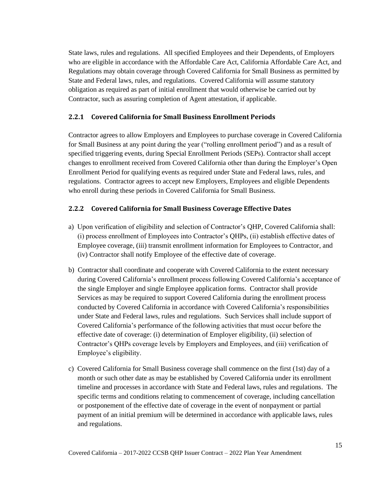State laws, rules and regulations. All specified Employees and their Dependents, of Employers who are eligible in accordance with the Affordable Care Act, California Affordable Care Act, and Regulations may obtain coverage through Covered California for Small Business as permitted by State and Federal laws, rules, and regulations. Covered California will assume statutory obligation as required as part of initial enrollment that would otherwise be carried out by Contractor, such as assuring completion of Agent attestation, if applicable.

### <span id="page-20-0"></span>**2.2.1 Covered California for Small Business Enrollment Periods**

Contractor agrees to allow Employers and Employees to purchase coverage in Covered California for Small Business at any point during the year ("rolling enrollment period") and as a result of specified triggering events, during Special Enrollment Periods (SEPs). Contractor shall accept changes to enrollment received from Covered California other than during the Employer's Open Enrollment Period for qualifying events as required under State and Federal laws, rules, and regulations. Contractor agrees to accept new Employers, Employees and eligible Dependents who enroll during these periods in Covered California for Small Business.

### <span id="page-20-1"></span>**2.2.2 Covered California for Small Business Coverage Effective Dates**

- a) Upon verification of eligibility and selection of Contractor's QHP, Covered California shall: (i) process enrollment of Employees into Contractor's QHPs, (ii) establish effective dates of Employee coverage, (iii) transmit enrollment information for Employees to Contractor, and (iv) Contractor shall notify Employee of the effective date of coverage.
- b) Contractor shall coordinate and cooperate with Covered California to the extent necessary during Covered California's enrollment process following Covered California's acceptance of the single Employer and single Employee application forms. Contractor shall provide Services as may be required to support Covered California during the enrollment process conducted by Covered California in accordance with Covered California's responsibilities under State and Federal laws, rules and regulations. Such Services shall include support of Covered California's performance of the following activities that must occur before the effective date of coverage: (i) determination of Employer eligibility, (ii) selection of Contractor's QHPs coverage levels by Employers and Employees, and (iii) verification of Employee's eligibility.
- c) Covered California for Small Business coverage shall commence on the first (1st) day of a month or such other date as may be established by Covered California under its enrollment timeline and processes in accordance with State and Federal laws, rules and regulations. The specific terms and conditions relating to commencement of coverage, including cancellation or postponement of the effective date of coverage in the event of nonpayment or partial payment of an initial premium will be determined in accordance with applicable laws, rules and regulations.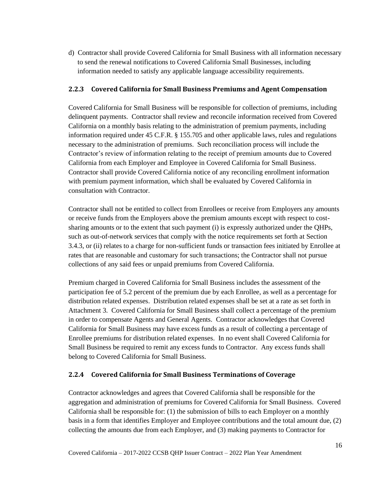d) Contractor shall provide Covered California for Small Business with all information necessary to send the renewal notifications to Covered California Small Businesses, including information needed to satisfy any applicable language accessibility requirements.

### <span id="page-21-0"></span>**2.2.3 Covered California for Small Business Premiums and Agent Compensation**

Covered California for Small Business will be responsible for collection of premiums, including delinquent payments. Contractor shall review and reconcile information received from Covered California on a monthly basis relating to the administration of premium payments, including information required under 45 C.F.R. § 155.705 and other applicable laws, rules and regulations necessary to the administration of premiums. Such reconciliation process will include the Contractor's review of information relating to the receipt of premium amounts due to Covered California from each Employer and Employee in Covered California for Small Business. Contractor shall provide Covered California notice of any reconciling enrollment information with premium payment information, which shall be evaluated by Covered California in consultation with Contractor.

Contractor shall not be entitled to collect from Enrollees or receive from Employers any amounts or receive funds from the Employers above the premium amounts except with respect to costsharing amounts or to the extent that such payment (i) is expressly authorized under the QHPs, such as out-of-network services that comply with the notice requirements set forth at Section 3.4.3, or (ii) relates to a charge for non-sufficient funds or transaction fees initiated by Enrollee at rates that are reasonable and customary for such transactions; the Contractor shall not pursue collections of any said fees or unpaid premiums from Covered California.

Premium charged in Covered California for Small Business includes the assessment of the participation fee of 5.2 percent of the premium due by each Enrollee, as well as a percentage for distribution related expenses. Distribution related expenses shall be set at a rate as set forth in Attachment 3. Covered California for Small Business shall collect a percentage of the premium in order to compensate Agents and General Agents. Contractor acknowledges that Covered California for Small Business may have excess funds as a result of collecting a percentage of Enrollee premiums for distribution related expenses. In no event shall Covered California for Small Business be required to remit any excess funds to Contractor. Any excess funds shall belong to Covered California for Small Business.

### <span id="page-21-1"></span>**2.2.4 Covered California for Small Business Terminations of Coverage**

Contractor acknowledges and agrees that Covered California shall be responsible for the aggregation and administration of premiums for Covered California for Small Business. Covered California shall be responsible for: (1) the submission of bills to each Employer on a monthly basis in a form that identifies Employer and Employee contributions and the total amount due, (2) collecting the amounts due from each Employer, and (3) making payments to Contractor for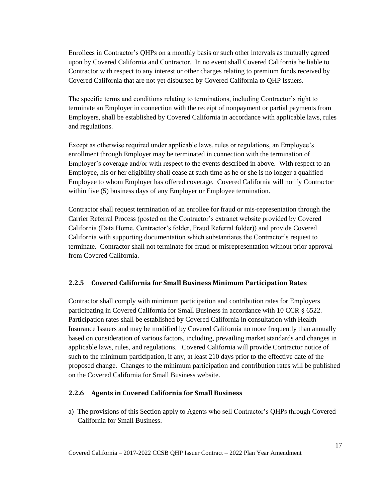Enrollees in Contractor's QHPs on a monthly basis or such other intervals as mutually agreed upon by Covered California and Contractor. In no event shall Covered California be liable to Contractor with respect to any interest or other charges relating to premium funds received by Covered California that are not yet disbursed by Covered California to QHP Issuers.

The specific terms and conditions relating to terminations, including Contractor's right to terminate an Employer in connection with the receipt of nonpayment or partial payments from Employers, shall be established by Covered California in accordance with applicable laws, rules and regulations.

Except as otherwise required under applicable laws, rules or regulations, an Employee's enrollment through Employer may be terminated in connection with the termination of Employer's coverage and/or with respect to the events described in above. With respect to an Employee, his or her eligibility shall cease at such time as he or she is no longer a qualified Employee to whom Employer has offered coverage. Covered California will notify Contractor within five (5) business days of any Employer or Employee termination.

Contractor shall request termination of an enrollee for fraud or mis-representation through the Carrier Referral Process (posted on the Contractor's extranet website provided by Covered California (Data Home, Contractor's folder, Fraud Referral folder)) and provide Covered California with supporting documentation which substantiates the Contractor's request to terminate. Contractor shall not terminate for fraud or misrepresentation without prior approval from Covered California.

### <span id="page-22-0"></span>**2.2.5 Covered California for Small Business Minimum Participation Rates**

Contractor shall comply with minimum participation and contribution rates for Employers participating in Covered California for Small Business in accordance with 10 CCR § 6522. Participation rates shall be established by Covered California in consultation with Health Insurance Issuers and may be modified by Covered California no more frequently than annually based on consideration of various factors, including, prevailing market standards and changes in applicable laws, rules, and regulations. Covered California will provide Contractor notice of such to the minimum participation, if any, at least 210 days prior to the effective date of the proposed change. Changes to the minimum participation and contribution rates will be published on the Covered California for Small Business website.

### <span id="page-22-1"></span>**2.2.6 Agents in Covered California for Small Business**

a) The provisions of this Section apply to Agents who sell Contractor's QHPs through Covered California for Small Business.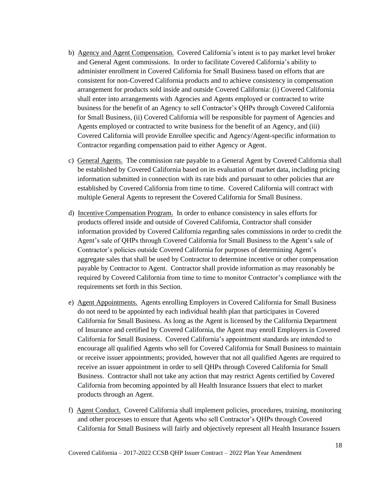- b) Agency and Agent Compensation. Covered California's intent is to pay market level broker and General Agent commissions. In order to facilitate Covered California's ability to administer enrollment in Covered California for Small Business based on efforts that are consistent for non-Covered California products and to achieve consistency in compensation arrangement for products sold inside and outside Covered California: (i) Covered California shall enter into arrangements with Agencies and Agents employed or contracted to write business for the benefit of an Agency to sell Contractor's QHPs through Covered California for Small Business, (ii) Covered California will be responsible for payment of Agencies and Agents employed or contracted to write business for the benefit of an Agency, and (iii) Covered California will provide Enrollee specific and Agency/Agent-specific information to Contractor regarding compensation paid to either Agency or Agent.
- c) General Agents. The commission rate payable to a General Agent by Covered California shall be established by Covered California based on its evaluation of market data, including pricing information submitted in connection with its rate bids and pursuant to other policies that are established by Covered California from time to time. Covered California will contract with multiple General Agents to represent the Covered California for Small Business.
- d) Incentive Compensation Program. In order to enhance consistency in sales efforts for products offered inside and outside of Covered California, Contractor shall consider information provided by Covered California regarding sales commissions in order to credit the Agent's sale of QHPs through Covered California for Small Business to the Agent's sale of Contractor's policies outside Covered California for purposes of determining Agent's aggregate sales that shall be used by Contractor to determine incentive or other compensation payable by Contractor to Agent. Contractor shall provide information as may reasonably be required by Covered California from time to time to monitor Contractor's compliance with the requirements set forth in this Section.
- e) Agent Appointments. Agents enrolling Employers in Covered California for Small Business do not need to be appointed by each individual health plan that participates in Covered California for Small Business. As long as the Agent is licensed by the California Department of Insurance and certified by Covered California, the Agent may enroll Employers in Covered California for Small Business. Covered California's appointment standards are intended to encourage all qualified Agents who sell for Covered California for Small Business to maintain or receive issuer appointments; provided, however that not all qualified Agents are required to receive an issuer appointment in order to sell QHPs through Covered California for Small Business. Contractor shall not take any action that may restrict Agents certified by Covered California from becoming appointed by all Health Insurance Issuers that elect to market products through an Agent.
- f) Agent Conduct. Covered California shall implement policies, procedures, training, monitoring and other processes to ensure that Agents who sell Contractor's QHPs through Covered California for Small Business will fairly and objectively represent all Health Insurance Issuers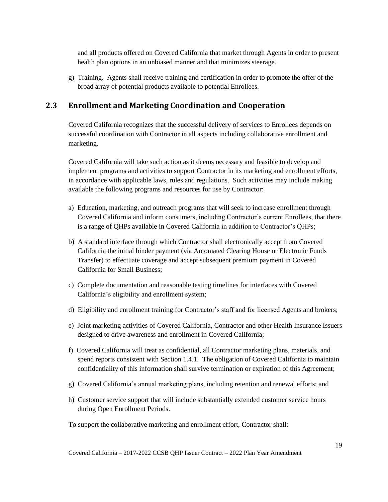and all products offered on Covered California that market through Agents in order to present health plan options in an unbiased manner and that minimizes steerage.

g) Training. Agents shall receive training and certification in order to promote the offer of the broad array of potential products available to potential Enrollees.

# <span id="page-24-0"></span>**2.3 Enrollment and Marketing Coordination and Cooperation**

Covered California recognizes that the successful delivery of services to Enrollees depends on successful coordination with Contractor in all aspects including collaborative enrollment and marketing.

Covered California will take such action as it deems necessary and feasible to develop and implement programs and activities to support Contractor in its marketing and enrollment efforts, in accordance with applicable laws, rules and regulations. Such activities may include making available the following programs and resources for use by Contractor:

- a) Education, marketing, and outreach programs that will seek to increase enrollment through Covered California and inform consumers, including Contractor's current Enrollees, that there is a range of QHPs available in Covered California in addition to Contractor's QHPs;
- b) A standard interface through which Contractor shall electronically accept from Covered California the initial binder payment (via Automated Clearing House or Electronic Funds Transfer) to effectuate coverage and accept subsequent premium payment in Covered California for Small Business;
- c) Complete documentation and reasonable testing timelines for interfaces with Covered California's eligibility and enrollment system;
- d) Eligibility and enrollment training for Contractor's staff and for licensed Agents and brokers;
- e) Joint marketing activities of Covered California, Contractor and other Health Insurance Issuers designed to drive awareness and enrollment in Covered California;
- f) Covered California will treat as confidential, all Contractor marketing plans, materials, and spend reports consistent with Section 1.4.1. The obligation of Covered California to maintain confidentiality of this information shall survive termination or expiration of this Agreement;
- g) Covered California's annual marketing plans, including retention and renewal efforts; and
- h) Customer service support that will include substantially extended customer service hours during Open Enrollment Periods.
- To support the collaborative marketing and enrollment effort, Contractor shall: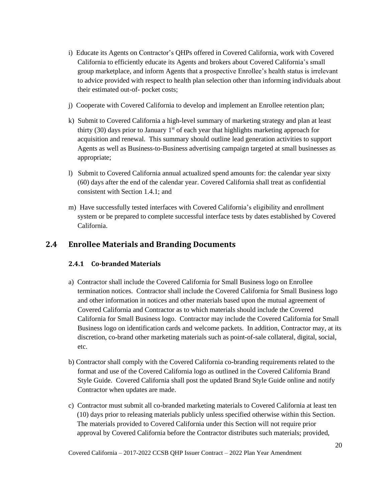- i) Educate its Agents on Contractor's QHPs offered in Covered California, work with Covered California to efficiently educate its Agents and brokers about Covered California's small group marketplace, and inform Agents that a prospective Enrollee's health status is irrelevant to advice provided with respect to health plan selection other than informing individuals about their estimated out-of- pocket costs;
- j) Cooperate with Covered California to develop and implement an Enrollee retention plan;
- k) Submit to Covered California a high-level summary of marketing strategy and plan at least thirty (30) days prior to January  $1<sup>st</sup>$  of each year that highlights marketing approach for acquisition and renewal. This summary should outline lead generation activities to support Agents as well as Business-to-Business advertising campaign targeted at small businesses as appropriate;
- l) Submit to Covered California annual actualized spend amounts for: the calendar year sixty (60) days after the end of the calendar year. Covered California shall treat as confidential consistent with Section 1.4.1; and
- m) Have successfully tested interfaces with Covered California's eligibility and enrollment system or be prepared to complete successful interface tests by dates established by Covered California.

# <span id="page-25-1"></span><span id="page-25-0"></span>**2.4 Enrollee Materials and Branding Documents**

### **2.4.1 Co-branded Materials**

- a) Contractor shall include the Covered California for Small Business logo on Enrollee termination notices. Contractor shall include the Covered California for Small Business logo and other information in notices and other materials based upon the mutual agreement of Covered California and Contractor as to which materials should include the Covered California for Small Business logo. Contractor may include the Covered California for Small Business logo on identification cards and welcome packets. In addition, Contractor may, at its discretion, co-brand other marketing materials such as point-of-sale collateral, digital, social, etc.
- b) Contractor shall comply with the Covered California co-branding requirements related to the format and use of the Covered California logo as outlined in the Covered California Brand Style Guide. Covered California shall post the updated Brand Style Guide online and notify Contractor when updates are made.
- c) Contractor must submit all co-branded marketing materials to Covered California at least ten (10) days prior to releasing materials publicly unless specified otherwise within this Section. The materials provided to Covered California under this Section will not require prior approval by Covered California before the Contractor distributes such materials; provided,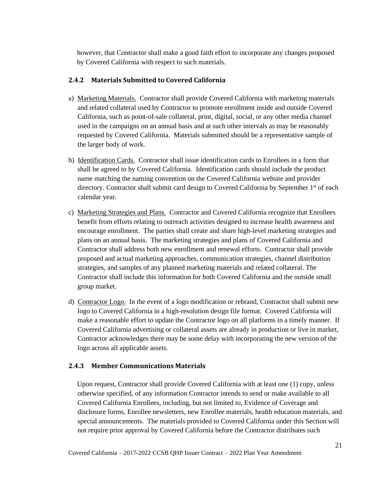however, that Contractor shall make a good faith effort to incorporate any changes proposed by Covered California with respect to such materials.

### <span id="page-26-0"></span>**2.4.2 Materials Submitted to Covered California**

- a) Marketing Materials. Contractor shall provide Covered California with marketing materials and related collateral used by Contractor to promote enrollment inside and outside Covered California, such as point-of-sale collateral, print, digital, social, or any other media channel used in the campaigns on an annual basis and at such other intervals as may be reasonably requested by Covered California. Materials submitted should be a representative sample of the larger body of work.
- b) Identification Cards. Contractor shall issue identification cards to Enrollees in a form that shall be agreed to by Covered California. Identification cards should include the product name matching the naming convention on the Covered California website and provider directory. Contractor shall submit card design to Covered California by September 1<sup>st</sup> of each calendar year.
- c) Marketing Strategies and Plans. Contractor and Covered California recognize that Enrollees benefit from efforts relating to outreach activities designed to increase health awareness and encourage enrollment. The parties shall create and share high-level marketing strategies and plans on an annual basis. The marketing strategies and plans of Covered California and Contractor shall address both new enrollment and renewal efforts. Contractor shall provide proposed and actual marketing approaches, communication strategies, channel distribution strategies, and samples of any planned marketing materials and related collateral. The Contractor shall include this information for both Covered California and the outside small group market.
- d) Contractor Logo. In the event of a logo modification or rebrand, Contractor shall submit new logo to Covered California in a high-resolution design file format. Covered California will make a reasonable effort to update the Contractor logo on all platforms in a timely manner. If Covered California advertising or collateral assets are already in production or live in market, Contractor acknowledges there may be some delay with incorporating the new version of the logo across all applicable assets.

### <span id="page-26-1"></span>**2.4.3 Member Communications Materials**

 Upon request, Contractor shall provide Covered California with at least one (1) copy, unless otherwise specified, of any information Contractor intends to send or make available to all Covered California Enrollees, including, but not limited to, Evidence of Coverage and disclosure forms, Enrollee newsletters, new Enrollee materials, health education materials, and special announcements. The materials provided to Covered California under this Section will not require prior approval by Covered California before the Contractor distributes such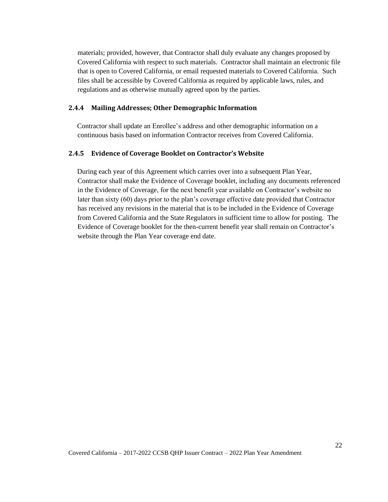materials; provided, however, that Contractor shall duly evaluate any changes proposed by Covered California with respect to such materials. Contractor shall maintain an electronic file that is open to Covered California, or email requested materials to Covered California. Such files shall be accessible by Covered California as required by applicable laws, rules, and regulations and as otherwise mutually agreed upon by the parties.

#### <span id="page-27-0"></span>**2.4.4 Mailing Addresses; Other Demographic Information**

 Contractor shall update an Enrollee's address and other demographic information on a continuous basis based on information Contractor receives from Covered California.

#### <span id="page-27-1"></span>**2.4.5 Evidence of Coverage Booklet on Contractor's Website**

 During each year of this Agreement which carries over into a subsequent Plan Year, Contractor shall make the Evidence of Coverage booklet, including any documents referenced in the Evidence of Coverage, for the next benefit year available on Contractor's website no later than sixty (60) days prior to the plan's coverage effective date provided that Contractor has received any revisions in the material that is to be included in the Evidence of Coverage from Covered California and the State Regulators in sufficient time to allow for posting. The Evidence of Coverage booklet for the then-current benefit year shall remain on Contractor's website through the Plan Year coverage end date.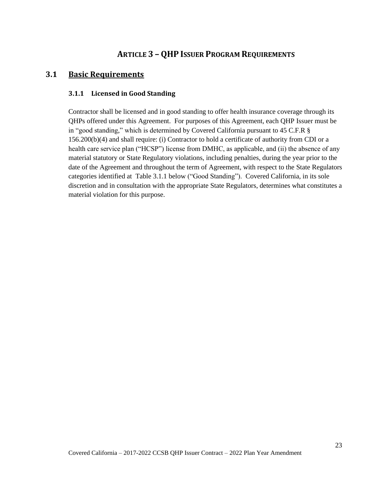# <span id="page-28-0"></span>**ARTICLE 3 – QHP ISSUER PROGRAM REQUIREMENTS**

### <span id="page-28-2"></span><span id="page-28-1"></span>**3.1 Basic Requirements**

#### **3.1.1 Licensed in Good Standing**

Contractor shall be licensed and in good standing to offer health insurance coverage through its QHPs offered under this Agreement. For purposes of this Agreement, each QHP Issuer must be in "good standing," which is determined by Covered California pursuant to 45 C.F.R § 156.200(b)(4) and shall require: (i) Contractor to hold a certificate of authority from CDI or a health care service plan ("HCSP") license from DMHC, as applicable, and (ii) the absence of any material statutory or State Regulatory violations, including penalties, during the year prior to the date of the Agreement and throughout the term of Agreement, with respect to the State Regulators categories identified at Table 3.1.1 below ("Good Standing"). Covered California, in its sole discretion and in consultation with the appropriate State Regulators, determines what constitutes a material violation for this purpose.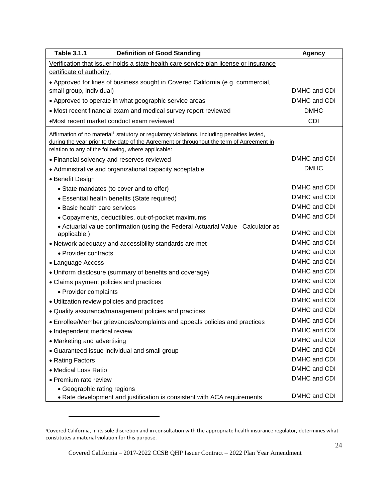| <b>Table 3.1.1</b><br><b>Definition of Good Standing</b>                                                                                                                                             | <b>Agency</b> |
|------------------------------------------------------------------------------------------------------------------------------------------------------------------------------------------------------|---------------|
| Verification that issuer holds a state health care service plan license or insurance                                                                                                                 |               |
| certificate of authority.                                                                                                                                                                            |               |
| • Approved for lines of business sought in Covered California (e.g. commercial,                                                                                                                      |               |
| small group, individual)                                                                                                                                                                             | DMHC and CDI  |
| • Approved to operate in what geographic service areas                                                                                                                                               | DMHC and CDI  |
| • Most recent financial exam and medical survey report reviewed                                                                                                                                      | <b>DMHC</b>   |
| •Most recent market conduct exam reviewed                                                                                                                                                            | <b>CDI</b>    |
| Affirmation of no material <sup>1</sup> statutory or regulatory violations, including penalties levied,<br>during the year prior to the date of the Agreement or throughout the term of Agreement in |               |
| relation to any of the following, where applicable:<br>• Financial solvency and reserves reviewed                                                                                                    | DMHC and CDI  |
| • Administrative and organizational capacity acceptable                                                                                                                                              | <b>DMHC</b>   |
| • Benefit Design                                                                                                                                                                                     |               |
| • State mandates (to cover and to offer)                                                                                                                                                             | DMHC and CDI  |
| • Essential health benefits (State required)                                                                                                                                                         | DMHC and CDI  |
| • Basic health care services                                                                                                                                                                         | DMHC and CDI  |
| • Copayments, deductibles, out-of-pocket maximums                                                                                                                                                    | DMHC and CDI  |
| • Actuarial value confirmation (using the Federal Actuarial Value Calculator as                                                                                                                      |               |
| applicable.)                                                                                                                                                                                         | DMHC and CDI  |
| • Network adequacy and accessibility standards are met                                                                                                                                               | DMHC and CDI  |
| • Provider contracts                                                                                                                                                                                 | DMHC and CDI  |
| • Language Access                                                                                                                                                                                    | DMHC and CDI  |
| • Uniform disclosure (summary of benefits and coverage)                                                                                                                                              | DMHC and CDI  |
| • Claims payment policies and practices                                                                                                                                                              | DMHC and CDI  |
| • Provider complaints                                                                                                                                                                                | DMHC and CDI  |
| • Utilization review policies and practices                                                                                                                                                          | DMHC and CDI  |
| • Quality assurance/management policies and practices                                                                                                                                                | DMHC and CDI  |
| • Enrollee/Member grievances/complaints and appeals policies and practices                                                                                                                           | DMHC and CDI  |
| • Independent medical review                                                                                                                                                                         | DMHC and CDI  |
| • Marketing and advertising                                                                                                                                                                          | DMHC and CDI  |
| • Guaranteed issue individual and small group                                                                                                                                                        | DMHC and CDI  |
| • Rating Factors                                                                                                                                                                                     | DMHC and CDI  |
| • Medical Loss Ratio                                                                                                                                                                                 | DMHC and CDI  |
| • Premium rate review                                                                                                                                                                                | DMHC and CDI  |
| • Geographic rating regions                                                                                                                                                                          |               |
| • Rate development and justification is consistent with ACA requirements                                                                                                                             | DMHC and CDI  |

<sup>1</sup>Covered California, in its sole discretion and in consultation with the appropriate health insurance regulator, determines what constitutes a material violation for this purpose.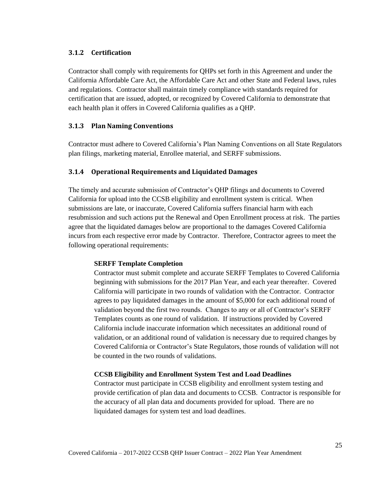#### <span id="page-30-0"></span>**3.1.2 Certification**

Contractor shall comply with requirements for QHPs set forth in this Agreement and under the California Affordable Care Act, the Affordable Care Act and other State and Federal laws, rules and regulations*.* Contractor shall maintain timely compliance with standards required for certification that are issued, adopted, or recognized by Covered California to demonstrate that each health plan it offers in Covered California qualifies as a QHP.

#### <span id="page-30-1"></span>**3.1.3 Plan Naming Conventions**

Contractor must adhere to Covered California's Plan Naming Conventions on all State Regulators plan filings, marketing material, Enrollee material, and SERFF submissions.

#### <span id="page-30-2"></span>**3.1.4 Operational Requirements and Liquidated Damages**

The timely and accurate submission of Contractor's QHP filings and documents to Covered California for upload into the CCSB eligibility and enrollment system is critical. When submissions are late, or inaccurate, Covered California suffers financial harm with each resubmission and such actions put the Renewal and Open Enrollment process at risk. The parties agree that the liquidated damages below are proportional to the damages Covered California incurs from each respective error made by Contractor. Therefore, Contractor agrees to meet the following operational requirements:

#### **SERFF Template Completion**

Contractor must submit complete and accurate SERFF Templates to Covered California beginning with submissions for the 2017 Plan Year, and each year thereafter. Covered California will participate in two rounds of validation with the Contractor. Contractor agrees to pay liquidated damages in the amount of \$5,000 for each additional round of validation beyond the first two rounds. Changes to any or all of Contractor's SERFF Templates counts as one round of validation. If instructions provided by Covered California include inaccurate information which necessitates an additional round of validation, or an additional round of validation is necessary due to required changes by Covered California or Contractor's State Regulators, those rounds of validation will not be counted in the two rounds of validations.

#### **CCSB Eligibility and Enrollment System Test and Load Deadlines**

Contractor must participate in CCSB eligibility and enrollment system testing and provide certification of plan data and documents to CCSB. Contractor is responsible for the accuracy of all plan data and documents provided for upload. There are no liquidated damages for system test and load deadlines.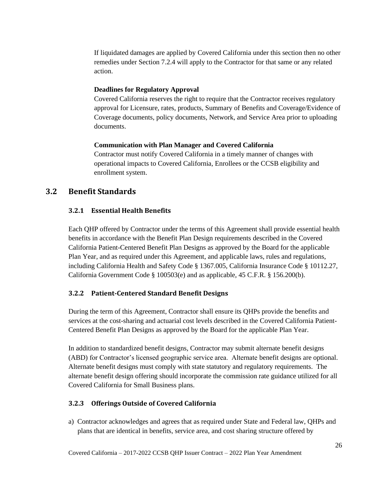If liquidated damages are applied by Covered California under this section then no other remedies under Section 7.2.4 will apply to the Contractor for that same or any related action.

#### **Deadlines for Regulatory Approval**

Covered California reserves the right to require that the Contractor receives regulatory approval for Licensure, rates, products, Summary of Benefits and Coverage/Evidence of Coverage documents, policy documents, Network, and Service Area prior to uploading documents.

#### **Communication with Plan Manager and Covered California**

Contractor must notify Covered California in a timely manner of changes with operational impacts to Covered California, Enrollees or the CCSB eligibility and enrollment system.

### <span id="page-31-1"></span><span id="page-31-0"></span>**3.2 Benefit Standards**

#### **3.2.1 Essential Health Benefits**

Each QHP offered by Contractor under the terms of this Agreement shall provide essential health benefits in accordance with the Benefit Plan Design requirements described in the Covered California Patient-Centered Benefit Plan Designs as approved by the Board for the applicable Plan Year, and as required under this Agreement, and applicable laws, rules and regulations, including California Health and Safety Code § 1367.005, California Insurance Code § 10112.27, California Government Code § 100503(e) and as applicable, 45 C.F.R. § 156.200(b).

#### <span id="page-31-2"></span>**3.2.2 Patient-Centered Standard Benefit Designs**

During the term of this Agreement, Contractor shall ensure its QHPs provide the benefits and services at the cost-sharing and actuarial cost levels described in the Covered California Patient-Centered Benefit Plan Designs as approved by the Board for the applicable Plan Year.

In addition to standardized benefit designs, Contractor may submit alternate benefit designs (ABD) for Contractor's licensed geographic service area. Alternate benefit designs are optional. Alternate benefit designs must comply with state statutory and regulatory requirements. The alternate benefit design offering should incorporate the commission rate guidance utilized for all Covered California for Small Business plans.

#### <span id="page-31-3"></span>**3.2.3 Offerings Outside of Covered California**

a) Contractor acknowledges and agrees that as required under State and Federal law, QHPs and plans that are identical in benefits, service area, and cost sharing structure offered by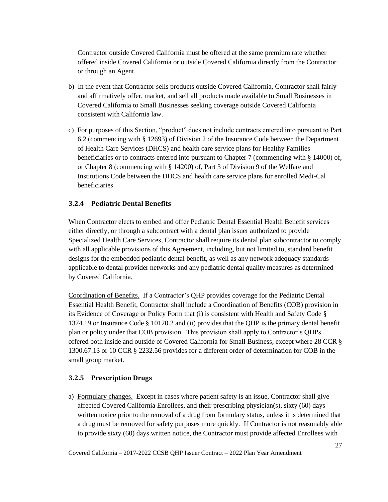Contractor outside Covered California must be offered at the same premium rate whether offered inside Covered California or outside Covered California directly from the Contractor or through an Agent.

- b) In the event that Contractor sells products outside Covered California, Contractor shall fairly and affirmatively offer, market, and sell all products made available to Small Businesses in Covered California to Small Businesses seeking coverage outside Covered California consistent with California law.
- c) For purposes of this Section, "product" does not include contracts entered into pursuant to Part 6.2 (commencing with § 12693) of Division 2 of the Insurance Code between the Department of Health Care Services (DHCS) and health care service plans for Healthy Families beneficiaries or to contracts entered into pursuant to Chapter 7 (commencing with § 14000) of, or Chapter 8 (commencing with § 14200) of, Part 3 of Division 9 of the Welfare and Institutions Code between the DHCS and health care service plans for enrolled Medi-Cal beneficiaries.

### <span id="page-32-0"></span>**3.2.4 Pediatric Dental Benefits**

When Contractor elects to embed and offer Pediatric Dental Essential Health Benefit services either directly, or through a subcontract with a dental plan issuer authorized to provide Specialized Health Care Services, Contractor shall require its dental plan subcontractor to comply with all applicable provisions of this Agreement, including, but not limited to, standard benefit designs for the embedded pediatric dental benefit, as well as any network adequacy standards applicable to dental provider networks and any pediatric dental quality measures as determined by Covered California.

Coordination of Benefits. If a Contractor's QHP provides coverage for the Pediatric Dental Essential Health Benefit, Contractor shall include a Coordination of Benefits (COB) provision in its Evidence of Coverage or Policy Form that (i) is consistent with Health and Safety Code § 1374.19 or Insurance Code § 10120.2 and (ii) provides that the QHP is the primary dental benefit plan or policy under that COB provision. This provision shall apply to Contractor's QHPs offered both inside and outside of Covered California for Small Business, except where 28 CCR § 1300.67.13 or 10 CCR § 2232.56 provides for a different order of determination for COB in the small group market.

#### <span id="page-32-1"></span>**3.2.5 Prescription Drugs**

a) Formulary changes. Except in cases where patient safety is an issue, Contractor shall give affected Covered California Enrollees, and their prescribing physician(s), sixty (60) days written notice prior to the removal of a drug from formulary status, unless it is determined that a drug must be removed for safety purposes more quickly. If Contractor is not reasonably able to provide sixty (60) days written notice, the Contractor must provide affected Enrollees with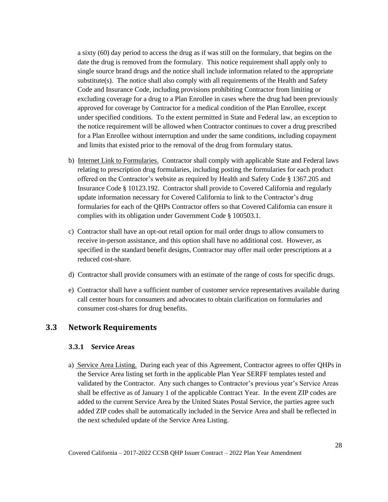a sixty (60) day period to access the drug as if was still on the formulary, that begins on the date the drug is removed from the formulary. This notice requirement shall apply only to single source brand drugs and the notice shall include information related to the appropriate substitute(s). The notice shall also comply with all requirements of the Health and Safety Code and Insurance Code, including provisions prohibiting Contractor from limiting or excluding coverage for a drug to a Plan Enrollee in cases where the drug had been previously approved for coverage by Contractor for a medical condition of the Plan Enrollee, except under specified conditions. To the extent permitted in State and Federal law, an exception to the notice requirement will be allowed when Contractor continues to cover a drug prescribed for a Plan Enrollee without interruption and under the same conditions, including copayment and limits that existed prior to the removal of the drug from formulary status.

- b) Internet Link to Formularies. Contractor shall comply with applicable State and Federal laws relating to prescription drug formularies, including posting the formularies for each product offered on the Contractor's website as required by Health and Safety Code § 1367.205 and Insurance Code § 10123.192. Contractor shall provide to Covered California and regularly update information necessary for Covered California to link to the Contractor's drug formularies for each of the QHPs Contractor offers so that Covered California can ensure it complies with its obligation under Government Code § 100503.1.
- c) Contractor shall have an opt-out retail option for mail order drugs to allow consumers to receive in-person assistance, and this option shall have no additional cost. However, as specified in the standard benefit designs, Contractor may offer mail order prescriptions at a reduced cost-share.
- d) Contractor shall provide consumers with an estimate of the range of costs for specific drugs.
- e) Contractor shall have a sufficient number of customer service representatives available during call center hours for consumers and advocates to obtain clarification on formularies and consumer cost-shares for drug benefits.

### <span id="page-33-1"></span><span id="page-33-0"></span>**3.3 Network Requirements**

#### **3.3.1 Service Areas**

a) Service Area Listing. During each year of this Agreement, Contractor agrees to offer QHPs in the Service Area listing set forth in the applicable Plan Year SERFF templates tested and validated by the Contractor. Any such changes to Contractor's previous year's Service Areas shall be effective as of January 1 of the applicable Contract Year. In the event ZIP codes are added to the current Service Area by the United States Postal Service, the parties agree such added ZIP codes shall be automatically included in the Service Area and shall be reflected in the next scheduled update of the Service Area Listing.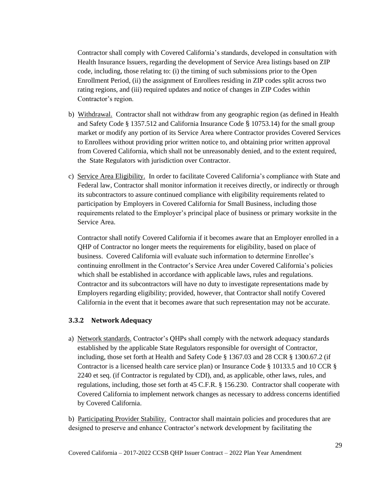Contractor shall comply with Covered California's standards, developed in consultation with Health Insurance Issuers, regarding the development of Service Area listings based on ZIP code, including, those relating to: (i) the timing of such submissions prior to the Open Enrollment Period, (ii) the assignment of Enrollees residing in ZIP codes split across two rating regions, and (iii) required updates and notice of changes in ZIP Codes within Contractor's region.

- b) Withdrawal. Contractor shall not withdraw from any geographic region (as defined in Health and Safety Code § 1357.512 and California Insurance Code § 10753.14) for the small group market or modify any portion of its Service Area where Contractor provides Covered Services to Enrollees without providing prior written notice to, and obtaining prior written approval from Covered California, which shall not be unreasonably denied, and to the extent required, the State Regulators with jurisdiction over Contractor.
- c) Service Area Eligibility. In order to facilitate Covered California's compliance with State and Federal law, Contractor shall monitor information it receives directly, or indirectly or through its subcontractors to assure continued compliance with eligibility requirements related to participation by Employers in Covered California for Small Business, including those requirements related to the Employer's principal place of business or primary worksite in the Service Area.

Contractor shall notify Covered California if it becomes aware that an Employer enrolled in a QHP of Contractor no longer meets the requirements for eligibility, based on place of business. Covered California will evaluate such information to determine Enrollee's continuing enrollment in the Contractor's Service Area under Covered California's policies which shall be established in accordance with applicable laws, rules and regulations. Contractor and its subcontractors will have no duty to investigate representations made by Employers regarding eligibility; provided, however, that Contractor shall notify Covered California in the event that it becomes aware that such representation may not be accurate.

#### <span id="page-34-0"></span>**3.3.2 Network Adequacy**

a) Network standards. Contractor's QHPs shall comply with the network adequacy standards established by the applicable State Regulators responsible for oversight of Contractor, including, those set forth at Health and Safety Code § 1367.03 and 28 CCR § 1300.67.2 (if Contractor is a licensed health care service plan) or Insurance Code § 10133.5 and 10 CCR § 2240 et seq. (if Contractor is regulated by CDI), and, as applicable, other laws, rules, and regulations, including, those set forth at 45 C.F.R. § 156.230. Contractor shall cooperate with Covered California to implement network changes as necessary to address concerns identified by Covered California.

b) Participating Provider Stability. Contractor shall maintain policies and procedures that are designed to preserve and enhance Contractor's network development by facilitating the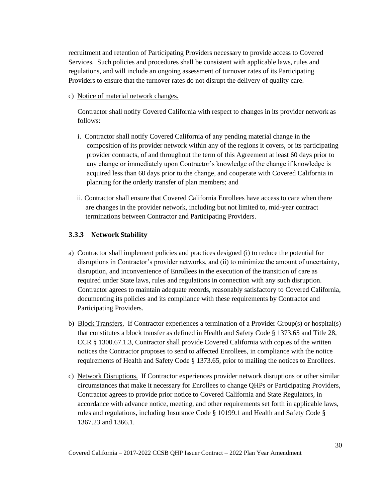recruitment and retention of Participating Providers necessary to provide access to Covered Services. Such policies and procedures shall be consistent with applicable laws, rules and regulations, and will include an ongoing assessment of turnover rates of its Participating Providers to ensure that the turnover rates do not disrupt the delivery of quality care.

c) Notice of material network changes.

Contractor shall notify Covered California with respect to changes in its provider network as follows:

- i. Contractor shall notify Covered California of any pending material change in the composition of its provider network within any of the regions it covers, or its participating provider contracts, of and throughout the term of this Agreement at least 60 days prior to any change or immediately upon Contractor's knowledge of the change if knowledge is acquired less than 60 days prior to the change, and cooperate with Covered California in planning for the orderly transfer of plan members; and
- ii. Contractor shall ensure that Covered California Enrollees have access to care when there are changes in the provider network, including but not limited to, mid-year contract terminations between Contractor and Participating Providers.

### <span id="page-35-0"></span>**3.3.3 Network Stability**

- a) Contractor shall implement policies and practices designed (i) to reduce the potential for disruptions in Contractor's provider networks, and (ii) to minimize the amount of uncertainty, disruption, and inconvenience of Enrollees in the execution of the transition of care as required under State laws, rules and regulations in connection with any such disruption. Contractor agrees to maintain adequate records, reasonably satisfactory to Covered California, documenting its policies and its compliance with these requirements by Contractor and Participating Providers.
- b) Block Transfers. If Contractor experiences a termination of a Provider Group(s) or hospital(s) that constitutes a block transfer as defined in Health and Safety Code § 1373.65 and Title 28, CCR § 1300.67.1.3, Contractor shall provide Covered California with copies of the written notices the Contractor proposes to send to affected Enrollees, in compliance with the notice requirements of Health and Safety Code § 1373.65, prior to mailing the notices to Enrollees.
- c) Network Disruptions. If Contractor experiences provider network disruptions or other similar circumstances that make it necessary for Enrollees to change QHPs or Participating Providers, Contractor agrees to provide prior notice to Covered California and State Regulators, in accordance with advance notice, meeting, and other requirements set forth in applicable laws, rules and regulations, including Insurance Code § 10199.1 and Health and Safety Code § 1367.23 and 1366.1.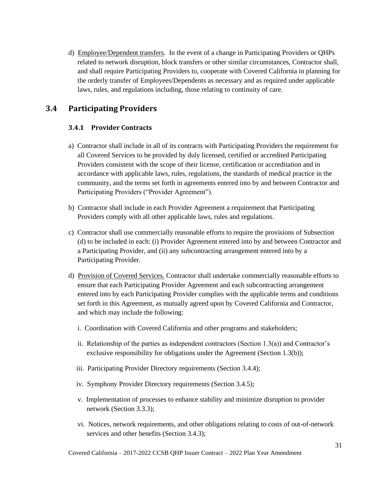d) Employee/Dependent transfers. In the event of a change in Participating Providers or QHPs related to network disruption, block transfers or other similar circumstances, Contractor shall, and shall require Participating Providers to, cooperate with Covered California in planning for the orderly transfer of Employees/Dependents as necessary and as required under applicable laws, rules, and regulations including, those relating to continuity of care.

# **3.4 Participating Providers**

## **3.4.1 Provider Contracts**

- a) Contractor shall include in all of its contracts with Participating Providers the requirement for all Covered Services to be provided by duly licensed, certified or accredited Participating Providers consistent with the scope of their license, certification or accreditation and in accordance with applicable laws, rules, regulations, the standards of medical practice in the community, and the terms set forth in agreements entered into by and between Contractor and Participating Providers ("Provider Agreement").
- b) Contractor shall include in each Provider Agreement a requirement that Participating Providers comply with all other applicable laws, rules and regulations.
- c) Contractor shall use commercially reasonable efforts to require the provisions of Subsection (d) to be included in each: (i) Provider Agreement entered into by and between Contractor and a Participating Provider, and (ii) any subcontracting arrangement entered into by a Participating Provider.
- d) Provision of Covered Services. Contractor shall undertake commercially reasonable efforts to ensure that each Participating Provider Agreement and each subcontracting arrangement entered into by each Participating Provider complies with the applicable terms and conditions set forth in this Agreement, as mutually agreed upon by Covered California and Contractor, and which may include the following:
	- i. Coordination with Covered California and other programs and stakeholders;
	- ii. Relationship of the parties as independent contractors (Section  $1.3(a)$ ) and Contractor's exclusive responsibility for obligations under the Agreement (Section 1.3(b));
	- iii. Participating Provider Directory requirements (Section 3.4.4);
	- iv. Symphony Provider Directory requirements (Section 3.4.5);
	- v. Implementation of processes to enhance stability and minimize disruption to provider network (Section 3.3.3);
	- vi. Notices, network requirements, and other obligations relating to costs of out-of-network services and other benefits (Section 3.4.3);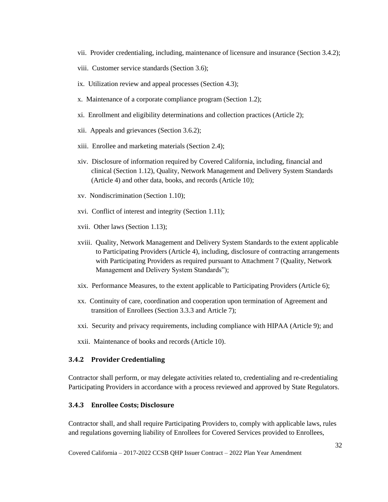- vii. Provider credentialing, including, maintenance of licensure and insurance (Section 3.4.2);
- viii. Customer service standards (Section 3.6);
- ix. Utilization review and appeal processes (Section 4.3);
- x. Maintenance of a corporate compliance program (Section 1.2);
- xi. Enrollment and eligibility determinations and collection practices (Article 2);
- xii. Appeals and grievances (Section 3.6.2);
- xiii. Enrollee and marketing materials (Section 2.4);
- xiv. Disclosure of information required by Covered California, including, financial and clinical (Section 1.12), Quality, Network Management and Delivery System Standards (Article 4) and other data, books, and records (Article 10);
- xv. Nondiscrimination (Section 1.10);
- xvi. Conflict of interest and integrity (Section 1.11);
- xvii. Other laws (Section 1.13);
- xviii. Quality, Network Management and Delivery System Standards to the extent applicable to Participating Providers (Article 4), including, disclosure of contracting arrangements with Participating Providers as required pursuant to Attachment 7 (Quality, Network Management and Delivery System Standards");
- xix. Performance Measures, to the extent applicable to Participating Providers (Article 6);
- xx. Continuity of care, coordination and cooperation upon termination of Agreement and transition of Enrollees (Section 3.3.3 and Article 7);
- xxi. Security and privacy requirements, including compliance with HIPAA (Article 9); and
- xxii. Maintenance of books and records (Article 10).

#### **3.4.2 Provider Credentialing**

Contractor shall perform, or may delegate activities related to, credentialing and re-credentialing Participating Providers in accordance with a process reviewed and approved by State Regulators.

#### **3.4.3 Enrollee Costs; Disclosure**

Contractor shall, and shall require Participating Providers to, comply with applicable laws, rules and regulations governing liability of Enrollees for Covered Services provided to Enrollees,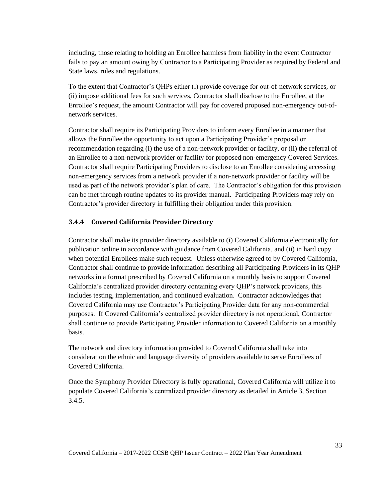including, those relating to holding an Enrollee harmless from liability in the event Contractor fails to pay an amount owing by Contractor to a Participating Provider as required by Federal and State laws, rules and regulations.

To the extent that Contractor's QHPs either (i) provide coverage for out-of-network services, or (ii) impose additional fees for such services, Contractor shall disclose to the Enrollee, at the Enrollee's request, the amount Contractor will pay for covered proposed non-emergency out-ofnetwork services.

Contractor shall require its Participating Providers to inform every Enrollee in a manner that allows the Enrollee the opportunity to act upon a Participating Provider's proposal or recommendation regarding (i) the use of a non-network provider or facility, or (ii) the referral of an Enrollee to a non-network provider or facility for proposed non-emergency Covered Services. Contractor shall require Participating Providers to disclose to an Enrollee considering accessing non-emergency services from a network provider if a non-network provider or facility will be used as part of the network provider's plan of care. The Contractor's obligation for this provision can be met through routine updates to its provider manual. Participating Providers may rely on Contractor's provider directory in fulfilling their obligation under this provision.

#### **3.4.4 Covered California Provider Directory**

Contractor shall make its provider directory available to (i) Covered California electronically for publication online in accordance with guidance from Covered California, and (ii) in hard copy when potential Enrollees make such request. Unless otherwise agreed to by Covered California, Contractor shall continue to provide information describing all Participating Providers in its QHP networks in a format prescribed by Covered California on a monthly basis to support Covered California's centralized provider directory containing every QHP's network providers, this includes testing, implementation, and continued evaluation. Contractor acknowledges that Covered California may use Contractor's Participating Provider data for any non-commercial purposes. If Covered California's centralized provider directory is not operational, Contractor shall continue to provide Participating Provider information to Covered California on a monthly basis.

The network and directory information provided to Covered California shall take into consideration the ethnic and language diversity of providers available to serve Enrollees of Covered California.

Once the Symphony Provider Directory is fully operational, Covered California will utilize it to populate Covered California's centralized provider directory as detailed in Article 3, Section 3.4.5.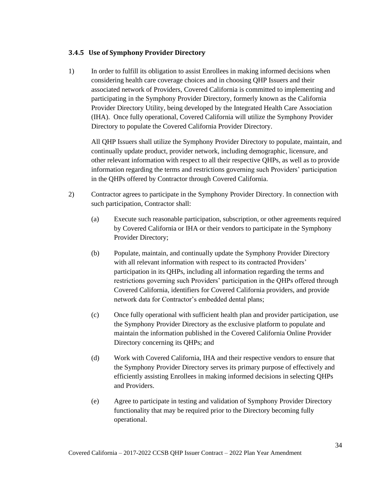#### **3.4.5 Use of Symphony Provider Directory**

1) In order to fulfill its obligation to assist Enrollees in making informed decisions when considering health care coverage choices and in choosing QHP Issuers and their associated network of Providers, Covered California is committed to implementing and participating in the Symphony Provider Directory, formerly known as the California Provider Directory Utility, being developed by the Integrated Health Care Association (IHA). Once fully operational, Covered California will utilize the Symphony Provider Directory to populate the Covered California Provider Directory.

All QHP Issuers shall utilize the Symphony Provider Directory to populate, maintain, and continually update product, provider network, including demographic, licensure, and other relevant information with respect to all their respective QHPs, as well as to provide information regarding the terms and restrictions governing such Providers' participation in the QHPs offered by Contractor through Covered California.

- 2) Contractor agrees to participate in the Symphony Provider Directory. In connection with such participation, Contractor shall:
	- (a) Execute such reasonable participation, subscription, or other agreements required by Covered California or IHA or their vendors to participate in the Symphony Provider Directory;
	- (b) Populate, maintain, and continually update the Symphony Provider Directory with all relevant information with respect to its contracted Providers' participation in its QHPs, including all information regarding the terms and restrictions governing such Providers' participation in the QHPs offered through Covered California, identifiers for Covered California providers, and provide network data for Contractor's embedded dental plans;
	- (c) Once fully operational with sufficient health plan and provider participation, use the Symphony Provider Directory as the exclusive platform to populate and maintain the information published in the Covered California Online Provider Directory concerning its QHPs; and
	- (d) Work with Covered California, IHA and their respective vendors to ensure that the Symphony Provider Directory serves its primary purpose of effectively and efficiently assisting Enrollees in making informed decisions in selecting QHPs and Providers.
	- (e) Agree to participate in testing and validation of Symphony Provider Directory functionality that may be required prior to the Directory becoming fully operational.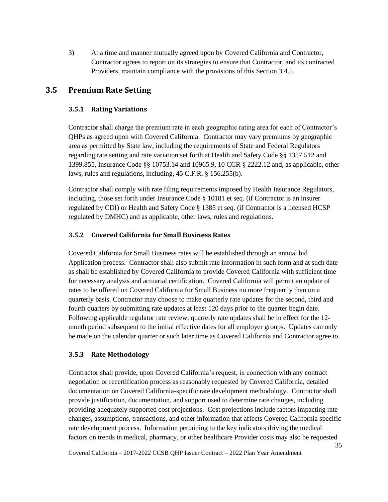3) At a time and manner mutually agreed upon by Covered California and Contractor, Contractor agrees to report on its strategies to ensure that Contractor, and its contracted Providers, maintain compliance with the provisions of this Section 3.4.5.

# **3.5 Premium Rate Setting**

## **3.5.1 Rating Variations**

Contractor shall charge the premium rate in each geographic rating area for each of Contractor's QHPs as agreed upon with Covered California. Contractor may vary premiums by geographic area as permitted by State law, including the requirements of State and Federal Regulators regarding rate setting and rate variation set forth at Health and Safety Code §§ 1357.512 and 1399.855, Insurance Code §§ 10753.14 and 10965.9, 10 CCR § 2222.12 and, as applicable, other laws, rules and regulations, including, 45 C.F.R. § 156.255(b).

Contractor shall comply with rate filing requirements imposed by Health Insurance Regulators, including, those set forth under Insurance Code § 10181 et seq*.* (if Contractor is an insurer regulated by CDI) or Health and Safety Code § 1385 et seq*.* (if Contractor is a licensed HCSP regulated by DMHC) and as applicable, other laws, rules and regulations.

### **3.5.2 Covered California for Small Business Rates**

Covered California for Small Business rates will be established through an annual bid Application process. Contractor shall also submit rate information in such form and at such date as shall be established by Covered California to provide Covered California with sufficient time for necessary analysis and actuarial certification. Covered California will permit an update of rates to be offered on Covered California for Small Business no more frequently than on a quarterly basis. Contractor may choose to make quarterly rate updates for the second, third and fourth quarters by submitting rate updates at least 120 days prior to the quarter begin date. Following applicable regulator rate review, quarterly rate updates shall be in effect for the 12 month period subsequent to the initial effective dates for all employer groups. Updates can only be made on the calendar quarter or such later time as Covered California and Contractor agree to.

#### **3.5.3 Rate Methodology**

Contractor shall provide, upon Covered California's request, in connection with any contract negotiation or recertification process as reasonably requested by Covered California, detailed documentation on Covered California-specific rate development methodology. Contractor shall provide justification, documentation, and support used to determine rate changes, including providing adequately supported cost projections. Cost projections include factors impacting rate changes, assumptions, transactions, and other information that affects Covered California specific rate development process. Information pertaining to the key indicators driving the medical factors on trends in medical, pharmacy, or other healthcare Provider costs may also be requested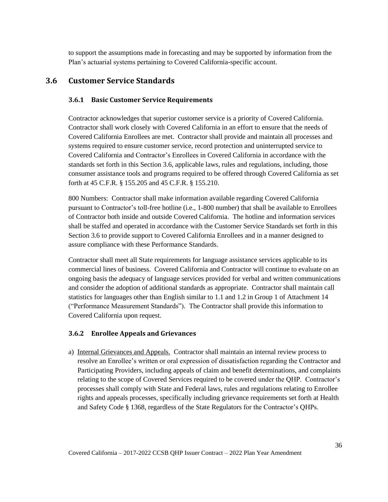to support the assumptions made in forecasting and may be supported by information from the Plan's actuarial systems pertaining to Covered California-specific account.

## **3.6 Customer Service Standards**

## **3.6.1 Basic Customer Service Requirements**

Contractor acknowledges that superior customer service is a priority of Covered California. Contractor shall work closely with Covered California in an effort to ensure that the needs of Covered California Enrollees are met. Contractor shall provide and maintain all processes and systems required to ensure customer service, record protection and uninterrupted service to Covered California and Contractor's Enrollees in Covered California in accordance with the standards set forth in this Section 3.6, applicable laws, rules and regulations, including, those consumer assistance tools and programs required to be offered through Covered California as set forth at 45 C.F.R. § 155.205 and 45 C.F.R. § 155.210.

800 Numbers: Contractor shall make information available regarding Covered California pursuant to Contractor's toll-free hotline (i.e., 1-800 number) that shall be available to Enrollees of Contractor both inside and outside Covered California. The hotline and information services shall be staffed and operated in accordance with the Customer Service Standards set forth in this Section 3.6 to provide support to Covered California Enrollees and in a manner designed to assure compliance with these Performance Standards.

Contractor shall meet all State requirements for language assistance services applicable to its commercial lines of business. Covered California and Contractor will continue to evaluate on an ongoing basis the adequacy of language services provided for verbal and written communications and consider the adoption of additional standards as appropriate. Contractor shall maintain call statistics for languages other than English similar to 1.1 and 1.2 in Group 1 of Attachment 14 ("Performance Measurement Standards"). The Contractor shall provide this information to Covered California upon request.

#### **3.6.2 Enrollee Appeals and Grievances**

a) Internal Grievances and Appeals. Contractor shall maintain an internal review process to resolve an Enrollee's written or oral expression of dissatisfaction regarding the Contractor and Participating Providers, including appeals of claim and benefit determinations, and complaints relating to the scope of Covered Services required to be covered under the QHP. Contractor's processes shall comply with State and Federal laws, rules and regulations relating to Enrollee rights and appeals processes, specifically including grievance requirements set forth at Health and Safety Code § 1368, regardless of the State Regulators for the Contractor's QHPs.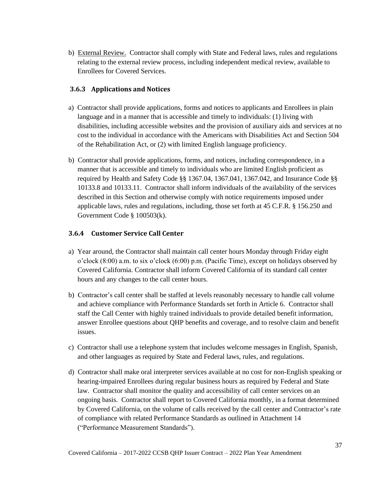b) External Review. Contractor shall comply with State and Federal laws, rules and regulations relating to the external review process, including independent medical review, available to Enrollees for Covered Services.

## **3.6.3 Applications and Notices**

- a) Contractor shall provide applications, forms and notices to applicants and Enrollees in plain language and in a manner that is accessible and timely to individuals: (1) living with disabilities, including accessible websites and the provision of auxiliary aids and services at no cost to the individual in accordance with the Americans with Disabilities Act and Section 504 of the Rehabilitation Act, or (2) with limited English language proficiency.
- b) Contractor shall provide applications, forms, and notices, including correspondence, in a manner that is accessible and timely to individuals who are limited English proficient as required by Health and Safety Code §§ 1367.04, 1367.041, 1367.042, and Insurance Code §§ 10133.8 and 10133.11. Contractor shall inform individuals of the availability of the services described in this Section and otherwise comply with notice requirements imposed under applicable laws, rules and regulations, including, those set forth at 45 C.F.R. § 156.250 and Government Code § 100503(k).

### **3.6.4 Customer Service Call Center**

- a) Year around, the Contractor shall maintain call center hours Monday through Friday eight o'clock (8:00) a.m. to six o'clock (6:00) p.m. (Pacific Time), except on holidays observed by Covered California. Contractor shall inform Covered California of its standard call center hours and any changes to the call center hours.
- b) Contractor's call center shall be staffed at levels reasonably necessary to handle call volume and achieve compliance with Performance Standards set forth in Article 6. Contractor shall staff the Call Center with highly trained individuals to provide detailed benefit information, answer Enrollee questions about QHP benefits and coverage, and to resolve claim and benefit issues.
- c) Contractor shall use a telephone system that includes welcome messages in English, Spanish, and other languages as required by State and Federal laws, rules, and regulations.
- d) Contractor shall make oral interpreter services available at no cost for non-English speaking or hearing-impaired Enrollees during regular business hours as required by Federal and State law. Contractor shall monitor the quality and accessibility of call center services on an ongoing basis. Contractor shall report to Covered California monthly, in a format determined by Covered California, on the volume of calls received by the call center and Contractor's rate of compliance with related Performance Standards as outlined in Attachment 14 ("Performance Measurement Standards").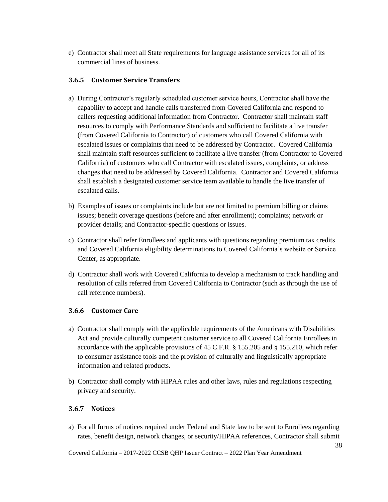e) Contractor shall meet all State requirements for language assistance services for all of its commercial lines of business.

## **3.6.5 Customer Service Transfers**

- a) During Contractor's regularly scheduled customer service hours, Contractor shall have the capability to accept and handle calls transferred from Covered California and respond to callers requesting additional information from Contractor. Contractor shall maintain staff resources to comply with Performance Standards and sufficient to facilitate a live transfer (from Covered California to Contractor) of customers who call Covered California with escalated issues or complaints that need to be addressed by Contractor. Covered California shall maintain staff resources sufficient to facilitate a live transfer (from Contractor to Covered California) of customers who call Contractor with escalated issues, complaints, or address changes that need to be addressed by Covered California. Contractor and Covered California shall establish a designated customer service team available to handle the live transfer of escalated calls.
- b) Examples of issues or complaints include but are not limited to premium billing or claims issues; benefit coverage questions (before and after enrollment); complaints; network or provider details; and Contractor-specific questions or issues.
- c) Contractor shall refer Enrollees and applicants with questions regarding premium tax credits and Covered California eligibility determinations to Covered California's website or Service Center, as appropriate.
- d) Contractor shall work with Covered California to develop a mechanism to track handling and resolution of calls referred from Covered California to Contractor (such as through the use of call reference numbers).

#### **3.6.6 Customer Care**

- a) Contractor shall comply with the applicable requirements of the Americans with Disabilities Act and provide culturally competent customer service to all Covered California Enrollees in accordance with the applicable provisions of 45 C.F.R. § 155.205 and § 155.210, which refer to consumer assistance tools and the provision of culturally and linguistically appropriate information and related products.
- b) Contractor shall comply with HIPAA rules and other laws, rules and regulations respecting privacy and security.

#### **3.6.7 Notices**

a) For all forms of notices required under Federal and State law to be sent to Enrollees regarding rates, benefit design, network changes, or security/HIPAA references, Contractor shall submit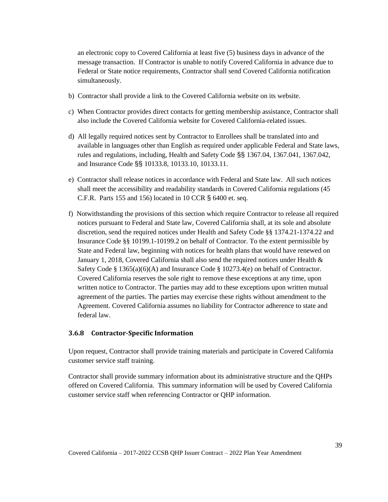an electronic copy to Covered California at least five (5) business days in advance of the message transaction. If Contractor is unable to notify Covered California in advance due to Federal or State notice requirements, Contractor shall send Covered California notification simultaneously.

- b) Contractor shall provide a link to the Covered California website on its website.
- c) When Contractor provides direct contacts for getting membership assistance, Contractor shall also include the Covered California website for Covered California-related issues.
- d) All legally required notices sent by Contractor to Enrollees shall be translated into and available in languages other than English as required under applicable Federal and State laws, rules and regulations, including, Health and Safety Code §§ 1367.04, 1367.041, 1367.042, and Insurance Code §§ 10133.8, 10133.10, 10133.11.
- e) Contractor shall release notices in accordance with Federal and State law. All such notices shall meet the accessibility and readability standards in Covered California regulations (45 C.F.R. Parts 155 and 156) located in 10 CCR § 6400 et. seq.
- f) Notwithstanding the provisions of this section which require Contractor to release all required notices pursuant to Federal and State law, Covered California shall, at its sole and absolute discretion, send the required notices under Health and Safety Code §§ 1374.21-1374.22 and Insurance Code §§ 10199.1-10199.2 on behalf of Contractor. To the extent permissible by State and Federal law, beginning with notices for health plans that would have renewed on January 1, 2018, Covered California shall also send the required notices under Health & Safety Code § 1365(a)(6)(A) and Insurance Code § 10273.4(e) on behalf of Contractor. Covered California reserves the sole right to remove these exceptions at any time, upon written notice to Contractor. The parties may add to these exceptions upon written mutual agreement of the parties. The parties may exercise these rights without amendment to the Agreement. Covered California assumes no liability for Contractor adherence to state and federal law.

## **3.6.8 Contractor-Specific Information**

Upon request, Contractor shall provide training materials and participate in Covered California customer service staff training.

Contractor shall provide summary information about its administrative structure and the QHPs offered on Covered California. This summary information will be used by Covered California customer service staff when referencing Contractor or QHP information.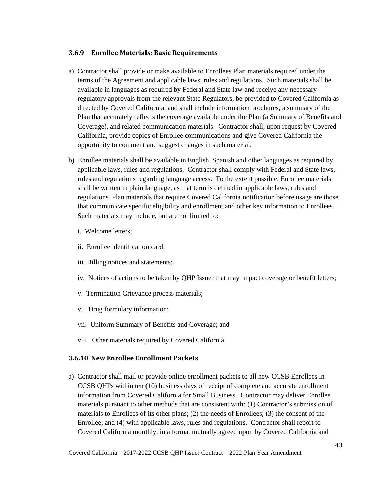#### **3.6.9 Enrollee Materials: Basic Requirements**

- a) Contractor shall provide or make available to Enrollees Plan materials required under the terms of the Agreement and applicable laws, rules and regulations. Such materials shall be available in languages as required by Federal and State law and receive any necessary regulatory approvals from the relevant State Regulators, be provided to Covered California as directed by Covered California, and shall include information brochures, a summary of the Plan that accurately reflects the coverage available under the Plan (a Summary of Benefits and Coverage), and related communication materials. Contractor shall, upon request by Covered California, provide copies of Enrollee communications and give Covered California the opportunity to comment and suggest changes in such material.
- b) Enrollee materials shall be available in English, Spanish and other languages as required by applicable laws, rules and regulations. Contractor shall comply with Federal and State laws, rules and regulations regarding language access. To the extent possible, Enrollee materials shall be written in plain language, as that term is defined in applicable laws, rules and regulations. Plan materials that require Covered California notification before usage are those that communicate specific eligibility and enrollment and other key information to Enrollees. Such materials may include, but are not limited to:
	- i. Welcome letters;
	- ii. Enrollee identification card;
	- iii. Billing notices and statements;
	- iv. Notices of actions to be taken by QHP Issuer that may impact coverage or benefit letters;
	- v. Termination Grievance process materials;
	- vi. Drug formulary information;
	- vii. Uniform Summary of Benefits and Coverage; and
	- viii. Other materials required by Covered California.

#### **3.6.10 New Enrollee Enrollment Packets**

a) Contractor shall mail or provide online enrollment packets to all new CCSB Enrollees in CCSB QHPs within ten (10) business days of receipt of complete and accurate enrollment information from Covered California for Small Business. Contractor may deliver Enrollee materials pursuant to other methods that are consistent with: (1) Contractor's submission of materials to Enrollees of its other plans; (2) the needs of Enrollees; (3) the consent of the Enrollee; and (4) with applicable laws, rules and regulations. Contractor shall report to Covered California monthly, in a format mutually agreed upon by Covered California and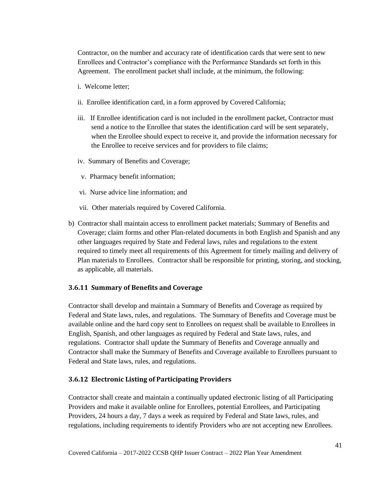Contractor, on the number and accuracy rate of identification cards that were sent to new Enrollees and Contractor's compliance with the Performance Standards set forth in this Agreement. The enrollment packet shall include, at the minimum, the following:

- i. Welcome letter;
- ii. Enrollee identification card, in a form approved by Covered California;
- iii. If Enrollee identification card is not included in the enrollment packet, Contractor must send a notice to the Enrollee that states the identification card will be sent separately, when the Enrollee should expect to receive it, and provide the information necessary for the Enrollee to receive services and for providers to file claims;
- iv. Summary of Benefits and Coverage;
- v. Pharmacy benefit information;
- vi. Nurse advice line information; and
- vii. Other materials required by Covered California.
- b) Contractor shall maintain access to enrollment packet materials; Summary of Benefits and Coverage; claim forms and other Plan-related documents in both English and Spanish and any other languages required by State and Federal laws, rules and regulations to the extent required to timely meet all requirements of this Agreement for timely mailing and delivery of Plan materials to Enrollees. Contractor shall be responsible for printing, storing, and stocking, as applicable, all materials.

#### **3.6.11 Summary of Benefits and Coverage**

Contractor shall develop and maintain a Summary of Benefits and Coverage as required by Federal and State laws, rules, and regulations. The Summary of Benefits and Coverage must be available online and the hard copy sent to Enrollees on request shall be available to Enrollees in English, Spanish, and other languages as required by Federal and State laws, rules, and regulations. Contractor shall update the Summary of Benefits and Coverage annually and Contractor shall make the Summary of Benefits and Coverage available to Enrollees pursuant to Federal and State laws, rules, and regulations.

#### **3.6.12 Electronic Listing of Participating Providers**

Contractor shall create and maintain a continually updated electronic listing of all Participating Providers and make it available online for Enrollees, potential Enrollees, and Participating Providers, 24 hours a day, 7 days a week as required by Federal and State laws, rules, and regulations, including requirements to identify Providers who are not accepting new Enrollees.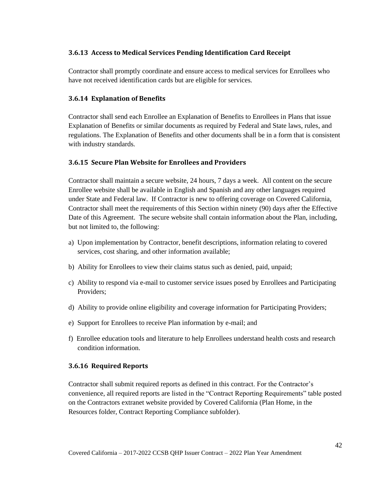## **3.6.13 Access to Medical Services Pending Identification Card Receipt**

Contractor shall promptly coordinate and ensure access to medical services for Enrollees who have not received identification cards but are eligible for services.

## **3.6.14 Explanation of Benefits**

Contractor shall send each Enrollee an Explanation of Benefits to Enrollees in Plans that issue Explanation of Benefits or similar documents as required by Federal and State laws, rules, and regulations. The Explanation of Benefits and other documents shall be in a form that is consistent with industry standards.

## **3.6.15 Secure Plan Website for Enrollees and Providers**

Contractor shall maintain a secure website, 24 hours, 7 days a week. All content on the secure Enrollee website shall be available in English and Spanish and any other languages required under State and Federal law. If Contractor is new to offering coverage on Covered California, Contractor shall meet the requirements of this Section within ninety (90) days after the Effective Date of this Agreement. The secure website shall contain information about the Plan, including, but not limited to, the following:

- a) Upon implementation by Contractor, benefit descriptions, information relating to covered services, cost sharing, and other information available;
- b) Ability for Enrollees to view their claims status such as denied, paid, unpaid;
- c) Ability to respond via e-mail to customer service issues posed by Enrollees and Participating Providers;
- d) Ability to provide online eligibility and coverage information for Participating Providers;
- e) Support for Enrollees to receive Plan information by e-mail; and
- f) Enrollee education tools and literature to help Enrollees understand health costs and research condition information.

## **3.6.16 Required Reports**

Contractor shall submit required reports as defined in this contract. For the Contractor's convenience, all required reports are listed in the "Contract Reporting Requirements" table posted on the Contractors extranet website provided by Covered California (Plan Home, in the Resources folder, Contract Reporting Compliance subfolder).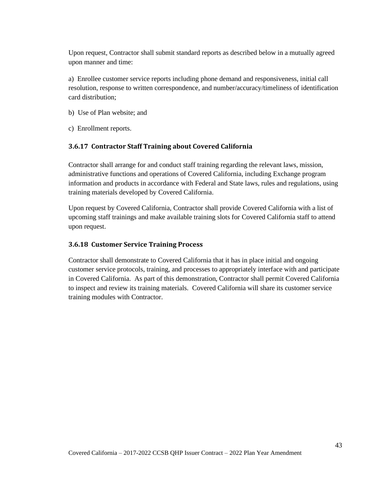Upon request, Contractor shall submit standard reports as described below in a mutually agreed upon manner and time:

a) Enrollee customer service reports including phone demand and responsiveness, initial call resolution, response to written correspondence, and number/accuracy/timeliness of identification card distribution;

- b) Use of Plan website; and
- c) Enrollment reports.

## **3.6.17 Contractor Staff Training about Covered California**

Contractor shall arrange for and conduct staff training regarding the relevant laws, mission, administrative functions and operations of Covered California, including Exchange program information and products in accordance with Federal and State laws, rules and regulations, using training materials developed by Covered California.

Upon request by Covered California, Contractor shall provide Covered California with a list of upcoming staff trainings and make available training slots for Covered California staff to attend upon request.

### **3.6.18 Customer Service Training Process**

Contractor shall demonstrate to Covered California that it has in place initial and ongoing customer service protocols, training, and processes to appropriately interface with and participate in Covered California. As part of this demonstration, Contractor shall permit Covered California to inspect and review its training materials. Covered California will share its customer service training modules with Contractor.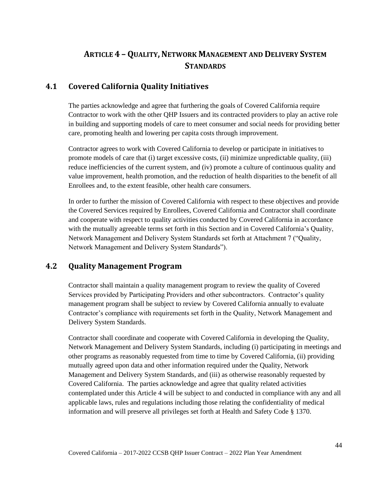# **ARTICLE 4 - QUALITY, NETWORK MANAGEMENT AND DELIVERY SYSTEM STANDARDS**

# **4.1 Covered California Quality Initiatives**

The parties acknowledge and agree that furthering the goals of Covered California require Contractor to work with the other QHP Issuers and its contracted providers to play an active role in building and supporting models of care to meet consumer and social needs for providing better care, promoting health and lowering per capita costs through improvement.

Contractor agrees to work with Covered California to develop or participate in initiatives to promote models of care that (i) target excessive costs, (ii) minimize unpredictable quality, (iii) reduce inefficiencies of the current system, and (iv) promote a culture of continuous quality and value improvement, health promotion, and the reduction of health disparities to the benefit of all Enrollees and, to the extent feasible, other health care consumers.

In order to further the mission of Covered California with respect to these objectives and provide the Covered Services required by Enrollees, Covered California and Contractor shall coordinate and cooperate with respect to quality activities conducted by Covered California in accordance with the mutually agreeable terms set forth in this Section and in Covered California's Quality, Network Management and Delivery System Standards set forth at Attachment 7 ("Quality, Network Management and Delivery System Standards").

# **4.2 Quality Management Program**

Contractor shall maintain a quality management program to review the quality of Covered Services provided by Participating Providers and other subcontractors. Contractor's quality management program shall be subject to review by Covered California annually to evaluate Contractor's compliance with requirements set forth in the Quality, Network Management and Delivery System Standards.

Contractor shall coordinate and cooperate with Covered California in developing the Quality, Network Management and Delivery System Standards, including (i) participating in meetings and other programs as reasonably requested from time to time by Covered California, (ii) providing mutually agreed upon data and other information required under the Quality, Network Management and Delivery System Standards, and (iii) as otherwise reasonably requested by Covered California. The parties acknowledge and agree that quality related activities contemplated under this Article 4 will be subject to and conducted in compliance with any and all applicable laws, rules and regulations including those relating the confidentiality of medical information and will preserve all privileges set forth at Health and Safety Code § 1370.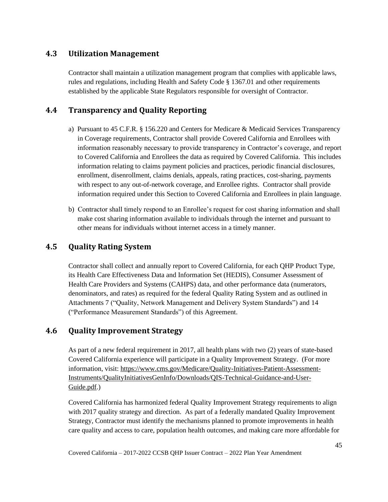## **4.3 Utilization Management**

Contractor shall maintain a utilization management program that complies with applicable laws, rules and regulations, including Health and Safety Code § 1367.01 and other requirements established by the applicable State Regulators responsible for oversight of Contractor.

# **4.4 Transparency and Quality Reporting**

- a) Pursuant to 45 C.F.R. § 156.220 and Centers for Medicare & Medicaid Services Transparency in Coverage requirements, Contractor shall provide Covered California and Enrollees with information reasonably necessary to provide transparency in Contractor's coverage, and report to Covered California and Enrollees the data as required by Covered California. This includes information relating to claims payment policies and practices, periodic financial disclosures, enrollment, disenrollment, claims denials, appeals, rating practices, cost-sharing, payments with respect to any out-of-network coverage, and Enrollee rights. Contractor shall provide information required under this Section to Covered California and Enrollees in plain language.
- b) Contractor shall timely respond to an Enrollee's request for cost sharing information and shall make cost sharing information available to individuals through the internet and pursuant to other means for individuals without internet access in a timely manner.

## **4.5 Quality Rating System**

Contractor shall collect and annually report to Covered California, for each QHP Product Type, its Health Care Effectiveness Data and Information Set (HEDIS), Consumer Assessment of Health Care Providers and Systems (CAHPS) data, and other performance data (numerators, denominators, and rates) as required for the federal Quality Rating System and as outlined in Attachments 7 ("Quality, Network Management and Delivery System Standards") and 14 ("Performance Measurement Standards") of this Agreement.

## **4.6 Quality Improvement Strategy**

As part of a new federal requirement in 2017, all health plans with two (2) years of state-based Covered California experience will participate in a Quality Improvement Strategy. (For more information, visit: [https://www.cms.gov/Medicare/Quality-Initiatives-Patient-Assessment-](https://www.cms.gov/Medicare/Quality-Initiatives-Patient-Assessment-Instruments/QualityInitiativesGenInfo/Downloads/QIS-Technical-Guidance-and-User-Guide.pdf)[Instruments/QualityInitiativesGenInfo/Downloads/QIS-Technical-Guidance-and-User-](https://www.cms.gov/Medicare/Quality-Initiatives-Patient-Assessment-Instruments/QualityInitiativesGenInfo/Downloads/QIS-Technical-Guidance-and-User-Guide.pdf)[Guide.pdf.](https://www.cms.gov/Medicare/Quality-Initiatives-Patient-Assessment-Instruments/QualityInitiativesGenInfo/Downloads/QIS-Technical-Guidance-and-User-Guide.pdf))

Covered California has harmonized federal Quality Improvement Strategy requirements to align with 2017 quality strategy and direction. As part of a federally mandated Quality Improvement Strategy, Contractor must identify the mechanisms planned to promote improvements in health care quality and access to care, population health outcomes, and making care more affordable for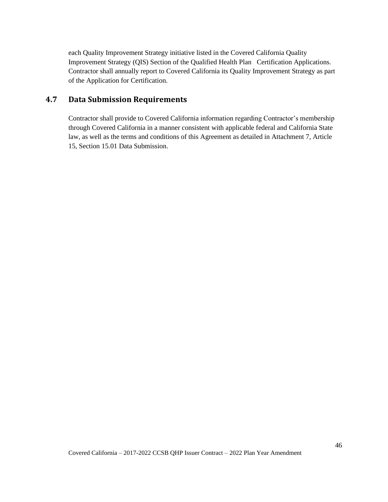each Quality Improvement Strategy initiative listed in the Covered California Quality Improvement Strategy (QIS) Section of the Qualified Health Plan Certification Applications. Contractor shall annually report to Covered California its Quality Improvement Strategy as part of the Application for Certification.

## **4.7 Data Submission Requirements**

Contractor shall provide to Covered California information regarding Contractor's membership through Covered California in a manner consistent with applicable federal and California State law, as well as the terms and conditions of this Agreement as detailed in Attachment 7, Article 15, Section 15.01 Data Submission.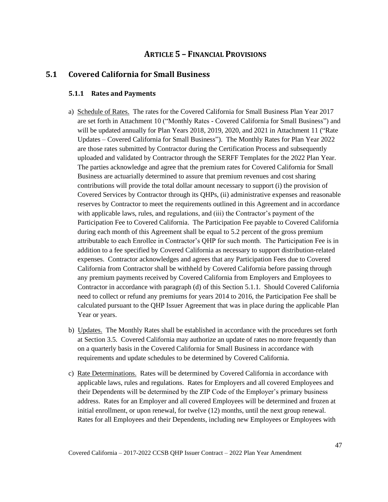## **ARTICLE 5 – FINANCIAL PROVISIONS**

## **5.1 Covered California for Small Business**

#### **5.1.1 Rates and Payments**

- a) Schedule of Rates. The rates for the Covered California for Small Business Plan Year 2017 are set forth in Attachment 10 ("Monthly Rates - Covered California for Small Business") and will be updated annually for Plan Years 2018, 2019, 2020, and 2021 in Attachment 11 ("Rate Updates – Covered California for Small Business"). The Monthly Rates for Plan Year 2022 are those rates submitted by Contractor during the Certification Process and subsequently uploaded and validated by Contractor through the SERFF Templates for the 2022 Plan Year. The parties acknowledge and agree that the premium rates for Covered California for Small Business are actuarially determined to assure that premium revenues and cost sharing contributions will provide the total dollar amount necessary to support (i) the provision of Covered Services by Contractor through its QHPs, (ii) administrative expenses and reasonable reserves by Contractor to meet the requirements outlined in this Agreement and in accordance with applicable laws, rules, and regulations, and (iii) the Contractor's payment of the Participation Fee to Covered California. The Participation Fee payable to Covered California during each month of this Agreement shall be equal to 5.2 percent of the gross premium attributable to each Enrollee in Contractor's QHP for such month. The Participation Fee is in addition to a fee specified by Covered California as necessary to support distribution-related expenses. Contractor acknowledges and agrees that any Participation Fees due to Covered California from Contractor shall be withheld by Covered California before passing through any premium payments received by Covered California from Employers and Employees to Contractor in accordance with paragraph (d) of this Section 5.1.1. Should Covered California need to collect or refund any premiums for years 2014 to 2016, the Participation Fee shall be calculated pursuant to the QHP Issuer Agreement that was in place during the applicable Plan Year or years.
- b) Updates. The Monthly Rates shall be established in accordance with the procedures set forth at Section 3.5. Covered California may authorize an update of rates no more frequently than on a quarterly basis in the Covered California for Small Business in accordance with requirements and update schedules to be determined by Covered California.
- c) Rate Determinations. Rates will be determined by Covered California in accordance with applicable laws, rules and regulations. Rates for Employers and all covered Employees and their Dependents will be determined by the ZIP Code of the Employer's primary business address. Rates for an Employer and all covered Employees will be determined and frozen at initial enrollment, or upon renewal, for twelve (12) months, until the next group renewal. Rates for all Employees and their Dependents, including new Employees or Employees with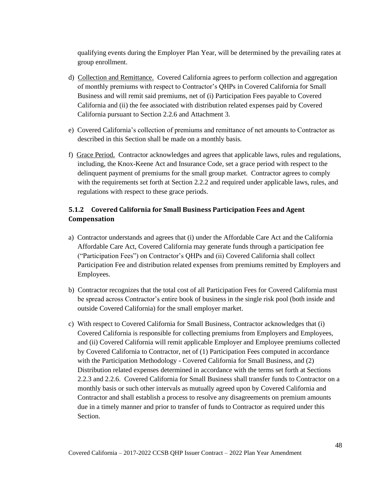qualifying events during the Employer Plan Year, will be determined by the prevailing rates at group enrollment.

- d) Collection and Remittance. Covered California agrees to perform collection and aggregation of monthly premiums with respect to Contractor's QHPs in Covered California for Small Business and will remit said premiums, net of (i) Participation Fees payable to Covered California and (ii) the fee associated with distribution related expenses paid by Covered California pursuant to Section 2.2.6 and Attachment 3.
- e) Covered California's collection of premiums and remittance of net amounts to Contractor as described in this Section shall be made on a monthly basis.
- f) Grace Period. Contractor acknowledges and agrees that applicable laws, rules and regulations, including, the Knox-Keene Act and Insurance Code, set a grace period with respect to the delinquent payment of premiums for the small group market. Contractor agrees to comply with the requirements set forth at Section 2.2.2 and required under applicable laws, rules, and regulations with respect to these grace periods.

## **5.1.2 Covered California for Small Business Participation Fees and Agent Compensation**

- a) Contractor understands and agrees that (i) under the Affordable Care Act and the California Affordable Care Act, Covered California may generate funds through a participation fee ("Participation Fees") on Contractor's QHPs and (ii) Covered California shall collect Participation Fee and distribution related expenses from premiums remitted by Employers and Employees.
- b) Contractor recognizes that the total cost of all Participation Fees for Covered California must be spread across Contractor's entire book of business in the single risk pool (both inside and outside Covered California) for the small employer market.
- c) With respect to Covered California for Small Business, Contractor acknowledges that (i) Covered California is responsible for collecting premiums from Employers and Employees, and (ii) Covered California will remit applicable Employer and Employee premiums collected by Covered California to Contractor, net of (1) Participation Fees computed in accordance with the Participation Methodology - Covered California for Small Business, and (2) Distribution related expenses determined in accordance with the terms set forth at Sections 2.2.3 and 2.2.6. Covered California for Small Business shall transfer funds to Contractor on a monthly basis or such other intervals as mutually agreed upon by Covered California and Contractor and shall establish a process to resolve any disagreements on premium amounts due in a timely manner and prior to transfer of funds to Contractor as required under this Section.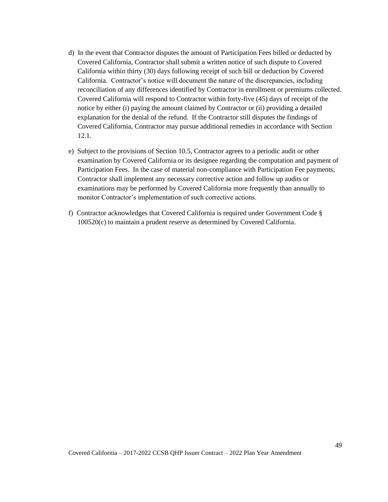- d) In the event that Contractor disputes the amount of Participation Fees billed or deducted by Covered California, Contractor shall submit a written notice of such dispute to Covered California within thirty (30) days following receipt of such bill or deduction by Covered California. Contractor's notice will document the nature of the discrepancies, including reconciliation of any differences identified by Contractor in enrollment or premiums collected. Covered California will respond to Contractor within forty-five (45) days of receipt of the notice by either (i) paying the amount claimed by Contractor or (ii) providing a detailed explanation for the denial of the refund. If the Contractor still disputes the findings of Covered California, Contractor may pursue additional remedies in accordance with Section 12.1.
- e) Subject to the provisions of Section 10.5, Contractor agrees to a periodic audit or other examination by Covered California or its designee regarding the computation and payment of Participation Fees. In the case of material non-compliance with Participation Fee payments, Contractor shall implement any necessary corrective action and follow up audits or examinations may be performed by Covered California more frequently than annually to monitor Contractor's implementation of such corrective actions.
- f) Contractor acknowledges that Covered California is required under Government Code § 100520(c) to maintain a prudent reserve as determined by Covered California.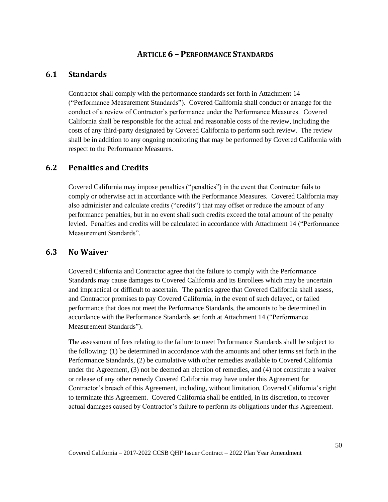## **ARTICLE 6 – PERFORMANCE STANDARDS**

# **6.1 Standards**

Contractor shall comply with the performance standards set forth in Attachment 14 ("Performance Measurement Standards"). Covered California shall conduct or arrange for the conduct of a review of Contractor's performance under the Performance Measures. Covered California shall be responsible for the actual and reasonable costs of the review, including the costs of any third-party designated by Covered California to perform such review. The review shall be in addition to any ongoing monitoring that may be performed by Covered California with respect to the Performance Measures.

## **6.2 Penalties and Credits**

Covered California may impose penalties ("penalties") in the event that Contractor fails to comply or otherwise act in accordance with the Performance Measures. Covered California may also administer and calculate credits ("credits") that may offset or reduce the amount of any performance penalties, but in no event shall such credits exceed the total amount of the penalty levied. Penalties and credits will be calculated in accordance with Attachment 14 ("Performance Measurement Standards".

## **6.3 No Waiver**

Covered California and Contractor agree that the failure to comply with the Performance Standards may cause damages to Covered California and its Enrollees which may be uncertain and impractical or difficult to ascertain. The parties agree that Covered California shall assess, and Contractor promises to pay Covered California, in the event of such delayed, or failed performance that does not meet the Performance Standards, the amounts to be determined in accordance with the Performance Standards set forth at Attachment 14 ("Performance Measurement Standards").

The assessment of fees relating to the failure to meet Performance Standards shall be subject to the following: (1) be determined in accordance with the amounts and other terms set forth in the Performance Standards, (2) be cumulative with other remedies available to Covered California under the Agreement, (3) not be deemed an election of remedies, and (4) not constitute a waiver or release of any other remedy Covered California may have under this Agreement for Contractor's breach of this Agreement, including, without limitation, Covered California's right to terminate this Agreement. Covered California shall be entitled, in its discretion, to recover actual damages caused by Contractor's failure to perform its obligations under this Agreement.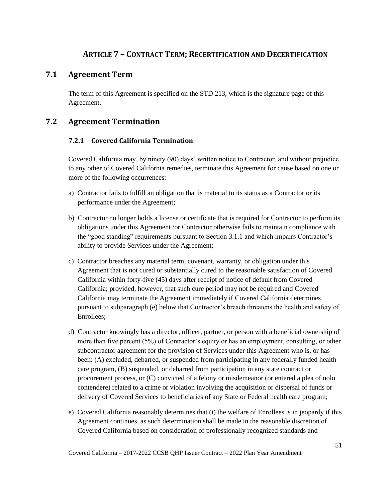# **ARTICLE 7 – CONTRACT TERM; RECERTIFICATION AND DECERTIFICATION**

## **7.1 Agreement Term**

The term of this Agreement is specified on the STD 213, which is the signature page of this Agreement.

# **7.2 Agreement Termination**

## **7.2.1 Covered California Termination**

Covered California may, by ninety (90) days' written notice to Contractor, and without prejudice to any other of Covered California remedies, terminate this Agreement for cause based on one or more of the following occurrences:

- a) Contractor fails to fulfill an obligation that is material to its status as a Contractor or its performance under the Agreement;
- b) Contractor no longer holds a license or certificate that is required for Contractor to perform its obligations under this Agreement /or Contractor otherwise fails to maintain compliance with the "good standing" requirements pursuant to Section 3.1.1 and which impairs Contractor's ability to provide Services under the Agreement;
- c) Contractor breaches any material term, covenant, warranty, or obligation under this Agreement that is not cured or substantially cured to the reasonable satisfaction of Covered California within forty-five (45) days after receipt of notice of default from Covered California; provided, however, that such cure period may not be required and Covered California may terminate the Agreement immediately if Covered California determines pursuant to subparagraph (e) below that Contractor's breach threatens the health and safety of Enrollees;
- d) Contractor knowingly has a director, officer, partner, or person with a beneficial ownership of more than five percent (5%) of Contractor's equity or has an employment, consulting, or other subcontractor agreement for the provision of Services under this Agreement who is, or has been: (A) excluded, debarred, or suspended from participating in any federally funded health care program, (B) suspended, or debarred from participation in any state contract or procurement process, or (C) convicted of a felony or misdemeanor (or entered a plea of nolo contendere) related to a crime or violation involving the acquisition or dispersal of funds or delivery of Covered Services to beneficiaries of any State or Federal health care program;
- e) Covered California reasonably determines that (i) the welfare of Enrollees is in jeopardy if this Agreement continues, as such determination shall be made in the reasonable discretion of Covered California based on consideration of professionally recognized standards and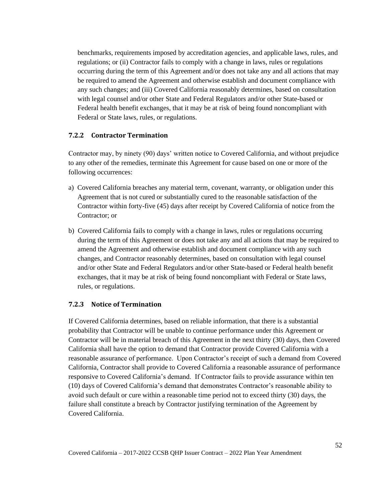benchmarks, requirements imposed by accreditation agencies, and applicable laws, rules, and regulations; or (ii) Contractor fails to comply with a change in laws, rules or regulations occurring during the term of this Agreement and/or does not take any and all actions that may be required to amend the Agreement and otherwise establish and document compliance with any such changes; and (iii) Covered California reasonably determines, based on consultation with legal counsel and/or other State and Federal Regulators and/or other State-based or Federal health benefit exchanges, that it may be at risk of being found noncompliant with Federal or State laws, rules, or regulations.

### **7.2.2 Contractor Termination**

Contractor may, by ninety (90) days' written notice to Covered California, and without prejudice to any other of the remedies, terminate this Agreement for cause based on one or more of the following occurrences:

- a) Covered California breaches any material term, covenant, warranty, or obligation under this Agreement that is not cured or substantially cured to the reasonable satisfaction of the Contractor within forty-five (45) days after receipt by Covered California of notice from the Contractor; or
- b) Covered California fails to comply with a change in laws, rules or regulations occurring during the term of this Agreement or does not take any and all actions that may be required to amend the Agreement and otherwise establish and document compliance with any such changes, and Contractor reasonably determines, based on consultation with legal counsel and/or other State and Federal Regulators and/or other State-based or Federal health benefit exchanges, that it may be at risk of being found noncompliant with Federal or State laws, rules, or regulations.

#### **7.2.3 Notice of Termination**

If Covered California determines, based on reliable information, that there is a substantial probability that Contractor will be unable to continue performance under this Agreement or Contractor will be in material breach of this Agreement in the next thirty (30) days, then Covered California shall have the option to demand that Contractor provide Covered California with a reasonable assurance of performance. Upon Contractor's receipt of such a demand from Covered California, Contractor shall provide to Covered California a reasonable assurance of performance responsive to Covered California's demand. If Contractor fails to provide assurance within ten (10) days of Covered California's demand that demonstrates Contractor's reasonable ability to avoid such default or cure within a reasonable time period not to exceed thirty (30) days, the failure shall constitute a breach by Contractor justifying termination of the Agreement by Covered California.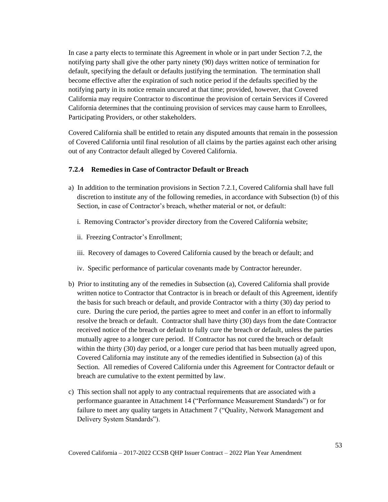In case a party elects to terminate this Agreement in whole or in part under Section 7.2, the notifying party shall give the other party ninety (90) days written notice of termination for default, specifying the default or defaults justifying the termination. The termination shall become effective after the expiration of such notice period if the defaults specified by the notifying party in its notice remain uncured at that time; provided, however, that Covered California may require Contractor to discontinue the provision of certain Services if Covered California determines that the continuing provision of services may cause harm to Enrollees, Participating Providers, or other stakeholders.

Covered California shall be entitled to retain any disputed amounts that remain in the possession of Covered California until final resolution of all claims by the parties against each other arising out of any Contractor default alleged by Covered California.

#### **7.2.4 Remedies in Case of Contractor Default or Breach**

- a) In addition to the termination provisions in Section 7.2.1, Covered California shall have full discretion to institute any of the following remedies, in accordance with Subsection (b) of this Section, in case of Contractor's breach, whether material or not, or default:
	- i. Removing Contractor's provider directory from the Covered California website;
	- ii. Freezing Contractor's Enrollment;
	- iii. Recovery of damages to Covered California caused by the breach or default; and
	- iv. Specific performance of particular covenants made by Contractor hereunder.
- b) Prior to instituting any of the remedies in Subsection (a), Covered California shall provide written notice to Contractor that Contractor is in breach or default of this Agreement, identify the basis for such breach or default, and provide Contractor with a thirty (30) day period to cure. During the cure period, the parties agree to meet and confer in an effort to informally resolve the breach or default. Contractor shall have thirty (30) days from the date Contractor received notice of the breach or default to fully cure the breach or default, unless the parties mutually agree to a longer cure period. If Contractor has not cured the breach or default within the thirty (30) day period, or a longer cure period that has been mutually agreed upon, Covered California may institute any of the remedies identified in Subsection (a) of this Section. All remedies of Covered California under this Agreement for Contractor default or breach are cumulative to the extent permitted by law.
- c) This section shall not apply to any contractual requirements that are associated with a performance guarantee in Attachment 14 ("Performance Measurement Standards") or for failure to meet any quality targets in Attachment 7 ("Quality, Network Management and Delivery System Standards").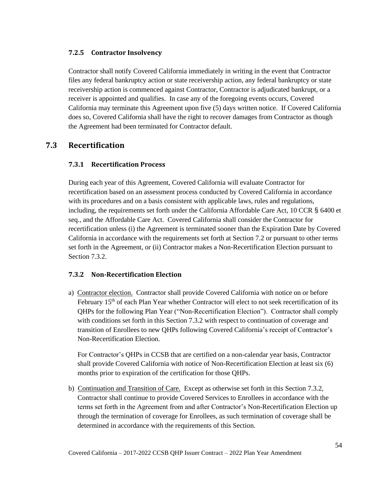### **7.2.5 Contractor Insolvency**

Contractor shall notify Covered California immediately in writing in the event that Contractor files any federal bankruptcy action or state receivership action, any federal bankruptcy or state receivership action is commenced against Contractor, Contractor is adjudicated bankrupt, or a receiver is appointed and qualifies. In case any of the foregoing events occurs, Covered California may terminate this Agreement upon five (5) days written notice. If Covered California does so, Covered California shall have the right to recover damages from Contractor as though the Agreement had been terminated for Contractor default.

# **7.3 Recertification**

## **7.3.1 Recertification Process**

During each year of this Agreement, Covered California will evaluate Contractor for recertification based on an assessment process conducted by Covered California in accordance with its procedures and on a basis consistent with applicable laws, rules and regulations, including, the requirements set forth under the California Affordable Care Act, 10 CCR § 6400 et seq*.*, and the Affordable Care Act. Covered California shall consider the Contractor for recertification unless (i) the Agreement is terminated sooner than the Expiration Date by Covered California in accordance with the requirements set forth at Section 7.2 or pursuant to other terms set forth in the Agreement, or (ii) Contractor makes a Non-Recertification Election pursuant to Section 7.3.2.

#### **7.3.2 Non-Recertification Election**

a) Contractor election. Contractor shall provide Covered California with notice on or before February  $15<sup>th</sup>$  of each Plan Year whether Contractor will elect to not seek recertification of its QHPs for the following Plan Year ("Non-Recertification Election"). Contractor shall comply with conditions set forth in this Section 7.3.2 with respect to continuation of coverage and transition of Enrollees to new QHPs following Covered California's receipt of Contractor's Non-Recertification Election.

For Contractor's QHPs in CCSB that are certified on a non-calendar year basis, Contractor shall provide Covered California with notice of Non-Recertification Election at least six (6) months prior to expiration of the certification for those QHPs.

b) Continuation and Transition of Care. Except as otherwise set forth in this Section 7.3.2, Contractor shall continue to provide Covered Services to Enrollees in accordance with the terms set forth in the Agreement from and after Contractor's Non-Recertification Election up through the termination of coverage for Enrollees, as such termination of coverage shall be determined in accordance with the requirements of this Section.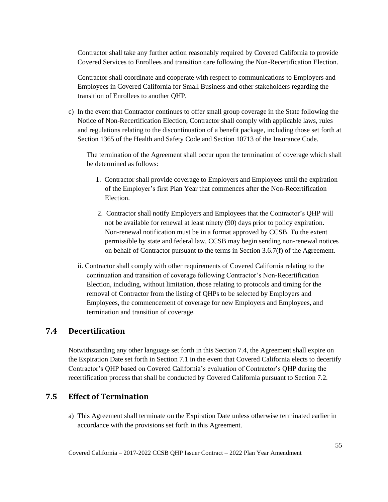Contractor shall take any further action reasonably required by Covered California to provide Covered Services to Enrollees and transition care following the Non-Recertification Election.

Contractor shall coordinate and cooperate with respect to communications to Employers and Employees in Covered California for Small Business and other stakeholders regarding the transition of Enrollees to another QHP.

c) In the event that Contractor continues to offer small group coverage in the State following the Notice of Non-Recertification Election, Contractor shall comply with applicable laws, rules and regulations relating to the discontinuation of a benefit package, including those set forth at Section 1365 of the Health and Safety Code and Section 10713 of the Insurance Code.

The termination of the Agreement shall occur upon the termination of coverage which shall be determined as follows:

- 1. Contractor shall provide coverage to Employers and Employees until the expiration of the Employer's first Plan Year that commences after the Non-Recertification **Election**
- 2. Contractor shall notify Employers and Employees that the Contractor's QHP will not be available for renewal at least ninety (90) days prior to policy expiration. Non-renewal notification must be in a format approved by CCSB. To the extent permissible by state and federal law, CCSB may begin sending non-renewal notices on behalf of Contractor pursuant to the terms in Section 3.6.7(f) of the Agreement.
- ii. Contractor shall comply with other requirements of Covered California relating to the continuation and transition of coverage following Contractor's Non-Recertification Election, including, without limitation, those relating to protocols and timing for the removal of Contractor from the listing of QHPs to be selected by Employers and Employees, the commencement of coverage for new Employers and Employees, and termination and transition of coverage.

## **7.4 Decertification**

Notwithstanding any other language set forth in this Section 7.4, the Agreement shall expire on the Expiration Date set forth in Section 7.1 in the event that Covered California elects to decertify Contractor's QHP based on Covered California's evaluation of Contractor's QHP during the recertification process that shall be conducted by Covered California pursuant to Section 7.2.

## **7.5 Effect of Termination**

a) This Agreement shall terminate on the Expiration Date unless otherwise terminated earlier in accordance with the provisions set forth in this Agreement.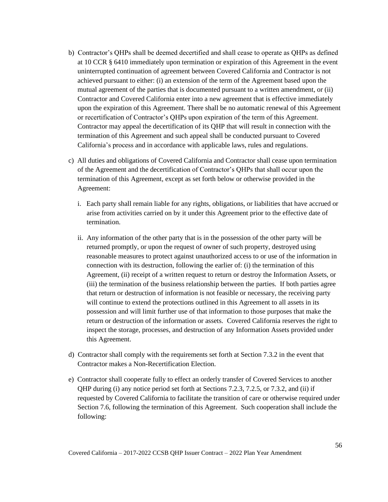- b) Contractor's QHPs shall be deemed decertified and shall cease to operate as QHPs as defined at 10 CCR § 6410 immediately upon termination or expiration of this Agreement in the event uninterrupted continuation of agreement between Covered California and Contractor is not achieved pursuant to either: (i) an extension of the term of the Agreement based upon the mutual agreement of the parties that is documented pursuant to a written amendment, or (ii) Contractor and Covered California enter into a new agreement that is effective immediately upon the expiration of this Agreement. There shall be no automatic renewal of this Agreement or recertification of Contractor's QHPs upon expiration of the term of this Agreement. Contractor may appeal the decertification of its QHP that will result in connection with the termination of this Agreement and such appeal shall be conducted pursuant to Covered California's process and in accordance with applicable laws, rules and regulations.
- c) All duties and obligations of Covered California and Contractor shall cease upon termination of the Agreement and the decertification of Contractor's QHPs that shall occur upon the termination of this Agreement, except as set forth below or otherwise provided in the Agreement:
	- i. Each party shall remain liable for any rights, obligations, or liabilities that have accrued or arise from activities carried on by it under this Agreement prior to the effective date of termination.
	- ii. Any information of the other party that is in the possession of the other party will be returned promptly, or upon the request of owner of such property, destroyed using reasonable measures to protect against unauthorized access to or use of the information in connection with its destruction, following the earlier of: (i) the termination of this Agreement, (ii) receipt of a written request to return or destroy the Information Assets, or (iii) the termination of the business relationship between the parties. If both parties agree that return or destruction of information is not feasible or necessary, the receiving party will continue to extend the protections outlined in this Agreement to all assets in its possession and will limit further use of that information to those purposes that make the return or destruction of the information or assets. Covered California reserves the right to inspect the storage, processes, and destruction of any Information Assets provided under this Agreement.
- d) Contractor shall comply with the requirements set forth at Section 7.3.2 in the event that Contractor makes a Non-Recertification Election.
- e) Contractor shall cooperate fully to effect an orderly transfer of Covered Services to another QHP during (i) any notice period set forth at Sections 7.2.3, 7.2.5, or 7.3.2, and (ii) if requested by Covered California to facilitate the transition of care or otherwise required under Section 7.6, following the termination of this Agreement. Such cooperation shall include the following: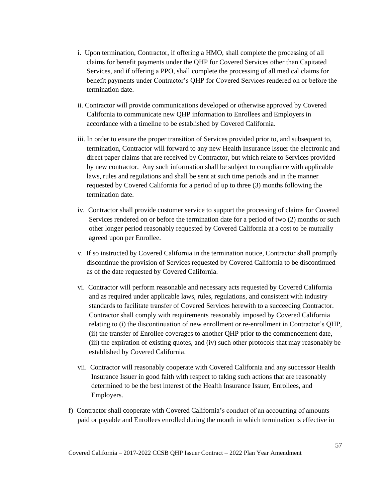- i. Upon termination, Contractor, if offering a HMO, shall complete the processing of all claims for benefit payments under the QHP for Covered Services other than Capitated Services, and if offering a PPO, shall complete the processing of all medical claims for benefit payments under Contractor's QHP for Covered Services rendered on or before the termination date.
- ii. Contractor will provide communications developed or otherwise approved by Covered California to communicate new QHP information to Enrollees and Employers in accordance with a timeline to be established by Covered California.
- iii. In order to ensure the proper transition of Services provided prior to, and subsequent to, termination, Contractor will forward to any new Health Insurance Issuer the electronic and direct paper claims that are received by Contractor, but which relate to Services provided by new contractor. Any such information shall be subject to compliance with applicable laws, rules and regulations and shall be sent at such time periods and in the manner requested by Covered California for a period of up to three (3) months following the termination date.
- iv. Contractor shall provide customer service to support the processing of claims for Covered Services rendered on or before the termination date for a period of two (2) months or such other longer period reasonably requested by Covered California at a cost to be mutually agreed upon per Enrollee.
- v. If so instructed by Covered California in the termination notice, Contractor shall promptly discontinue the provision of Services requested by Covered California to be discontinued as of the date requested by Covered California.
- vi. Contractor will perform reasonable and necessary acts requested by Covered California and as required under applicable laws, rules, regulations, and consistent with industry standards to facilitate transfer of Covered Services herewith to a succeeding Contractor. Contractor shall comply with requirements reasonably imposed by Covered California relating to (i) the discontinuation of new enrollment or re-enrollment in Contractor's QHP, (ii) the transfer of Enrollee coverages to another QHP prior to the commencement date, (iii) the expiration of existing quotes, and (iv) such other protocols that may reasonably be established by Covered California.
- vii. Contractor will reasonably cooperate with Covered California and any successor Health Insurance Issuer in good faith with respect to taking such actions that are reasonably determined to be the best interest of the Health Insurance Issuer, Enrollees, and Employers.
- f) Contractor shall cooperate with Covered California's conduct of an accounting of amounts paid or payable and Enrollees enrolled during the month in which termination is effective in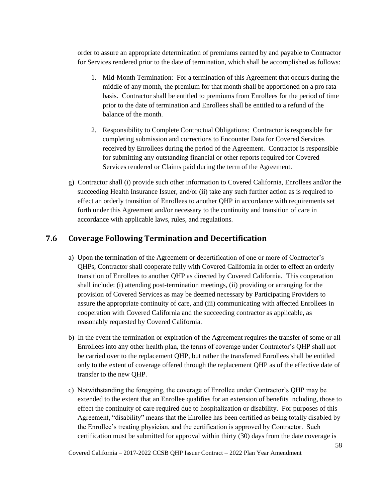order to assure an appropriate determination of premiums earned by and payable to Contractor for Services rendered prior to the date of termination, which shall be accomplished as follows:

- 1. Mid-Month Termination: For a termination of this Agreement that occurs during the middle of any month, the premium for that month shall be apportioned on a pro rata basis. Contractor shall be entitled to premiums from Enrollees for the period of time prior to the date of termination and Enrollees shall be entitled to a refund of the balance of the month.
- 2. Responsibility to Complete Contractual Obligations: Contractor is responsible for completing submission and corrections to Encounter Data for Covered Services received by Enrollees during the period of the Agreement. Contractor is responsible for submitting any outstanding financial or other reports required for Covered Services rendered or Claims paid during the term of the Agreement.
- g) Contractor shall (i) provide such other information to Covered California, Enrollees and/or the succeeding Health Insurance Issuer, and/or (ii) take any such further action as is required to effect an orderly transition of Enrollees to another QHP in accordance with requirements set forth under this Agreement and/or necessary to the continuity and transition of care in accordance with applicable laws, rules, and regulations.

## **7.6 Coverage Following Termination and Decertification**

- a) Upon the termination of the Agreement or decertification of one or more of Contractor's QHPs, Contractor shall cooperate fully with Covered California in order to effect an orderly transition of Enrollees to another QHP as directed by Covered California. This cooperation shall include: (i) attending post-termination meetings, (ii) providing or arranging for the provision of Covered Services as may be deemed necessary by Participating Providers to assure the appropriate continuity of care, and (iii) communicating with affected Enrollees in cooperation with Covered California and the succeeding contractor as applicable, as reasonably requested by Covered California.
- b) In the event the termination or expiration of the Agreement requires the transfer of some or all Enrollees into any other health plan, the terms of coverage under Contractor's QHP shall not be carried over to the replacement QHP, but rather the transferred Enrollees shall be entitled only to the extent of coverage offered through the replacement QHP as of the effective date of transfer to the new QHP.
- c) Notwithstanding the foregoing, the coverage of Enrollee under Contractor's QHP may be extended to the extent that an Enrollee qualifies for an extension of benefits including, those to effect the continuity of care required due to hospitalization or disability. For purposes of this Agreement, "disability" means that the Enrollee has been certified as being totally disabled by the Enrollee's treating physician, and the certification is approved by Contractor. Such certification must be submitted for approval within thirty (30) days from the date coverage is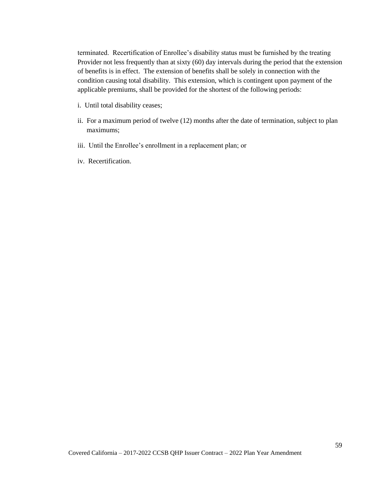terminated. Recertification of Enrollee's disability status must be furnished by the treating Provider not less frequently than at sixty (60) day intervals during the period that the extension of benefits is in effect. The extension of benefits shall be solely in connection with the condition causing total disability. This extension, which is contingent upon payment of the applicable premiums, shall be provided for the shortest of the following periods:

- i. Until total disability ceases;
- ii. For a maximum period of twelve (12) months after the date of termination, subject to plan maximums;
- iii. Until the Enrollee's enrollment in a replacement plan; or
- iv. Recertification.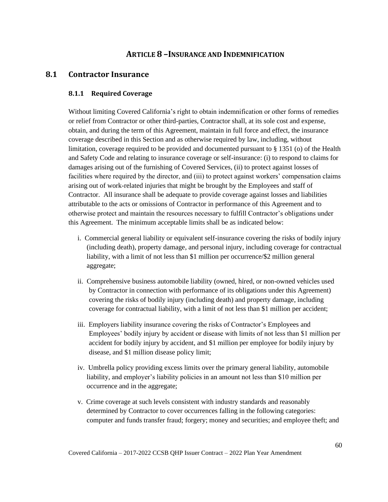## **ARTICLE 8 –INSURANCE AND INDEMNIFICATION**

## **8.1 Contractor Insurance**

### **8.1.1 Required Coverage**

Without limiting Covered California's right to obtain indemnification or other forms of remedies or relief from Contractor or other third-parties, Contractor shall, at its sole cost and expense, obtain, and during the term of this Agreement, maintain in full force and effect, the insurance coverage described in this Section and as otherwise required by law, including, without limitation, coverage required to be provided and documented pursuant to § 1351 (o) of the Health and Safety Code and relating to insurance coverage or self-insurance: (i) to respond to claims for damages arising out of the furnishing of Covered Services, (ii) to protect against losses of facilities where required by the director, and (iii) to protect against workers' compensation claims arising out of work-related injuries that might be brought by the Employees and staff of Contractor. All insurance shall be adequate to provide coverage against losses and liabilities attributable to the acts or omissions of Contractor in performance of this Agreement and to otherwise protect and maintain the resources necessary to fulfill Contractor's obligations under this Agreement. The minimum acceptable limits shall be as indicated below:

- i. Commercial general liability or equivalent self-insurance covering the risks of bodily injury (including death), property damage, and personal injury, including coverage for contractual liability, with a limit of not less than \$1 million per occurrence/\$2 million general aggregate;
- ii. Comprehensive business automobile liability (owned, hired, or non-owned vehicles used by Contractor in connection with performance of its obligations under this Agreement) covering the risks of bodily injury (including death) and property damage, including coverage for contractual liability, with a limit of not less than \$1 million per accident;
- iii. Employers liability insurance covering the risks of Contractor's Employees and Employees' bodily injury by accident or disease with limits of not less than \$1 million per accident for bodily injury by accident, and \$1 million per employee for bodily injury by disease, and \$1 million disease policy limit;
- iv. Umbrella policy providing excess limits over the primary general liability, automobile liability, and employer's liability policies in an amount not less than \$10 million per occurrence and in the aggregate;
- v. Crime coverage at such levels consistent with industry standards and reasonably determined by Contractor to cover occurrences falling in the following categories: computer and funds transfer fraud; forgery; money and securities; and employee theft; and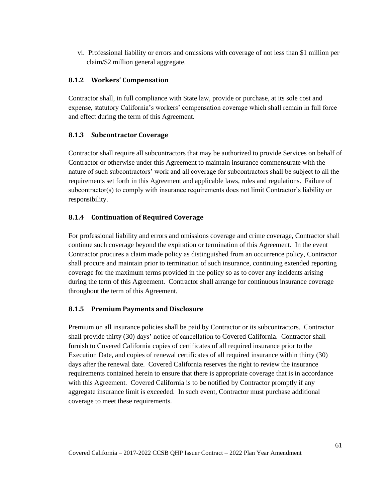vi. Professional liability or errors and omissions with coverage of not less than \$1 million per claim/\$2 million general aggregate.

## **8.1.2 Workers' Compensation**

Contractor shall, in full compliance with State law, provide or purchase, at its sole cost and expense, statutory California's workers' compensation coverage which shall remain in full force and effect during the term of this Agreement.

### **8.1.3 Subcontractor Coverage**

Contractor shall require all subcontractors that may be authorized to provide Services on behalf of Contractor or otherwise under this Agreement to maintain insurance commensurate with the nature of such subcontractors' work and all coverage for subcontractors shall be subject to all the requirements set forth in this Agreement and applicable laws, rules and regulations. Failure of subcontractor(s) to comply with insurance requirements does not limit Contractor's liability or responsibility.

### **8.1.4 Continuation of Required Coverage**

For professional liability and errors and omissions coverage and crime coverage, Contractor shall continue such coverage beyond the expiration or termination of this Agreement. In the event Contractor procures a claim made policy as distinguished from an occurrence policy, Contractor shall procure and maintain prior to termination of such insurance, continuing extended reporting coverage for the maximum terms provided in the policy so as to cover any incidents arising during the term of this Agreement. Contractor shall arrange for continuous insurance coverage throughout the term of this Agreement.

## **8.1.5 Premium Payments and Disclosure**

Premium on all insurance policies shall be paid by Contractor or its subcontractors. Contractor shall provide thirty (30) days' notice of cancellation to Covered California. Contractor shall furnish to Covered California copies of certificates of all required insurance prior to the Execution Date, and copies of renewal certificates of all required insurance within thirty (30) days after the renewal date. Covered California reserves the right to review the insurance requirements contained herein to ensure that there is appropriate coverage that is in accordance with this Agreement. Covered California is to be notified by Contractor promptly if any aggregate insurance limit is exceeded. In such event, Contractor must purchase additional coverage to meet these requirements.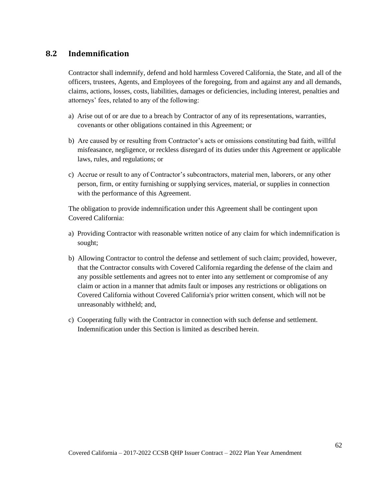## **8.2 Indemnification**

Contractor shall indemnify, defend and hold harmless Covered California, the State, and all of the officers, trustees, Agents, and Employees of the foregoing, from and against any and all demands, claims, actions, losses, costs, liabilities, damages or deficiencies, including interest, penalties and attorneys' fees, related to any of the following:

- a) Arise out of or are due to a breach by Contractor of any of its representations, warranties, covenants or other obligations contained in this Agreement; or
- b) Are caused by or resulting from Contractor's acts or omissions constituting bad faith, willful misfeasance, negligence, or reckless disregard of its duties under this Agreement or applicable laws, rules, and regulations; or
- c) Accrue or result to any of Contractor's subcontractors, material men, laborers, or any other person, firm, or entity furnishing or supplying services, material, or supplies in connection with the performance of this Agreement.

The obligation to provide indemnification under this Agreement shall be contingent upon Covered California:

- a) Providing Contractor with reasonable written notice of any claim for which indemnification is sought;
- b) Allowing Contractor to control the defense and settlement of such claim; provided, however, that the Contractor consults with Covered California regarding the defense of the claim and any possible settlements and agrees not to enter into any settlement or compromise of any claim or action in a manner that admits fault or imposes any restrictions or obligations on Covered California without Covered California's prior written consent, which will not be unreasonably withheld; and,
- c) Cooperating fully with the Contractor in connection with such defense and settlement. Indemnification under this Section is limited as described herein.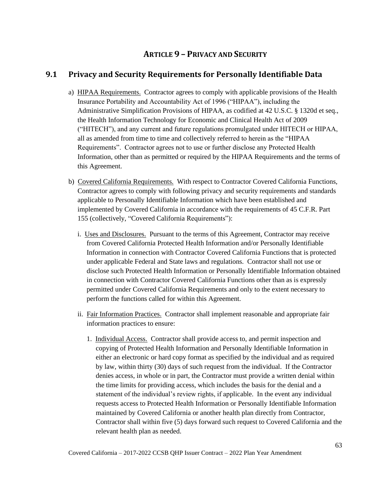# **ARTICLE 9 – PRIVACY AND SECURITY**

# **9.1 Privacy and Security Requirements for Personally Identifiable Data**

- a) HIPAA Requirements. Contractor agrees to comply with applicable provisions of the Health Insurance Portability and Accountability Act of 1996 ("HIPAA"), including the Administrative Simplification Provisions of HIPAA, as codified at 42 U.S.C. § 1320d et seq., the Health Information Technology for Economic and Clinical Health Act of 2009 ("HITECH"), and any current and future regulations promulgated under HITECH or HIPAA, all as amended from time to time and collectively referred to herein as the "HIPAA Requirements". Contractor agrees not to use or further disclose any Protected Health Information, other than as permitted or required by the HIPAA Requirements and the terms of this Agreement.
- b) Covered California Requirements. With respect to Contractor Covered California Functions, Contractor agrees to comply with following privacy and security requirements and standards applicable to Personally Identifiable Information which have been established and implemented by Covered California in accordance with the requirements of 45 C.F.R. Part 155 (collectively, "Covered California Requirements"):
	- i. Uses and Disclosures. Pursuant to the terms of this Agreement, Contractor may receive from Covered California Protected Health Information and/or Personally Identifiable Information in connection with Contractor Covered California Functions that is protected under applicable Federal and State laws and regulations. Contractor shall not use or disclose such Protected Health Information or Personally Identifiable Information obtained in connection with Contractor Covered California Functions other than as is expressly permitted under Covered California Requirements and only to the extent necessary to perform the functions called for within this Agreement.
	- ii. Fair Information Practices. Contractor shall implement reasonable and appropriate fair information practices to ensure:
		- 1. Individual Access. Contractor shall provide access to, and permit inspection and copying of Protected Health Information and Personally Identifiable Information in either an electronic or hard copy format as specified by the individual and as required by law, within thirty (30) days of such request from the individual. If the Contractor denies access, in whole or in part, the Contractor must provide a written denial within the time limits for providing access, which includes the basis for the denial and a statement of the individual's review rights, if applicable. In the event any individual requests access to Protected Health Information or Personally Identifiable Information maintained by Covered California or another health plan directly from Contractor, Contractor shall within five (5) days forward such request to Covered California and the relevant health plan as needed.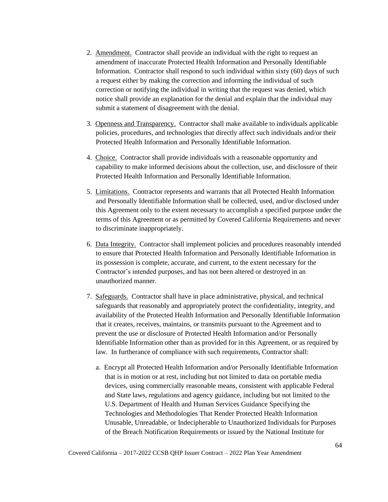- 2. Amendment. Contractor shall provide an individual with the right to request an amendment of inaccurate Protected Health Information and Personally Identifiable Information. Contractor shall respond to such individual within sixty (60) days of such a request either by making the correction and informing the individual of such correction or notifying the individual in writing that the request was denied, which notice shall provide an explanation for the denial and explain that the individual may submit a statement of disagreement with the denial.
- 3. Openness and Transparency. Contractor shall make available to individuals applicable policies, procedures, and technologies that directly affect such individuals and/or their Protected Health Information and Personally Identifiable Information.
- 4. Choice. Contractor shall provide individuals with a reasonable opportunity and capability to make informed decisions about the collection, use, and disclosure of their Protected Health Information and Personally Identifiable Information.
- 5. Limitations. Contractor represents and warrants that all Protected Health Information and Personally Identifiable Information shall be collected, used, and/or disclosed under this Agreement only to the extent necessary to accomplish a specified purpose under the terms of this Agreement or as permitted by Covered California Requirements and never to discriminate inappropriately.
- 6. Data Integrity. Contractor shall implement policies and procedures reasonably intended to ensure that Protected Health Information and Personally Identifiable Information in its possession is complete, accurate, and current, to the extent necessary for the Contractor's intended purposes, and has not been altered or destroyed in an unauthorized manner.
- 7. Safeguards. Contractor shall have in place administrative, physical, and technical safeguards that reasonably and appropriately protect the confidentiality, integrity, and availability of the Protected Health Information and Personally Identifiable Information that it creates, receives, maintains, or transmits pursuant to the Agreement and to prevent the use or disclosure of Protected Health Information and/or Personally Identifiable Information other than as provided for in this Agreement, or as required by law. In furtherance of compliance with such requirements, Contractor shall:
	- a. Encrypt all Protected Health Information and/or Personally Identifiable Information that is in motion or at rest, including but not limited to data on portable media devices, using commercially reasonable means, consistent with applicable Federal and State laws, regulations and agency guidance, including but not limited to the U.S. Department of Health and Human Services Guidance Specifying the Technologies and Methodologies That Render Protected Health Information Unusable, Unreadable, or Indecipherable to Unauthorized Individuals for Purposes of the Breach Notification Requirements or issued by the National Institute for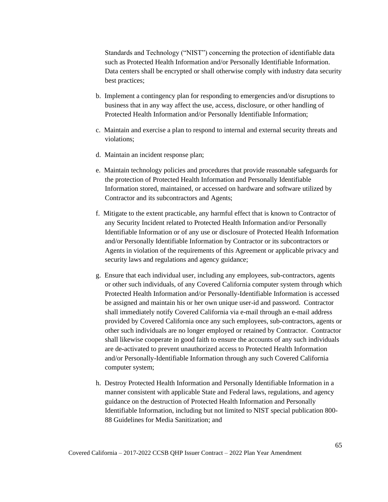Standards and Technology ("NIST") concerning the protection of identifiable data such as Protected Health Information and/or Personally Identifiable Information. Data centers shall be encrypted or shall otherwise comply with industry data security best practices;

- b. Implement a contingency plan for responding to emergencies and/or disruptions to business that in any way affect the use, access, disclosure, or other handling of Protected Health Information and/or Personally Identifiable Information;
- c. Maintain and exercise a plan to respond to internal and external security threats and violations;
- d. Maintain an incident response plan;
- e. Maintain technology policies and procedures that provide reasonable safeguards for the protection of Protected Health Information and Personally Identifiable Information stored, maintained, or accessed on hardware and software utilized by Contractor and its subcontractors and Agents;
- f. Mitigate to the extent practicable, any harmful effect that is known to Contractor of any Security Incident related to Protected Health Information and/or Personally Identifiable Information or of any use or disclosure of Protected Health Information and/or Personally Identifiable Information by Contractor or its subcontractors or Agents in violation of the requirements of this Agreement or applicable privacy and security laws and regulations and agency guidance;
- g. Ensure that each individual user, including any employees, sub-contractors, agents or other such individuals, of any Covered California computer system through which Protected Health Information and/or Personally-Identifiable Information is accessed be assigned and maintain his or her own unique user-id and password. Contractor shall immediately notify Covered California via e-mail through an e-mail address provided by Covered California once any such employees, sub-contractors, agents or other such individuals are no longer employed or retained by Contractor. Contractor shall likewise cooperate in good faith to ensure the accounts of any such individuals are de-activated to prevent unauthorized access to Protected Health Information and/or Personally-Identifiable Information through any such Covered California computer system;
- h. Destroy Protected Health Information and Personally Identifiable Information in a manner consistent with applicable State and Federal laws, regulations, and agency guidance on the destruction of Protected Health Information and Personally Identifiable Information, including but not limited to NIST special publication 800- 88 Guidelines for Media Sanitization; and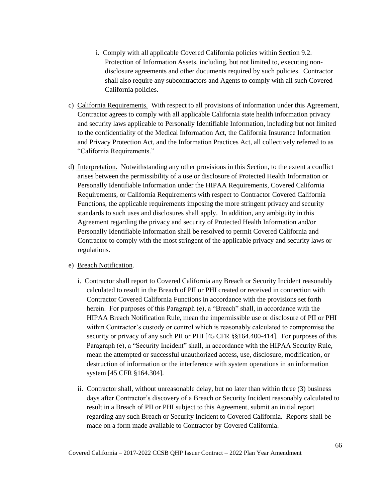- i. Comply with all applicable Covered California policies within Section 9.2. Protection of Information Assets, including, but not limited to, executing nondisclosure agreements and other documents required by such policies. Contractor shall also require any subcontractors and Agents to comply with all such Covered California policies.
- c) California Requirements. With respect to all provisions of information under this Agreement, Contractor agrees to comply with all applicable California state health information privacy and security laws applicable to Personally Identifiable Information, including but not limited to the confidentiality of the Medical Information Act, the California Insurance Information and Privacy Protection Act, and the Information Practices Act, all collectively referred to as "California Requirements."
- d) Interpretation. Notwithstanding any other provisions in this Section, to the extent a conflict arises between the permissibility of a use or disclosure of Protected Health Information or Personally Identifiable Information under the HIPAA Requirements, Covered California Requirements, or California Requirements with respect to Contractor Covered California Functions, the applicable requirements imposing the more stringent privacy and security standards to such uses and disclosures shall apply. In addition, any ambiguity in this Agreement regarding the privacy and security of Protected Health Information and/or Personally Identifiable Information shall be resolved to permit Covered California and Contractor to comply with the most stringent of the applicable privacy and security laws or regulations.

#### e) Breach Notification.

- i. Contractor shall report to Covered California any Breach or Security Incident reasonably calculated to result in the Breach of PII or PHI created or received in connection with Contractor Covered California Functions in accordance with the provisions set forth herein. For purposes of this Paragraph (e), a "Breach" shall, in accordance with the HIPAA Breach Notification Rule, mean the impermissible use or disclosure of PII or PHI within Contractor's custody or control which is reasonably calculated to compromise the security or privacy of any such PII or PHI [45 CFR  $\S 164.400-414$ ]. For purposes of this Paragraph (e), a "Security Incident" shall, in accordance with the HIPAA Security Rule, mean the attempted or successful unauthorized access, use, disclosure, modification, or destruction of information or the interference with system operations in an information system [45 CFR §164.304].
- ii. Contractor shall, without unreasonable delay, but no later than within three (3) business days after Contractor's discovery of a Breach or Security Incident reasonably calculated to result in a Breach of PII or PHI subject to this Agreement, submit an initial report regarding any such Breach or Security Incident to Covered California. Reports shall be made on a form made available to Contractor by Covered California.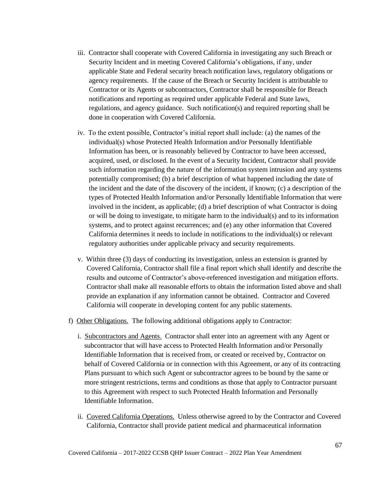- iii. Contractor shall cooperate with Covered California in investigating any such Breach or Security Incident and in meeting Covered California's obligations, if any, under applicable State and Federal security breach notification laws, regulatory obligations or agency requirements. If the cause of the Breach or Security Incident is attributable to Contractor or its Agents or subcontractors, Contractor shall be responsible for Breach notifications and reporting as required under applicable Federal and State laws, regulations, and agency guidance. Such notification(s) and required reporting shall be done in cooperation with Covered California.
- iv. To the extent possible, Contractor's initial report shall include: (a) the names of the individual(s) whose Protected Health Information and/or Personally Identifiable Information has been, or is reasonably believed by Contractor to have been accessed, acquired, used, or disclosed. In the event of a Security Incident, Contractor shall provide such information regarding the nature of the information system intrusion and any systems potentially compromised; (b) a brief description of what happened including the date of the incident and the date of the discovery of the incident, if known; (c) a description of the types of Protected Health Information and/or Personally Identifiable Information that were involved in the incident, as applicable; (d) a brief description of what Contractor is doing or will be doing to investigate, to mitigate harm to the individual(s) and to its information systems, and to protect against recurrences; and (e) any other information that Covered California determines it needs to include in notifications to the individual(s) or relevant regulatory authorities under applicable privacy and security requirements.
- v. Within three (3) days of conducting its investigation, unless an extension is granted by Covered California, Contractor shall file a final report which shall identify and describe the results and outcome of Contractor's above-referenced investigation and mitigation efforts. Contractor shall make all reasonable efforts to obtain the information listed above and shall provide an explanation if any information cannot be obtained. Contractor and Covered California will cooperate in developing content for any public statements.
- f) Other Obligations. The following additional obligations apply to Contractor:
	- i. Subcontractors and Agents. Contractor shall enter into an agreement with any Agent or subcontractor that will have access to Protected Health Information and/or Personally Identifiable Information that is received from, or created or received by, Contractor on behalf of Covered California or in connection with this Agreement, or any of its contracting Plans pursuant to which such Agent or subcontractor agrees to be bound by the same or more stringent restrictions, terms and conditions as those that apply to Contractor pursuant to this Agreement with respect to such Protected Health Information and Personally Identifiable Information.
	- ii. Covered California Operations. Unless otherwise agreed to by the Contractor and Covered California, Contractor shall provide patient medical and pharmaceutical information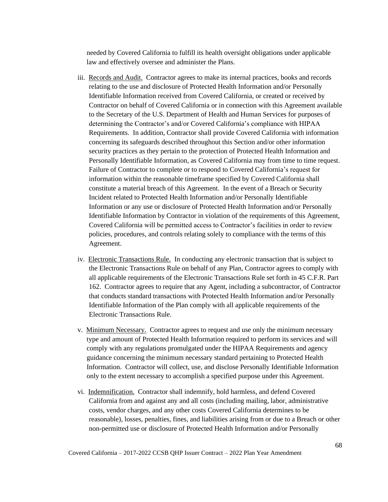needed by Covered California to fulfill its health oversight obligations under applicable law and effectively oversee and administer the Plans.

- iii. Records and Audit. Contractor agrees to make its internal practices, books and records relating to the use and disclosure of Protected Health Information and/or Personally Identifiable Information received from Covered California, or created or received by Contractor on behalf of Covered California or in connection with this Agreement available to the Secretary of the U.S. Department of Health and Human Services for purposes of determining the Contractor's and/or Covered California's compliance with HIPAA Requirements. In addition, Contractor shall provide Covered California with information concerning its safeguards described throughout this Section and/or other information security practices as they pertain to the protection of Protected Health Information and Personally Identifiable Information, as Covered California may from time to time request. Failure of Contractor to complete or to respond to Covered California's request for information within the reasonable timeframe specified by Covered California shall constitute a material breach of this Agreement. In the event of a Breach or Security Incident related to Protected Health Information and/or Personally Identifiable Information or any use or disclosure of Protected Health Information and/or Personally Identifiable Information by Contractor in violation of the requirements of this Agreement, Covered California will be permitted access to Contractor's facilities in order to review policies, procedures, and controls relating solely to compliance with the terms of this Agreement.
- iv. Electronic Transactions Rule. In conducting any electronic transaction that is subject to the Electronic Transactions Rule on behalf of any Plan, Contractor agrees to comply with all applicable requirements of the Electronic Transactions Rule set forth in 45 C.F.R. Part 162. Contractor agrees to require that any Agent, including a subcontractor, of Contractor that conducts standard transactions with Protected Health Information and/or Personally Identifiable Information of the Plan comply with all applicable requirements of the Electronic Transactions Rule.
- v. Minimum Necessary. Contractor agrees to request and use only the minimum necessary type and amount of Protected Health Information required to perform its services and will comply with any regulations promulgated under the HIPAA Requirements and agency guidance concerning the minimum necessary standard pertaining to Protected Health Information. Contractor will collect, use, and disclose Personally Identifiable Information only to the extent necessary to accomplish a specified purpose under this Agreement.
- vi. Indemnification. Contractor shall indemnify, hold harmless, and defend Covered California from and against any and all costs (including mailing, labor, administrative costs, vendor charges, and any other costs Covered California determines to be reasonable), losses, penalties, fines, and liabilities arising from or due to a Breach or other non-permitted use or disclosure of Protected Health Information and/or Personally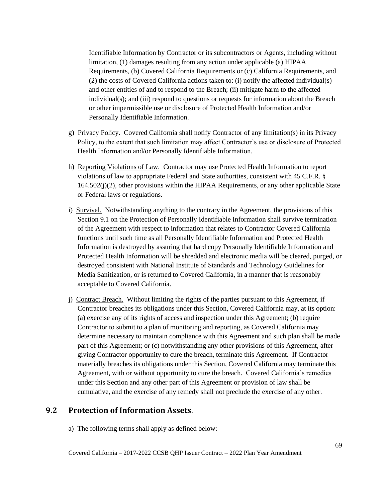Identifiable Information by Contractor or its subcontractors or Agents, including without limitation, (1) damages resulting from any action under applicable (a) HIPAA Requirements, (b) Covered California Requirements or (c) California Requirements, and (2) the costs of Covered California actions taken to: (i) notify the affected individual(s) and other entities of and to respond to the Breach; (ii) mitigate harm to the affected individual(s); and (iii) respond to questions or requests for information about the Breach or other impermissible use or disclosure of Protected Health Information and/or Personally Identifiable Information.

- g) Privacy Policy. Covered California shall notify Contractor of any limitation(s) in its Privacy Policy, to the extent that such limitation may affect Contractor's use or disclosure of Protected Health Information and/or Personally Identifiable Information.
- h) Reporting Violations of Law. Contractor may use Protected Health Information to report violations of law to appropriate Federal and State authorities, consistent with 45 C.F.R. §  $164.502(j)(2)$ , other provisions within the HIPAA Requirements, or any other applicable State or Federal laws or regulations.
- i) Survival. Notwithstanding anything to the contrary in the Agreement, the provisions of this Section 9.1 on the Protection of Personally Identifiable Information shall survive termination of the Agreement with respect to information that relates to Contractor Covered California functions until such time as all Personally Identifiable Information and Protected Health Information is destroyed by assuring that hard copy Personally Identifiable Information and Protected Health Information will be shredded and electronic media will be cleared, purged, or destroyed consistent with National Institute of Standards and Technology Guidelines for Media Sanitization, or is returned to Covered California, in a manner that is reasonably acceptable to Covered California.
- j) Contract Breach. Without limiting the rights of the parties pursuant to this Agreement, if Contractor breaches its obligations under this Section, Covered California may, at its option: (a) exercise any of its rights of access and inspection under this Agreement; (b) require Contractor to submit to a plan of monitoring and reporting, as Covered California may determine necessary to maintain compliance with this Agreement and such plan shall be made part of this Agreement; or (c) notwithstanding any other provisions of this Agreement, after giving Contractor opportunity to cure the breach, terminate this Agreement. If Contractor materially breaches its obligations under this Section, Covered California may terminate this Agreement, with or without opportunity to cure the breach. Covered California's remedies under this Section and any other part of this Agreement or provision of law shall be cumulative, and the exercise of any remedy shall not preclude the exercise of any other.

### **9.2 Protection of Information Assets**.

a) The following terms shall apply as defined below: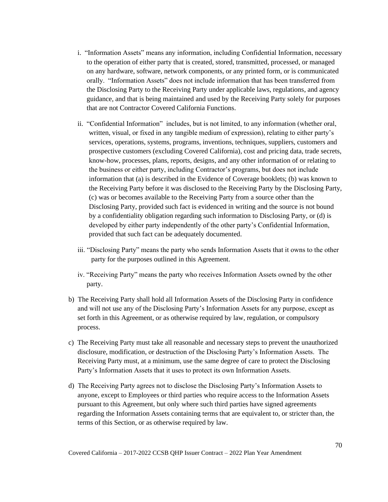- i. "Information Assets" means any information, including Confidential Information, necessary to the operation of either party that is created, stored, transmitted, processed, or managed on any hardware, software, network components, or any printed form, or is communicated orally. "Information Assets" does not include information that has been transferred from the Disclosing Party to the Receiving Party under applicable laws, regulations, and agency guidance, and that is being maintained and used by the Receiving Party solely for purposes that are not Contractor Covered California Functions.
- ii. "Confidential Information" includes, but is not limited, to any information (whether oral, written, visual, or fixed in any tangible medium of expression), relating to either party's services, operations, systems, programs, inventions, techniques, suppliers, customers and prospective customers (excluding Covered California), cost and pricing data, trade secrets, know-how, processes, plans, reports, designs, and any other information of or relating to the business or either party, including Contractor's programs, but does not include information that (a) is described in the Evidence of Coverage booklets; (b) was known to the Receiving Party before it was disclosed to the Receiving Party by the Disclosing Party, (c) was or becomes available to the Receiving Party from a source other than the Disclosing Party, provided such fact is evidenced in writing and the source is not bound by a confidentiality obligation regarding such information to Disclosing Party, or (d) is developed by either party independently of the other party's Confidential Information, provided that such fact can be adequately documented.
- iii. "Disclosing Party" means the party who sends Information Assets that it owns to the other party for the purposes outlined in this Agreement.
- iv. "Receiving Party" means the party who receives Information Assets owned by the other party.
- b) The Receiving Party shall hold all Information Assets of the Disclosing Party in confidence and will not use any of the Disclosing Party's Information Assets for any purpose, except as set forth in this Agreement, or as otherwise required by law, regulation, or compulsory process.
- c) The Receiving Party must take all reasonable and necessary steps to prevent the unauthorized disclosure, modification, or destruction of the Disclosing Party's Information Assets. The Receiving Party must, at a minimum, use the same degree of care to protect the Disclosing Party's Information Assets that it uses to protect its own Information Assets.
- d) The Receiving Party agrees not to disclose the Disclosing Party's Information Assets to anyone, except to Employees or third parties who require access to the Information Assets pursuant to this Agreement, but only where such third parties have signed agreements regarding the Information Assets containing terms that are equivalent to, or stricter than, the terms of this Section, or as otherwise required by law.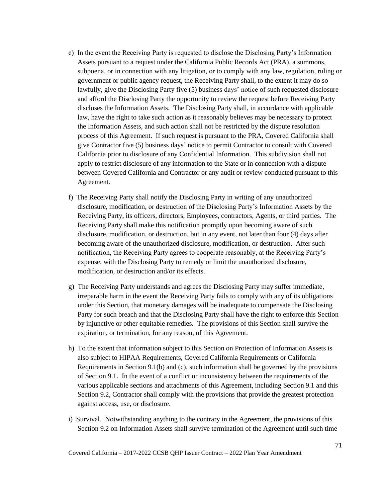- e) In the event the Receiving Party is requested to disclose the Disclosing Party's Information Assets pursuant to a request under the California Public Records Act (PRA), a summons, subpoena, or in connection with any litigation, or to comply with any law, regulation, ruling or government or public agency request, the Receiving Party shall, to the extent it may do so lawfully, give the Disclosing Party five (5) business days' notice of such requested disclosure and afford the Disclosing Party the opportunity to review the request before Receiving Party discloses the Information Assets. The Disclosing Party shall, in accordance with applicable law, have the right to take such action as it reasonably believes may be necessary to protect the Information Assets, and such action shall not be restricted by the dispute resolution process of this Agreement. If such request is pursuant to the PRA, Covered California shall give Contractor five (5) business days' notice to permit Contractor to consult with Covered California prior to disclosure of any Confidential Information. This subdivision shall not apply to restrict disclosure of any information to the State or in connection with a dispute between Covered California and Contractor or any audit or review conducted pursuant to this Agreement.
- f) The Receiving Party shall notify the Disclosing Party in writing of any unauthorized disclosure, modification, or destruction of the Disclosing Party's Information Assets by the Receiving Party, its officers, directors, Employees, contractors, Agents, or third parties. The Receiving Party shall make this notification promptly upon becoming aware of such disclosure, modification, or destruction, but in any event, not later than four (4) days after becoming aware of the unauthorized disclosure, modification, or destruction. After such notification, the Receiving Party agrees to cooperate reasonably, at the Receiving Party's expense, with the Disclosing Party to remedy or limit the unauthorized disclosure, modification, or destruction and/or its effects.
- g) The Receiving Party understands and agrees the Disclosing Party may suffer immediate, irreparable harm in the event the Receiving Party fails to comply with any of its obligations under this Section, that monetary damages will be inadequate to compensate the Disclosing Party for such breach and that the Disclosing Party shall have the right to enforce this Section by injunctive or other equitable remedies. The provisions of this Section shall survive the expiration, or termination, for any reason, of this Agreement.
- h) To the extent that information subject to this Section on Protection of Information Assets is also subject to HIPAA Requirements, Covered California Requirements or California Requirements in Section 9.1(b) and (c), such information shall be governed by the provisions of Section 9.1. In the event of a conflict or inconsistency between the requirements of the various applicable sections and attachments of this Agreement, including Section 9.1 and this Section 9.2, Contractor shall comply with the provisions that provide the greatest protection against access, use, or disclosure.
- i) Survival. Notwithstanding anything to the contrary in the Agreement, the provisions of this Section 9.2 on Information Assets shall survive termination of the Agreement until such time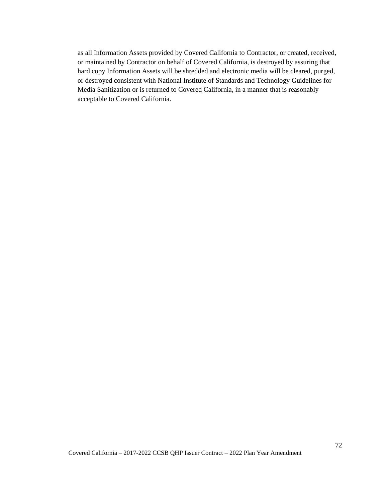as all Information Assets provided by Covered California to Contractor, or created, received, or maintained by Contractor on behalf of Covered California, is destroyed by assuring that hard copy Information Assets will be shredded and electronic media will be cleared, purged, or destroyed consistent with National Institute of Standards and Technology Guidelines for Media Sanitization or is returned to Covered California, in a manner that is reasonably acceptable to Covered California.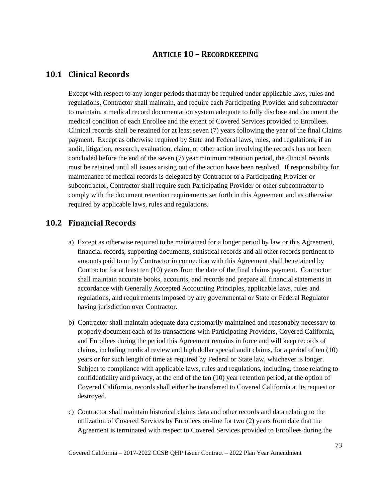### **ARTICLE 10 – RECORDKEEPING**

#### **10.1 Clinical Records**

Except with respect to any longer periods that may be required under applicable laws, rules and regulations, Contractor shall maintain, and require each Participating Provider and subcontractor to maintain, a medical record documentation system adequate to fully disclose and document the medical condition of each Enrollee and the extent of Covered Services provided to Enrollees. Clinical records shall be retained for at least seven (7) years following the year of the final Claims payment. Except as otherwise required by State and Federal laws, rules, and regulations, if an audit, litigation, research, evaluation, claim, or other action involving the records has not been concluded before the end of the seven (7) year minimum retention period, the clinical records must be retained until all issues arising out of the action have been resolved. If responsibility for maintenance of medical records is delegated by Contractor to a Participating Provider or subcontractor, Contractor shall require such Participating Provider or other subcontractor to comply with the document retention requirements set forth in this Agreement and as otherwise required by applicable laws, rules and regulations.

#### **10.2 Financial Records**

- a) Except as otherwise required to be maintained for a longer period by law or this Agreement, financial records, supporting documents, statistical records and all other records pertinent to amounts paid to or by Contractor in connection with this Agreement shall be retained by Contractor for at least ten (10) years from the date of the final claims payment. Contractor shall maintain accurate books, accounts, and records and prepare all financial statements in accordance with Generally Accepted Accounting Principles, applicable laws, rules and regulations, and requirements imposed by any governmental or State or Federal Regulator having jurisdiction over Contractor.
- b) Contractor shall maintain adequate data customarily maintained and reasonably necessary to properly document each of its transactions with Participating Providers, Covered California, and Enrollees during the period this Agreement remains in force and will keep records of claims, including medical review and high dollar special audit claims, for a period of ten (10) years or for such length of time as required by Federal or State law, whichever is longer. Subject to compliance with applicable laws, rules and regulations, including, those relating to confidentiality and privacy, at the end of the ten (10) year retention period, at the option of Covered California, records shall either be transferred to Covered California at its request or destroyed.
- c) Contractor shall maintain historical claims data and other records and data relating to the utilization of Covered Services by Enrollees on-line for two (2) years from date that the Agreement is terminated with respect to Covered Services provided to Enrollees during the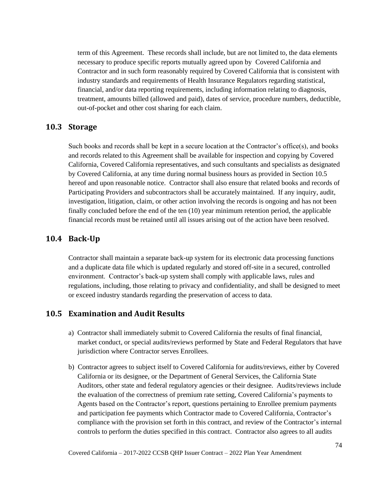term of this Agreement. These records shall include, but are not limited to, the data elements necessary to produce specific reports mutually agreed upon by Covered California and Contractor and in such form reasonably required by Covered California that is consistent with industry standards and requirements of Health Insurance Regulators regarding statistical, financial, and/or data reporting requirements, including information relating to diagnosis, treatment, amounts billed (allowed and paid), dates of service, procedure numbers, deductible, out-of-pocket and other cost sharing for each claim.

#### **10.3 Storage**

Such books and records shall be kept in a secure location at the Contractor's office(s), and books and records related to this Agreement shall be available for inspection and copying by Covered California, Covered California representatives, and such consultants and specialists as designated by Covered California, at any time during normal business hours as provided in Section 10.5 hereof and upon reasonable notice. Contractor shall also ensure that related books and records of Participating Providers and subcontractors shall be accurately maintained. If any inquiry, audit, investigation, litigation, claim, or other action involving the records is ongoing and has not been finally concluded before the end of the ten (10) year minimum retention period, the applicable financial records must be retained until all issues arising out of the action have been resolved.

#### **10.4 Back-Up**

Contractor shall maintain a separate back-up system for its electronic data processing functions and a duplicate data file which is updated regularly and stored off-site in a secured, controlled environment. Contractor's back-up system shall comply with applicable laws, rules and regulations, including, those relating to privacy and confidentiality, and shall be designed to meet or exceed industry standards regarding the preservation of access to data.

#### **10.5 Examination and Audit Results**

- a) Contractor shall immediately submit to Covered California the results of final financial, market conduct, or special audits/reviews performed by State and Federal Regulators that have jurisdiction where Contractor serves Enrollees.
- b) Contractor agrees to subject itself to Covered California for audits/reviews, either by Covered California or its designee, or the Department of General Services, the California State Auditors, other state and federal regulatory agencies or their designee. Audits/reviews include the evaluation of the correctness of premium rate setting, Covered California's payments to Agents based on the Contractor's report, questions pertaining to Enrollee premium payments and participation fee payments which Contractor made to Covered California, Contractor's compliance with the provision set forth in this contract, and review of the Contractor's internal controls to perform the duties specified in this contract. Contractor also agrees to all audits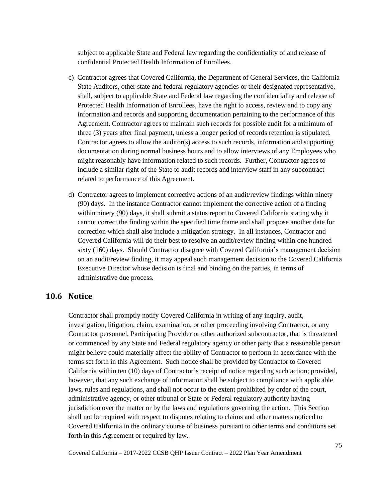subject to applicable State and Federal law regarding the confidentiality of and release of confidential Protected Health Information of Enrollees.

- c) Contractor agrees that Covered California, the Department of General Services, the California State Auditors, other state and federal regulatory agencies or their designated representative, shall, subject to applicable State and Federal law regarding the confidentiality and release of Protected Health Information of Enrollees, have the right to access, review and to copy any information and records and supporting documentation pertaining to the performance of this Agreement. Contractor agrees to maintain such records for possible audit for a minimum of three (3) years after final payment, unless a longer period of records retention is stipulated. Contractor agrees to allow the auditor(s) access to such records, information and supporting documentation during normal business hours and to allow interviews of any Employees who might reasonably have information related to such records. Further, Contractor agrees to include a similar right of the State to audit records and interview staff in any subcontract related to performance of this Agreement.
- d) Contractor agrees to implement corrective actions of an audit/review findings within ninety (90) days. In the instance Contractor cannot implement the corrective action of a finding within ninety (90) days, it shall submit a status report to Covered California stating why it cannot correct the finding within the specified time frame and shall propose another date for correction which shall also include a mitigation strategy. In all instances, Contractor and Covered California will do their best to resolve an audit/review finding within one hundred sixty (160) days. Should Contractor disagree with Covered California's management decision on an audit/review finding, it may appeal such management decision to the Covered California Executive Director whose decision is final and binding on the parties, in terms of administrative due process.

### **10.6 Notice**

Contractor shall promptly notify Covered California in writing of any inquiry, audit, investigation, litigation, claim, examination, or other proceeding involving Contractor, or any Contractor personnel, Participating Provider or other authorized subcontractor, that is threatened or commenced by any State and Federal regulatory agency or other party that a reasonable person might believe could materially affect the ability of Contractor to perform in accordance with the terms set forth in this Agreement. Such notice shall be provided by Contractor to Covered California within ten (10) days of Contractor's receipt of notice regarding such action; provided, however, that any such exchange of information shall be subject to compliance with applicable laws, rules and regulations, and shall not occur to the extent prohibited by order of the court, administrative agency, or other tribunal or State or Federal regulatory authority having jurisdiction over the matter or by the laws and regulations governing the action. This Section shall not be required with respect to disputes relating to claims and other matters noticed to Covered California in the ordinary course of business pursuant to other terms and conditions set forth in this Agreement or required by law.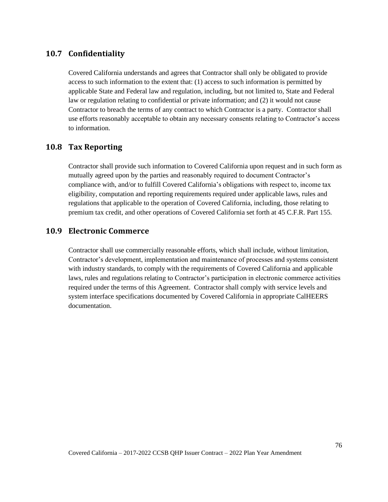### **10.7 Confidentiality**

Covered California understands and agrees that Contractor shall only be obligated to provide access to such information to the extent that: (1) access to such information is permitted by applicable State and Federal law and regulation, including, but not limited to, State and Federal law or regulation relating to confidential or private information; and (2) it would not cause Contractor to breach the terms of any contract to which Contractor is a party. Contractor shall use efforts reasonably acceptable to obtain any necessary consents relating to Contractor's access to information.

#### **10.8 Tax Reporting**

Contractor shall provide such information to Covered California upon request and in such form as mutually agreed upon by the parties and reasonably required to document Contractor's compliance with, and/or to fulfill Covered California's obligations with respect to, income tax eligibility, computation and reporting requirements required under applicable laws, rules and regulations that applicable to the operation of Covered California, including, those relating to premium tax credit, and other operations of Covered California set forth at 45 C.F.R. Part 155*.*

#### **10.9 Electronic Commerce**

Contractor shall use commercially reasonable efforts, which shall include, without limitation, Contractor's development, implementation and maintenance of processes and systems consistent with industry standards, to comply with the requirements of Covered California and applicable laws, rules and regulations relating to Contractor's participation in electronic commerce activities required under the terms of this Agreement. Contractor shall comply with service levels and system interface specifications documented by Covered California in appropriate CalHEERS documentation.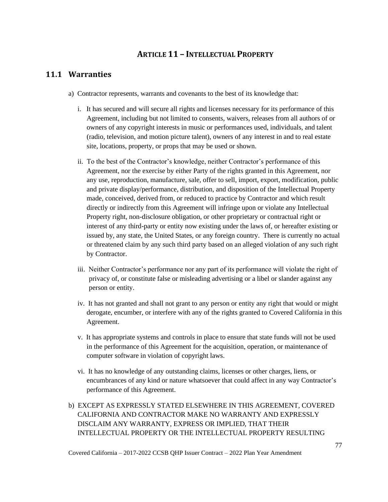# **ARTICLE 11 – INTELLECTUAL PROPERTY**

### **11.1 Warranties**

- a) Contractor represents, warrants and covenants to the best of its knowledge that:
	- i. It has secured and will secure all rights and licenses necessary for its performance of this Agreement, including but not limited to consents, waivers, releases from all authors of or owners of any copyright interests in music or performances used, individuals, and talent (radio, television, and motion picture talent), owners of any interest in and to real estate site, locations, property, or props that may be used or shown.
	- ii. To the best of the Contractor's knowledge, neither Contractor's performance of this Agreement, nor the exercise by either Party of the rights granted in this Agreement, nor any use, reproduction, manufacture, sale, offer to sell, import, export, modification, public and private display/performance, distribution, and disposition of the Intellectual Property made, conceived, derived from, or reduced to practice by Contractor and which result directly or indirectly from this Agreement will infringe upon or violate any Intellectual Property right, non-disclosure obligation, or other proprietary or contractual right or interest of any third-party or entity now existing under the laws of, or hereafter existing or issued by, any state, the United States, or any foreign country. There is currently no actual or threatened claim by any such third party based on an alleged violation of any such right by Contractor.
	- iii. Neither Contractor's performance nor any part of its performance will violate the right of privacy of, or constitute false or misleading advertising or a libel or slander against any person or entity.
	- iv. It has not granted and shall not grant to any person or entity any right that would or might derogate, encumber, or interfere with any of the rights granted to Covered California in this Agreement.
	- v. It has appropriate systems and controls in place to ensure that state funds will not be used in the performance of this Agreement for the acquisition, operation, or maintenance of computer software in violation of copyright laws.
	- vi. It has no knowledge of any outstanding claims, licenses or other charges, liens, or encumbrances of any kind or nature whatsoever that could affect in any way Contractor's performance of this Agreement.
- b) EXCEPT AS EXPRESSLY STATED ELSEWHERE IN THIS AGREEMENT, COVERED CALIFORNIA AND CONTRACTOR MAKE NO WARRANTY AND EXPRESSLY DISCLAIM ANY WARRANTY, EXPRESS OR IMPLIED, THAT THEIR INTELLECTUAL PROPERTY OR THE INTELLECTUAL PROPERTY RESULTING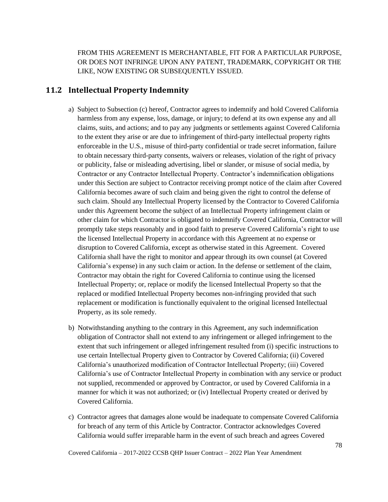FROM THIS AGREEMENT IS MERCHANTABLE, FIT FOR A PARTICULAR PURPOSE, OR DOES NOT INFRINGE UPON ANY PATENT, TRADEMARK, COPYRIGHT OR THE LIKE, NOW EXISTING OR SUBSEQUENTLY ISSUED.

### **11.2 Intellectual Property Indemnity**

- a) Subject to Subsection (c) hereof, Contractor agrees to indemnify and hold Covered California harmless from any expense, loss, damage, or injury; to defend at its own expense any and all claims, suits, and actions; and to pay any judgments or settlements against Covered California to the extent they arise or are due to infringement of third-party intellectual property rights enforceable in the U.S., misuse of third-party confidential or trade secret information, failure to obtain necessary third-party consents, waivers or releases, violation of the right of privacy or publicity, false or misleading advertising, libel or slander, or misuse of social media, by Contractor or any Contractor Intellectual Property. Contractor's indemnification obligations under this Section are subject to Contractor receiving prompt notice of the claim after Covered California becomes aware of such claim and being given the right to control the defense of such claim. Should any Intellectual Property licensed by the Contractor to Covered California under this Agreement become the subject of an Intellectual Property infringement claim or other claim for which Contractor is obligated to indemnify Covered California, Contractor will promptly take steps reasonably and in good faith to preserve Covered California's right to use the licensed Intellectual Property in accordance with this Agreement at no expense or disruption to Covered California, except as otherwise stated in this Agreement. Covered California shall have the right to monitor and appear through its own counsel (at Covered California's expense) in any such claim or action. In the defense or settlement of the claim, Contractor may obtain the right for Covered California to continue using the licensed Intellectual Property; or, replace or modify the licensed Intellectual Property so that the replaced or modified Intellectual Property becomes non-infringing provided that such replacement or modification is functionally equivalent to the original licensed Intellectual Property, as its sole remedy.
- b) Notwithstanding anything to the contrary in this Agreement, any such indemnification obligation of Contractor shall not extend to any infringement or alleged infringement to the extent that such infringement or alleged infringement resulted from (i) specific instructions to use certain Intellectual Property given to Contractor by Covered California; (ii) Covered California's unauthorized modification of Contractor Intellectual Property; (iii) Covered California's use of Contractor Intellectual Property in combination with any service or product not supplied, recommended or approved by Contractor, or used by Covered California in a manner for which it was not authorized; or (iv) Intellectual Property created or derived by Covered California.
- c) Contractor agrees that damages alone would be inadequate to compensate Covered California for breach of any term of this Article by Contractor. Contractor acknowledges Covered California would suffer irreparable harm in the event of such breach and agrees Covered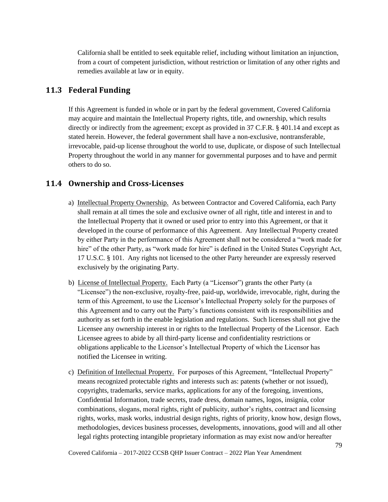California shall be entitled to seek equitable relief, including without limitation an injunction, from a court of competent jurisdiction, without restriction or limitation of any other rights and remedies available at law or in equity.

### **11.3 Federal Funding**

If this Agreement is funded in whole or in part by the federal government, Covered California may acquire and maintain the Intellectual Property rights, title, and ownership, which results directly or indirectly from the agreement; except as provided in 37 C.F.R. § 401.14 and except as stated herein. However, the federal government shall have a non-exclusive, nontransferable, irrevocable, paid-up license throughout the world to use, duplicate, or dispose of such Intellectual Property throughout the world in any manner for governmental purposes and to have and permit others to do so.

# **11.4 Ownership and Cross-Licenses**

- a) Intellectual Property Ownership. As between Contractor and Covered California, each Party shall remain at all times the sole and exclusive owner of all right, title and interest in and to the Intellectual Property that it owned or used prior to entry into this Agreement, or that it developed in the course of performance of this Agreement. Any Intellectual Property created by either Party in the performance of this Agreement shall not be considered a "work made for hire" of the other Party, as "work made for hire" is defined in the United States Copyright Act, 17 U.S.C. § 101. Any rights not licensed to the other Party hereunder are expressly reserved exclusively by the originating Party.
- b) License of Intellectual Property. Each Party (a "Licensor") grants the other Party (a "Licensee") the non-exclusive, royalty-free, paid-up, worldwide, irrevocable, right, during the term of this Agreement, to use the Licensor's Intellectual Property solely for the purposes of this Agreement and to carry out the Party's functions consistent with its responsibilities and authority as set forth in the enable legislation and regulations. Such licenses shall not give the Licensee any ownership interest in or rights to the Intellectual Property of the Licensor. Each Licensee agrees to abide by all third-party license and confidentiality restrictions or obligations applicable to the Licensor's Intellectual Property of which the Licensor has notified the Licensee in writing.
- c) Definition of Intellectual Property. For purposes of this Agreement, "Intellectual Property" means recognized protectable rights and interests such as: patents (whether or not issued), copyrights, trademarks, service marks, applications for any of the foregoing, inventions, Confidential Information, trade secrets, trade dress, domain names, logos, insignia, color combinations, slogans, moral rights, right of publicity, author's rights, contract and licensing rights, works, mask works, industrial design rights, rights of priority, know how, design flows, methodologies, devices business processes, developments, innovations, good will and all other legal rights protecting intangible proprietary information as may exist now and/or hereafter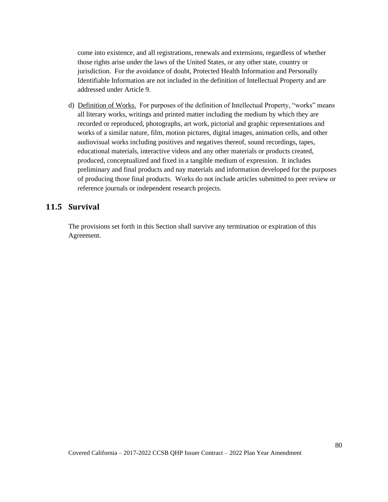come into existence, and all registrations, renewals and extensions, regardless of whether those rights arise under the laws of the United States, or any other state, country or jurisdiction. For the avoidance of doubt, Protected Health Information and Personally Identifiable Information are not included in the definition of Intellectual Property and are addressed under Article 9.

d) Definition of Works. For purposes of the definition of Intellectual Property, "works" means all literary works, writings and printed matter including the medium by which they are recorded or reproduced, photographs, art work, pictorial and graphic representations and works of a similar nature, film, motion pictures, digital images, animation cells, and other audiovisual works including positives and negatives thereof, sound recordings, tapes, educational materials, interactive videos and any other materials or products created, produced, conceptualized and fixed in a tangible medium of expression. It includes preliminary and final products and nay materials and information developed for the purposes of producing those final products. Works do not include articles submitted to peer review or reference journals or independent research projects.

# **11.5 Survival**

The provisions set forth in this Section shall survive any termination or expiration of this Agreement.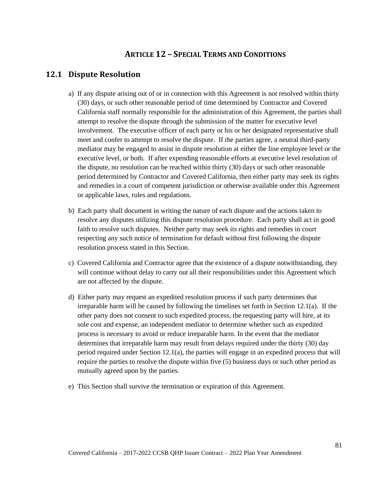# **ARTICLE 12 – SPECIAL TERMS AND CONDITIONS**

# **12.1 Dispute Resolution**

- a) If any dispute arising out of or in connection with this Agreement is not resolved within thirty (30) days, or such other reasonable period of time determined by Contractor and Covered California staff normally responsible for the administration of this Agreement, the parties shall attempt to resolve the dispute through the submission of the matter for executive level involvement. The executive officer of each party or his or her designated representative shall meet and confer to attempt to resolve the dispute. If the parties agree, a neutral third-party mediator may be engaged to assist in dispute resolution at either the line employee level or the executive level, or both. If after expending reasonable efforts at executive level resolution of the dispute, no resolution can be reached within thirty (30) days or such other reasonable period determined by Contractor and Covered California, then either party may seek its rights and remedies in a court of competent jurisdiction or otherwise available under this Agreement or applicable laws, rules and regulations.
- b) Each party shall document in writing the nature of each dispute and the actions taken to resolve any disputes utilizing this dispute resolution procedure. Each party shall act in good faith to resolve such disputes. Neither party may seek its rights and remedies in court respecting any such notice of termination for default without first following the dispute resolution process stated in this Section.
- c) Covered California and Contractor agree that the existence of a dispute notwithstanding, they will continue without delay to carry out all their responsibilities under this Agreement which are not affected by the dispute.
- d) Either party may request an expedited resolution process if such party determines that irreparable harm will be caused by following the timelines set forth in Section 12.1(a). If the other party does not consent to such expedited process, the requesting party will hire, at its sole cost and expense, an independent mediator to determine whether such an expedited process is necessary to avoid or reduce irreparable harm. In the event that the mediator determines that irreparable harm may result from delays required under the thirty (30) day period required under Section 12.1(a), the parties will engage in an expedited process that will require the parties to resolve the dispute within five (5) business days or such other period as mutually agreed upon by the parties.
- e) This Section shall survive the termination or expiration of this Agreement.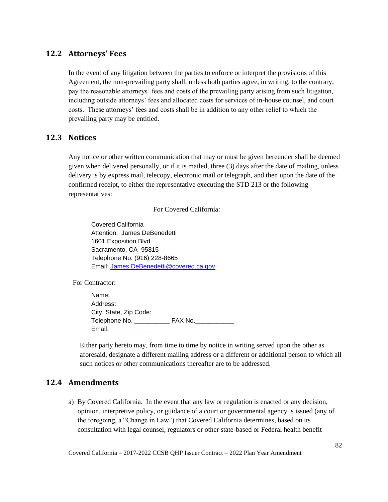### **12.2 Attorneys' Fees**

In the event of any litigation between the parties to enforce or interpret the provisions of this Agreement, the non-prevailing party shall, unless both parties agree, in writing, to the contrary, pay the reasonable attorneys' fees and costs of the prevailing party arising from such litigation, including outside attorneys' fees and allocated costs for services of in-house counsel, and court costs. These attorneys' fees and costs shall be in addition to any other relief to which the prevailing party may be entitled.

#### **12.3 Notices**

Any notice or other written communication that may or must be given hereunder shall be deemed given when delivered personally, or if it is mailed, three (3) days after the date of mailing, unless delivery is by express mail, telecopy, electronic mail or telegraph, and then upon the date of the confirmed receipt, to either the representative executing the STD 213 or the following representatives:

For Covered California:

Covered California Attention: James DeBenedetti 1601 Exposition Blvd. Sacramento, CA 95815 Telephone No. (916) 228-8665 Email: [James.DeBenedetti@covered.ca.gov](mailto:James.DeBenedetti@covered.ca.gov)

For Contractor:

Name: Address: City, State, Zip Code: Telephone No. \_\_\_\_\_\_\_\_\_\_\_\_\_\_\_\_ FAX No.\_ Email: \_\_\_\_\_\_\_\_\_\_\_

Either party hereto may, from time to time by notice in writing served upon the other as aforesaid, designate a different mailing address or a different or additional person to which all such notices or other communications thereafter are to be addressed.

### **12.4 Amendments**

a) By Covered California. In the event that any law or regulation is enacted or any decision, opinion, interpretive policy, or guidance of a court or governmental agency is issued (any of the foregoing, a "Change in Law") that Covered California determines, based on its consultation with legal counsel, regulators or other state-based or Federal health benefit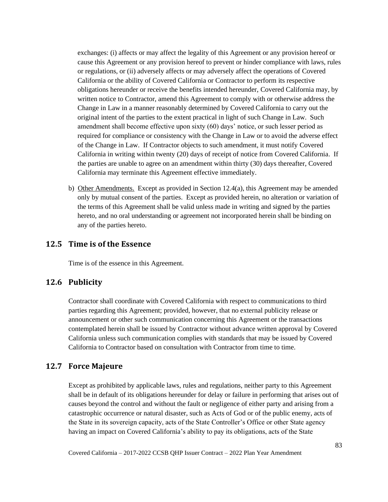exchanges: (i) affects or may affect the legality of this Agreement or any provision hereof or cause this Agreement or any provision hereof to prevent or hinder compliance with laws, rules or regulations, or (ii) adversely affects or may adversely affect the operations of Covered California or the ability of Covered California or Contractor to perform its respective obligations hereunder or receive the benefits intended hereunder, Covered California may, by written notice to Contractor, amend this Agreement to comply with or otherwise address the Change in Law in a manner reasonably determined by Covered California to carry out the original intent of the parties to the extent practical in light of such Change in Law. Such amendment shall become effective upon sixty (60) days' notice, or such lesser period as required for compliance or consistency with the Change in Law or to avoid the adverse effect of the Change in Law. If Contractor objects to such amendment, it must notify Covered California in writing within twenty (20) days of receipt of notice from Covered California. If the parties are unable to agree on an amendment within thirty (30) days thereafter, Covered California may terminate this Agreement effective immediately.

b) Other Amendments. Except as provided in Section 12.4(a), this Agreement may be amended only by mutual consent of the parties. Except as provided herein, no alteration or variation of the terms of this Agreement shall be valid unless made in writing and signed by the parties hereto, and no oral understanding or agreement not incorporated herein shall be binding on any of the parties hereto.

### **12.5 Time is of the Essence**

Time is of the essence in this Agreement.

### **12.6 Publicity**

Contractor shall coordinate with Covered California with respect to communications to third parties regarding this Agreement; provided, however, that no external publicity release or announcement or other such communication concerning this Agreement or the transactions contemplated herein shall be issued by Contractor without advance written approval by Covered California unless such communication complies with standards that may be issued by Covered California to Contractor based on consultation with Contractor from time to time.

#### **12.7 Force Majeure**

Except as prohibited by applicable laws, rules and regulations, neither party to this Agreement shall be in default of its obligations hereunder for delay or failure in performing that arises out of causes beyond the control and without the fault or negligence of either party and arising from a catastrophic occurrence or natural disaster, such as Acts of God or of the public enemy, acts of the State in its sovereign capacity, acts of the State Controller's Office or other State agency having an impact on Covered California's ability to pay its obligations, acts of the State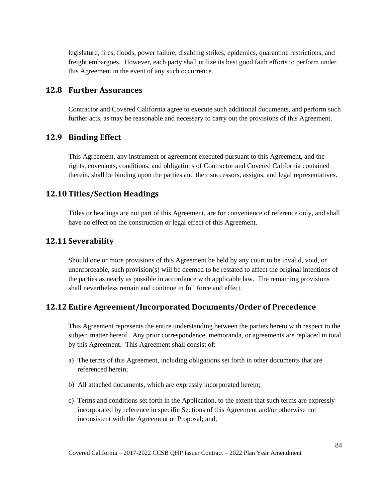legislature, fires, floods, power failure, disabling strikes, epidemics, quarantine restrictions, and freight embargoes. However, each party shall utilize its best good faith efforts to perform under this Agreement in the event of any such occurrence.

### **12.8 Further Assurances**

Contractor and Covered California agree to execute such additional documents, and perform such further acts, as may be reasonable and necessary to carry out the provisions of this Agreement.

#### **12.9 Binding Effect**

This Agreement, any instrument or agreement executed pursuant to this Agreement, and the rights, covenants, conditions, and obligations of Contractor and Covered California contained therein, shall be binding upon the parties and their successors, assigns, and legal representatives.

### **12.10 Titles/Section Headings**

Titles or headings are not part of this Agreement, are for convenience of reference only, and shall have no effect on the construction or legal effect of this Agreement.

#### **12.11 Severability**

Should one or more provisions of this Agreement be held by any court to be invalid, void, or unenforceable, such provision(s) will be deemed to be restated to affect the original intentions of the parties as nearly as possible in accordance with applicable law. The remaining provisions shall nevertheless remain and continue in full force and effect.

### **12.12 Entire Agreement/Incorporated Documents/Order of Precedence**

This Agreement represents the entire understanding between the parties hereto with respect to the subject matter hereof. Any prior correspondence, memoranda, or agreements are replaced in total by this Agreement. This Agreement shall consist of:

- a) The terms of this Agreement, including obligations set forth in other documents that are referenced herein;
- b) All attached documents, which are expressly incorporated herein;
- c) Terms and conditions set forth in the Application, to the extent that such terms are expressly incorporated by reference in specific Sections of this Agreement and/or otherwise not inconsistent with the Agreement or Proposal; and,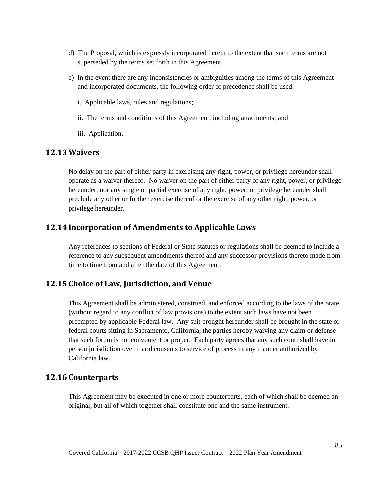- d) The Proposal, which is expressly incorporated herein to the extent that such terms are not superseded by the terms set forth in this Agreement.
- e) In the event there are any inconsistencies or ambiguities among the terms of this Agreement and incorporated documents, the following order of precedence shall be used:
	- i. Applicable laws, rules and regulations;
	- ii. The terms and conditions of this Agreement, including attachments; and
	- iii. Application.

#### **12.13 Waivers**

No delay on the part of either party in exercising any right, power, or privilege hereunder shall operate as a waiver thereof. No waiver on the part of either party of any right, power, or privilege hereunder, nor any single or partial exercise of any right, power, or privilege hereunder shall preclude any other or further exercise thereof or the exercise of any other right, power, or privilege hereunder.

### **12.14 Incorporation of Amendments to Applicable Laws**

Any references to sections of Federal or State statutes or regulations shall be deemed to include a reference to any subsequent amendments thereof and any successor provisions thereto made from time to time from and after the date of this Agreement.

### **12.15 Choice of Law, Jurisdiction, and Venue**

This Agreement shall be administered, construed, and enforced according to the laws of the State (without regard to any conflict of law provisions) to the extent such laws have not been preempted by applicable Federal law. Any suit brought hereunder shall be brought in the state or federal courts sitting in Sacramento, California, the parties hereby waiving any claim or defense that such forum is not convenient or proper. Each party agrees that any such court shall have in person jurisdiction over it and consents to service of process in any manner authorized by California law.

### **12.16 Counterparts**

This Agreement may be executed in one or more counterparts, each of which shall be deemed an original, but all of which together shall constitute one and the same instrument.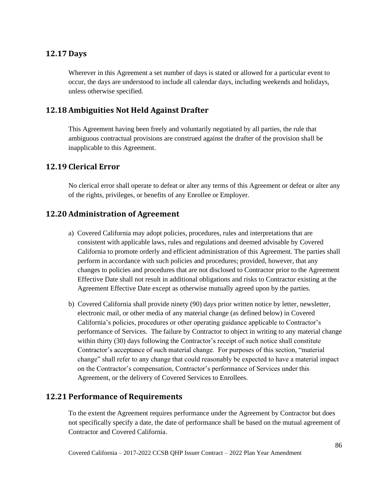### **12.17 Days**

Wherever in this Agreement a set number of days is stated or allowed for a particular event to occur, the days are understood to include all calendar days, including weekends and holidays, unless otherwise specified.

# **12.18 Ambiguities Not Held Against Drafter**

This Agreement having been freely and voluntarily negotiated by all parties, the rule that ambiguous contractual provisions are construed against the drafter of the provision shall be inapplicable to this Agreement.

#### **12.19 Clerical Error**

No clerical error shall operate to defeat or alter any terms of this Agreement or defeat or alter any of the rights, privileges, or benefits of any Enrollee or Employer.

#### **12.20 Administration of Agreement**

- a) Covered California may adopt policies, procedures, rules and interpretations that are consistent with applicable laws, rules and regulations and deemed advisable by Covered California to promote orderly and efficient administration of this Agreement. The parties shall perform in accordance with such policies and procedures; provided, however, that any changes to policies and procedures that are not disclosed to Contractor prior to the Agreement Effective Date shall not result in additional obligations and risks to Contractor existing at the Agreement Effective Date except as otherwise mutually agreed upon by the parties.
- b) Covered California shall provide ninety (90) days prior written notice by letter, newsletter, electronic mail, or other media of any material change (as defined below) in Covered California's policies, procedures or other operating guidance applicable to Contractor's performance of Services. The failure by Contractor to object in writing to any material change within thirty (30) days following the Contractor's receipt of such notice shall constitute Contractor's acceptance of such material change. For purposes of this section, "material change" shall refer to any change that could reasonably be expected to have a material impact on the Contractor's compensation, Contractor's performance of Services under this Agreement, or the delivery of Covered Services to Enrollees.

#### **12.21 Performance of Requirements**

To the extent the Agreement requires performance under the Agreement by Contractor but does not specifically specify a date, the date of performance shall be based on the mutual agreement of Contractor and Covered California.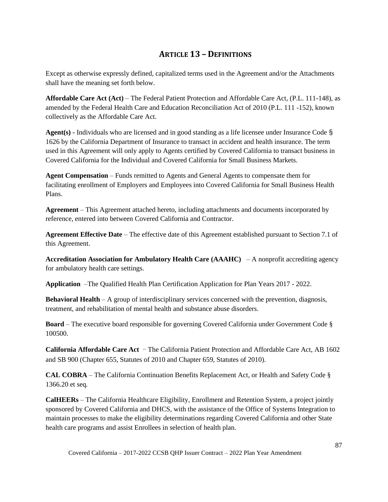# **ARTICLE 13 – DEFINITIONS**

Except as otherwise expressly defined, capitalized terms used in the Agreement and/or the Attachments shall have the meaning set forth below.

**Affordable Care Act (Act)** – The Federal Patient Protection and Affordable Care Act, (P.L. 111-148), as amended by the Federal Health Care and Education Reconciliation Act of 2010 (P.L. 111 -152), known collectively as the Affordable Care Act.

**Agent(s) -** Individuals who are licensed and in good standing as a life licensee under Insurance Code § 1626 by the California Department of Insurance to transact in accident and health insurance. The term used in this Agreement will only apply to Agents certified by Covered California to transact business in Covered California for the Individual and Covered California for Small Business Markets.

**Agent Compensation** – Funds remitted to Agents and General Agents to compensate them for facilitating enrollment of Employers and Employees into Covered California for Small Business Health Plans.

**Agreement** – This Agreement attached hereto, including attachments and documents incorporated by reference, entered into between Covered California and Contractor.

**Agreement Effective Date** – The effective date of this Agreement established pursuant to Section 7.1 of this Agreement.

**Accreditation Association for Ambulatory Health Care (AAAHC)** – A nonprofit accrediting agency for ambulatory health care settings.

**Application** –The Qualified Health Plan Certification Application for Plan Years 2017 - 2022.

**Behavioral Health** – A group of interdisciplinary services concerned with the prevention, diagnosis, treatment, and rehabilitation of mental health and substance abuse disorders.

**Board** – The executive board responsible for governing Covered California under Government Code § 100500.

**California Affordable Care Act** ‒ The California Patient Protection and Affordable Care Act, AB 1602 and SB 900 (Chapter 655, Statutes of 2010 and Chapter 659, Statutes of 2010).

**CAL COBRA** – The California Continuation Benefits Replacement Act, or Health and Safety Code § 1366.20 et seq*.*

**CalHEERs** – The California Healthcare Eligibility, Enrollment and Retention System, a project jointly sponsored by Covered California and DHCS, with the assistance of the Office of Systems Integration to maintain processes to make the eligibility determinations regarding Covered California and other State health care programs and assist Enrollees in selection of health plan.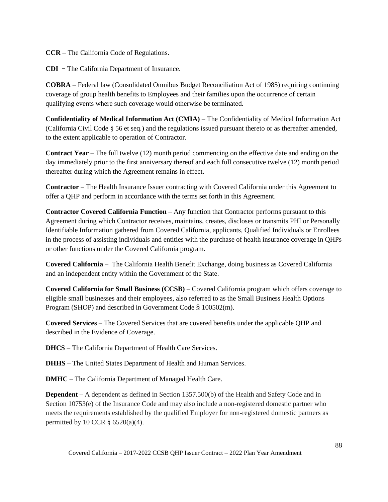**CCR** – The California Code of Regulations.

**CDI** – The California Department of Insurance.

**COBRA** – Federal law (Consolidated Omnibus Budget Reconciliation Act of 1985) requiring continuing coverage of group health benefits to Employees and their families upon the occurrence of certain qualifying events where such coverage would otherwise be terminated.

**Confidentiality of Medical Information Act (CMIA)** – The Confidentiality of Medical Information Act (California Civil Code § 56 et seq*.*) and the regulations issued pursuant thereto or as thereafter amended, to the extent applicable to operation of Contractor.

**Contract Year** – The full twelve (12) month period commencing on the effective date and ending on the day immediately prior to the first anniversary thereof and each full consecutive twelve (12) month period thereafter during which the Agreement remains in effect.

**Contractor** – The Health Insurance Issuer contracting with Covered California under this Agreement to offer a QHP and perform in accordance with the terms set forth in this Agreement.

**Contractor Covered California Function** – Any function that Contractor performs pursuant to this Agreement during which Contractor receives, maintains, creates, discloses or transmits PHI or Personally Identifiable Information gathered from Covered California, applicants, Qualified Individuals or Enrollees in the process of assisting individuals and entities with the purchase of health insurance coverage in QHPs or other functions under the Covered California program.

**Covered California** – The California Health Benefit Exchange, doing business as Covered California and an independent entity within the Government of the State.

**Covered California for Small Business (CCSB)** – Covered California program which offers coverage to eligible small businesses and their employees, also referred to as the Small Business Health Options Program (SHOP) and described in Government Code § 100502(m).

**Covered Services** – The Covered Services that are covered benefits under the applicable QHP and described in the Evidence of Coverage.

**DHCS** – The California Department of Health Care Services.

**DHHS** – The United States Department of Health and Human Services.

**DMHC** – The California Department of Managed Health Care.

**Dependent –** A dependent as defined in Section 1357.500(b) of the Health and Safety Code and in Section 10753(e) of the Insurance Code and may also include a non-registered domestic partner who meets the requirements established by the qualified Employer for non-registered domestic partners as permitted by 10 CCR  $\S$  6520(a)(4).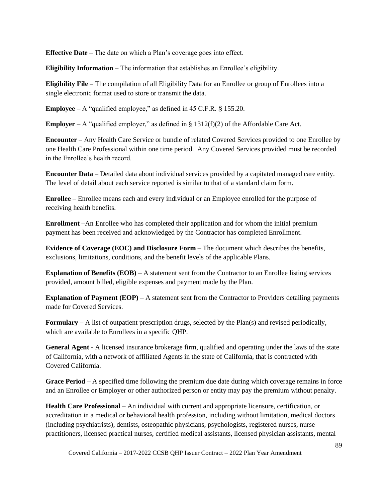**Effective Date** – The date on which a Plan's coverage goes into effect.

**Eligibility Information** – The information that establishes an Enrollee's eligibility.

**Eligibility File** – The compilation of all Eligibility Data for an Enrollee or group of Enrollees into a single electronic format used to store or transmit the data.

**Employee** – A "qualified employee," as defined in 45 C.F.R. § 155.20.

**Employer** – A "qualified employer," as defined in  $\S 1312(f)(2)$  of the Affordable Care Act.

**Encounter** – Any Health Care Service or bundle of related Covered Services provided to one Enrollee by one Health Care Professional within one time period. Any Covered Services provided must be recorded in the Enrollee's health record.

**Encounter Data** – Detailed data about individual services provided by a capitated managed care entity. The level of detail about each service reported is similar to that of a standard claim form.

**Enrollee** – Enrollee means each and every individual or an Employee enrolled for the purpose of receiving health benefits.

**Enrollment –**An Enrollee who has completed their application and for whom the initial premium payment has been received and acknowledged by the Contractor has completed Enrollment.

**Evidence of Coverage (EOC) and Disclosure Form** – The document which describes the benefits, exclusions, limitations, conditions, and the benefit levels of the applicable Plans.

**Explanation of Benefits (EOB)** – A statement sent from the Contractor to an Enrollee listing services provided, amount billed, eligible expenses and payment made by the Plan.

**Explanation of Payment (EOP)** – A statement sent from the Contractor to Providers detailing payments made for Covered Services.

**Formulary** – A list of outpatient prescription drugs, selected by the Plan(s) and revised periodically, which are available to Enrollees in a specific QHP.

**General Agent** - A licensed insurance brokerage firm, qualified and operating under the laws of the state of California, with a network of affiliated Agents in the state of California, that is contracted with Covered California.

**Grace Period** – A specified time following the premium due date during which coverage remains in force and an Enrollee or Employer or other authorized person or entity may pay the premium without penalty.

**Health Care Professional** – An individual with current and appropriate licensure, certification, or accreditation in a medical or behavioral health profession, including without limitation, medical doctors (including psychiatrists), dentists, osteopathic physicians, psychologists, registered nurses, nurse practitioners, licensed practical nurses, certified medical assistants, licensed physician assistants, mental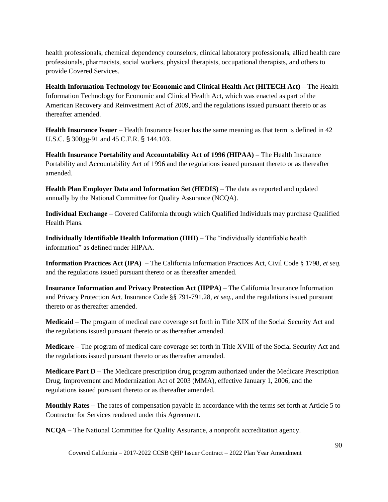health professionals, chemical dependency counselors, clinical laboratory professionals, allied health care professionals, pharmacists, social workers, physical therapists, occupational therapists, and others to provide Covered Services.

**Health Information Technology for Economic and Clinical Health Act (HITECH Act)** – The Health Information Technology for Economic and Clinical Health Act, which was enacted as part of the American Recovery and Reinvestment Act of 2009, and the regulations issued pursuant thereto or as thereafter amended.

**Health Insurance Issuer** – Health Insurance Issuer has the same meaning as that term is defined in 42 U.S.C. § 300gg-91 and 45 C.F.R. § 144.103.

**Health Insurance Portability and Accountability Act of 1996 (HIPAA)** – The Health Insurance Portability and Accountability Act of 1996 and the regulations issued pursuant thereto or as thereafter amended.

**Health Plan Employer Data and Information Set (HEDIS)** – The data as reported and updated annually by the National Committee for Quality Assurance (NCQA).

**Individual Exchange** – Covered California through which Qualified Individuals may purchase Qualified Health Plans.

**Individually Identifiable Health Information (IIHI)** – The "individually identifiable health information" as defined under HIPAA.

**Information Practices Act (IPA)** – The California Information Practices Act, Civil Code § 1798, *et seq.* and the regulations issued pursuant thereto or as thereafter amended.

**Insurance Information and Privacy Protection Act (IIPPA)** – The California Insurance Information and Privacy Protection Act, Insurance Code §§ 791-791.28, *et seq.*, and the regulations issued pursuant thereto or as thereafter amended.

**Medicaid** – The program of medical care coverage set forth in Title XIX of the Social Security Act and the regulations issued pursuant thereto or as thereafter amended.

**Medicare** – The program of medical care coverage set forth in Title XVIII of the Social Security Act and the regulations issued pursuant thereto or as thereafter amended.

**Medicare Part D** – The Medicare prescription drug program authorized under the Medicare Prescription Drug, Improvement and Modernization Act of 2003 (MMA), effective January 1, 2006, and the regulations issued pursuant thereto or as thereafter amended.

**Monthly Rates** – The rates of compensation payable in accordance with the terms set forth at Article 5 to Contractor for Services rendered under this Agreement.

**NCQA** – The National Committee for Quality Assurance, a nonprofit accreditation agency.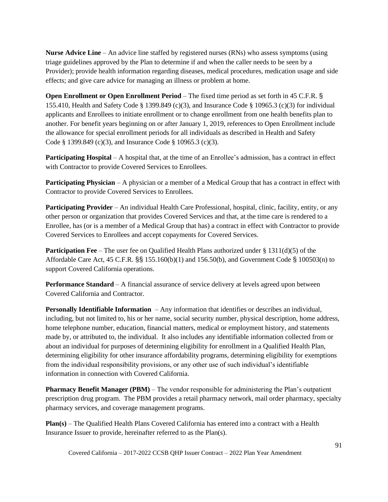**Nurse Advice Line** – An advice line staffed by registered nurses (RNs) who assess symptoms (using triage guidelines approved by the Plan to determine if and when the caller needs to be seen by a Provider); provide health information regarding diseases, medical procedures, medication usage and side effects; and give care advice for managing an illness or problem at home.

**Open Enrollment or Open Enrollment Period** – The fixed time period as set forth in 45 C.F.R. § 155.410, Health and Safety Code § 1399.849 (c)(3), and Insurance Code § 10965.3 (c)(3) for individual applicants and Enrollees to initiate enrollment or to change enrollment from one health benefits plan to another. For benefit years beginning on or after January 1, 2019, references to Open Enrollment include the allowance for special enrollment periods for all individuals as described in Health and Safety Code § 1399.849 (c)(3), and Insurance Code § 10965.3 (c)(3).

**Participating Hospital** – A hospital that, at the time of an Enrollee's admission, has a contract in effect with Contractor to provide Covered Services to Enrollees.

**Participating Physician** – A physician or a member of a Medical Group that has a contract in effect with Contractor to provide Covered Services to Enrollees.

**Participating Provider** – An individual Health Care Professional, hospital, clinic, facility, entity, or any other person or organization that provides Covered Services and that, at the time care is rendered to a Enrollee, has (or is a member of a Medical Group that has) a contract in effect with Contractor to provide Covered Services to Enrollees and accept copayments for Covered Services.

**Participation Fee** – The user fee on Qualified Health Plans authorized under § 1311(d)(5) of the Affordable Care Act, 45 C.F.R. §§ 155.160(b)(1) and 156.50(b), and Government Code § 100503(n) to support Covered California operations.

**Performance Standard** – A financial assurance of service delivery at levels agreed upon between Covered California and Contractor.

**Personally Identifiable Information** – Any information that identifies or describes an individual, including, but not limited to, his or her name, social security number, physical description, home address, home telephone number, education, financial matters, medical or employment history, and statements made by, or attributed to, the individual. It also includes any identifiable information collected from or about an individual for purposes of determining eligibility for enrollment in a Qualified Health Plan, determining eligibility for other insurance affordability programs, determining eligibility for exemptions from the individual responsibility provisions, or any other use of such individual's identifiable information in connection with Covered California.

**Pharmacy Benefit Manager (PBM)** – The vendor responsible for administering the Plan's outpatient prescription drug program. The PBM provides a retail pharmacy network, mail order pharmacy, specialty pharmacy services, and coverage management programs.

**Plan(s)** – The Qualified Health Plans Covered California has entered into a contract with a Health Insurance Issuer to provide, hereinafter referred to as the Plan(s).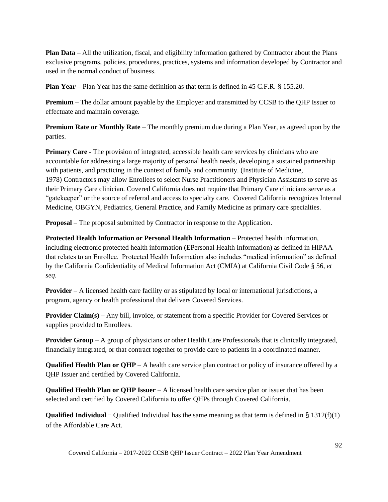**Plan Data** – All the utilization, fiscal, and eligibility information gathered by Contractor about the Plans exclusive programs, policies, procedures, practices, systems and information developed by Contractor and used in the normal conduct of business.

**Plan Year** – Plan Year has the same definition as that term is defined in 45 C.F.R. § 155.20.

**Premium** – The dollar amount payable by the Employer and transmitted by CCSB to the QHP Issuer to effectuate and maintain coverage.

**Premium Rate or Monthly Rate** – The monthly premium due during a Plan Year, as agreed upon by the parties.

**Primary Care** - The provision of integrated, accessible health care services by clinicians who are accountable for addressing a large majority of personal health needs, developing a sustained partnership with patients, and practicing in the context of family and community. (Institute of Medicine, 1978) Contractors may allow Enrollees to select Nurse Practitioners and Physician Assistants to serve as their Primary Care clinician. Covered California does not require that Primary Care clinicians serve as a "gatekeeper" or the source of referral and access to specialty care. Covered California recognizes Internal Medicine, OBGYN, Pediatrics, General Practice, and Family Medicine as primary care specialties.

**Proposal** – The proposal submitted by Contractor in response to the Application.

**Protected Health Information or Personal Health Information** – Protected health information, including electronic protected health information (EPersonal Health Information) as defined in HIPAA that relates to an Enrollee. Protected Health Information also includes "medical information" as defined by the California Confidentiality of Medical Information Act (CMIA) at California Civil Code § 56, *et seq.*

**Provider** – A licensed health care facility or as stipulated by local or international jurisdictions, a program, agency or health professional that delivers Covered Services.

**Provider Claim(s)** – Any bill, invoice, or statement from a specific Provider for Covered Services or supplies provided to Enrollees.

**Provider Group** – A group of physicians or other Health Care Professionals that is clinically integrated, financially integrated, or that contract together to provide care to patients in a coordinated manner.

**Qualified Health Plan or QHP** – A health care service plan contract or policy of insurance offered by a QHP Issuer and certified by Covered California.

**Qualified Health Plan or QHP Issuer** – A licensed health care service plan or issuer that has been selected and certified by Covered California to offer QHPs through Covered California.

**Qualified Individual** – Qualified Individual has the same meaning as that term is defined in § 1312(f)(1) of the Affordable Care Act.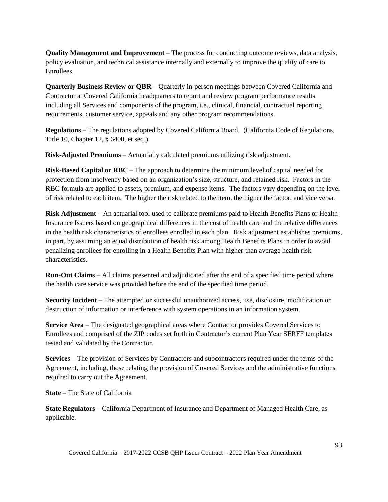**Quality Management and Improvement** – The process for conducting outcome reviews, data analysis, policy evaluation, and technical assistance internally and externally to improve the quality of care to Enrollees.

**Quarterly Business Review or QBR** – Quarterly in-person meetings between Covered California and Contractor at Covered California headquarters to report and review program performance results including all Services and components of the program, i.e., clinical, financial, contractual reporting requirements, customer service, appeals and any other program recommendations.

**Regulations** – The regulations adopted by Covered California Board. (California Code of Regulations, Title 10, Chapter 12, § 6400, et seq.)

**Risk-Adjusted Premiums** – Actuarially calculated premiums utilizing risk adjustment.

**Risk-Based Capital or RBC** – The approach to determine the minimum level of capital needed for protection from insolvency based on an organization's size, structure, and retained risk. Factors in the RBC formula are applied to assets, premium, and expense items. The factors vary depending on the level of risk related to each item. The higher the risk related to the item, the higher the factor, and vice versa.

**Risk Adjustment** – An actuarial tool used to calibrate premiums paid to Health Benefits Plans or Health Insurance Issuers based on geographical differences in the cost of health care and the relative differences in the health risk characteristics of enrollees enrolled in each plan. Risk adjustment establishes premiums, in part, by assuming an equal distribution of health risk among Health Benefits Plans in order to avoid penalizing enrollees for enrolling in a Health Benefits Plan with higher than average health risk characteristics.

**Run-Out Claims** – All claims presented and adjudicated after the end of a specified time period where the health care service was provided before the end of the specified time period.

**Security Incident** – The attempted or successful unauthorized access, use, disclosure, modification or destruction of information or interference with system operations in an information system.

**Service Area** – The designated geographical areas where Contractor provides Covered Services to Enrollees and comprised of the ZIP codes set forth in Contractor's current Plan Year SERFF templates tested and validated by the Contractor.

**Services** – The provision of Services by Contractors and subcontractors required under the terms of the Agreement, including, those relating the provision of Covered Services and the administrative functions required to carry out the Agreement.

**State** – The State of California

**State Regulators** – California Department of Insurance and Department of Managed Health Care, as applicable.